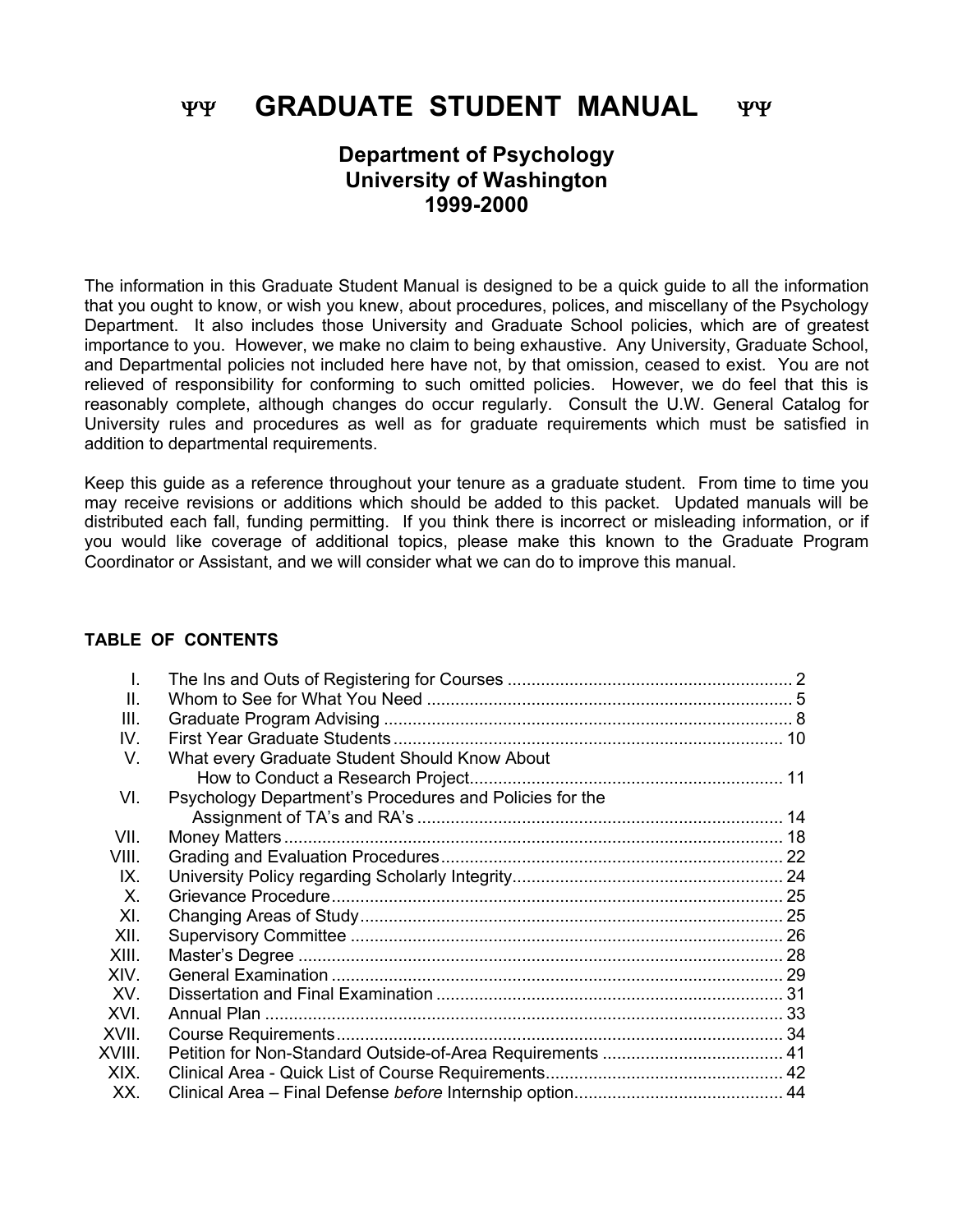YY **GRADUATE STUDENT MANUAL** YY

# **Department of Psychology University of Washington 1999-2000**

The information in this Graduate Student Manual is designed to be a quick guide to all the information that you ought to know, or wish you knew, about procedures, polices, and miscellany of the Psychology Department. It also includes those University and Graduate School policies, which are of greatest importance to you. However, we make no claim to being exhaustive. Any University, Graduate School, and Departmental policies not included here have not, by that omission, ceased to exist. You are not relieved of responsibility for conforming to such omitted policies. However, we do feel that this is reasonably complete, although changes do occur regularly. Consult the U.W. General Catalog for University rules and procedures as well as for graduate requirements which must be satisfied in addition to departmental requirements.

Keep this guide as a reference throughout your tenure as a graduate student. From time to time you may receive revisions or additions which should be added to this packet. Updated manuals will be distributed each fall, funding permitting. If you think there is incorrect or misleading information, or if you would like coverage of additional topics, please make this known to the Graduate Program Coordinator or Assistant, and we will consider what we can do to improve this manual.

#### **TABLE OF CONTENTS**

| $\mathbf{II}$ . |                                                         |  |
|-----------------|---------------------------------------------------------|--|
| III.            |                                                         |  |
| IV.             |                                                         |  |
| V.              | What every Graduate Student Should Know About           |  |
|                 |                                                         |  |
| VI.             | Psychology Department's Procedures and Policies for the |  |
|                 |                                                         |  |
| VII.            |                                                         |  |
| VIII.           |                                                         |  |
| IX.             |                                                         |  |
| Х.              |                                                         |  |
| XI.             |                                                         |  |
| XII.            |                                                         |  |
| XIII.           |                                                         |  |
| XIV.            |                                                         |  |
| XV.             |                                                         |  |
| XVI.            |                                                         |  |
| XVII.           |                                                         |  |
| XVIII.          |                                                         |  |
| XIX.            |                                                         |  |
| XX.             |                                                         |  |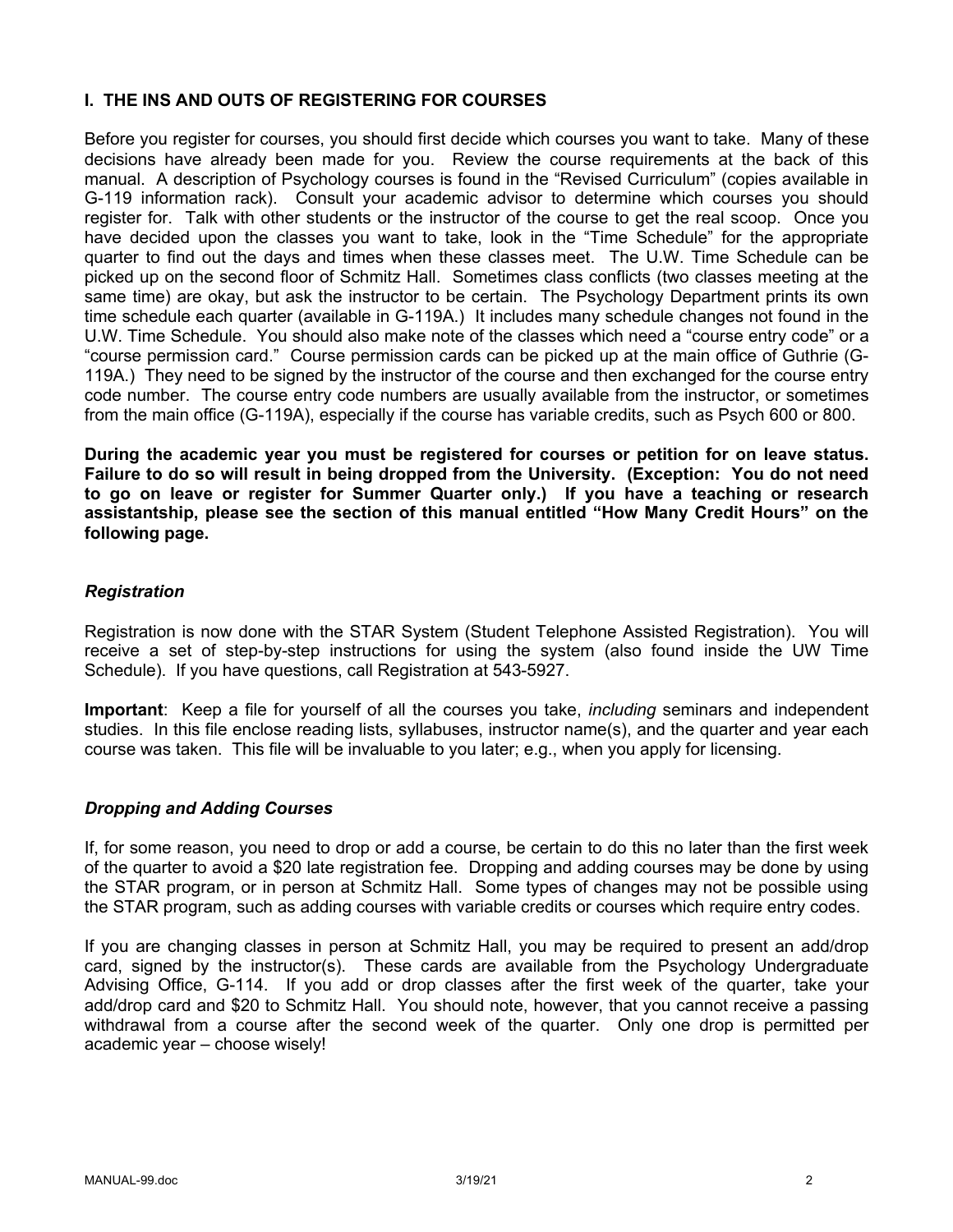## **I. THE INS AND OUTS OF REGISTERING FOR COURSES**

Before you register for courses, you should first decide which courses you want to take. Many of these decisions have already been made for you. Review the course requirements at the back of this manual. A description of Psychology courses is found in the "Revised Curriculum" (copies available in G-119 information rack). Consult your academic advisor to determine which courses you should register for. Talk with other students or the instructor of the course to get the real scoop. Once you have decided upon the classes you want to take, look in the "Time Schedule" for the appropriate quarter to find out the days and times when these classes meet. The U.W. Time Schedule can be picked up on the second floor of Schmitz Hall. Sometimes class conflicts (two classes meeting at the same time) are okay, but ask the instructor to be certain. The Psychology Department prints its own time schedule each quarter (available in G-119A.) It includes many schedule changes not found in the U.W. Time Schedule. You should also make note of the classes which need a "course entry code" or a "course permission card." Course permission cards can be picked up at the main office of Guthrie (G-119A.) They need to be signed by the instructor of the course and then exchanged for the course entry code number. The course entry code numbers are usually available from the instructor, or sometimes from the main office (G-119A), especially if the course has variable credits, such as Psych 600 or 800.

**During the academic year you must be registered for courses or petition for on leave status. Failure to do so will result in being dropped from the University. (Exception: You do not need to go on leave or register for Summer Quarter only.) If you have a teaching or research assistantship, please see the section of this manual entitled "How Many Credit Hours" on the following page.**

## *Registration*

Registration is now done with the STAR System (Student Telephone Assisted Registration). You will receive a set of step-by-step instructions for using the system (also found inside the UW Time Schedule). If you have questions, call Registration at 543-5927.

**Important**: Keep a file for yourself of all the courses you take, *including* seminars and independent studies. In this file enclose reading lists, syllabuses, instructor name(s), and the quarter and year each course was taken. This file will be invaluable to you later; e.g., when you apply for licensing.

#### *Dropping and Adding Courses*

If, for some reason, you need to drop or add a course, be certain to do this no later than the first week of the quarter to avoid a \$20 late registration fee. Dropping and adding courses may be done by using the STAR program, or in person at Schmitz Hall. Some types of changes may not be possible using the STAR program, such as adding courses with variable credits or courses which require entry codes.

If you are changing classes in person at Schmitz Hall, you may be required to present an add/drop card, signed by the instructor(s). These cards are available from the Psychology Undergraduate Advising Office, G-114. If you add or drop classes after the first week of the quarter, take your add/drop card and \$20 to Schmitz Hall. You should note, however, that you cannot receive a passing withdrawal from a course after the second week of the quarter. Only one drop is permitted per academic year – choose wisely!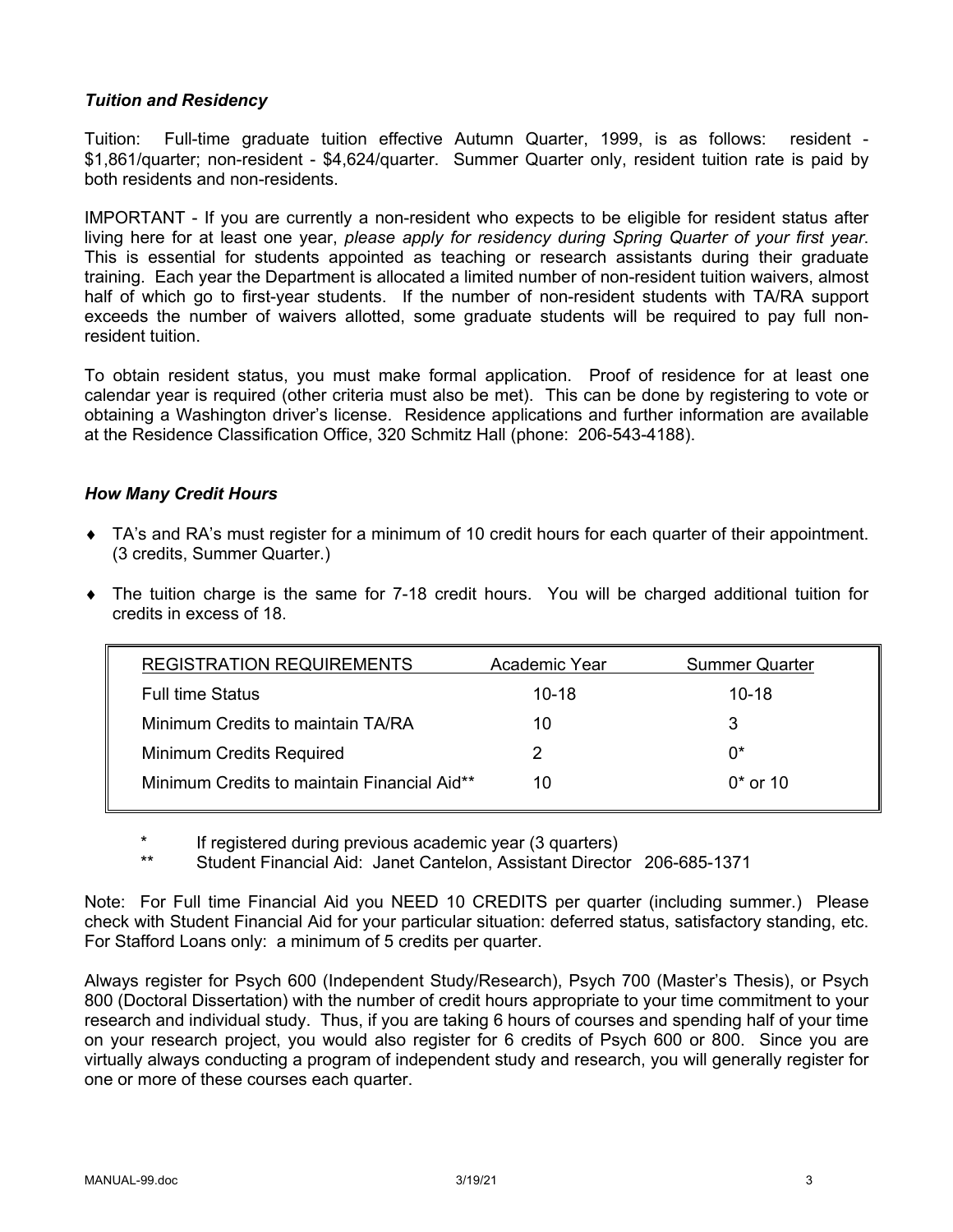## *Tuition and Residency*

Tuition: Full-time graduate tuition effective Autumn Quarter, 1999, is as follows: resident - \$1,861/quarter; non-resident - \$4,624/quarter. Summer Quarter only, resident tuition rate is paid by both residents and non-residents.

IMPORTANT - If you are currently a non-resident who expects to be eligible for resident status after living here for at least one year, *please apply for residency during Spring Quarter of your first year*. This is essential for students appointed as teaching or research assistants during their graduate training. Each year the Department is allocated a limited number of non-resident tuition waivers, almost half of which go to first-year students. If the number of non-resident students with TA/RA support exceeds the number of waivers allotted, some graduate students will be required to pay full nonresident tuition.

To obtain resident status, you must make formal application. Proof of residence for at least one calendar year is required (other criteria must also be met). This can be done by registering to vote or obtaining a Washington driver's license. Residence applications and further information are available at the Residence Classification Office, 320 Schmitz Hall (phone: 206-543-4188).

## *How Many Credit Hours*

- TA's and RA's must register for a minimum of 10 credit hours for each quarter of their appointment. (3 credits, Summer Quarter.)
- The tuition charge is the same for 7-18 credit hours. You will be charged additional tuition for credits in excess of 18.

| <b>REGISTRATION REQUIREMENTS</b>            | Academic Year | <b>Summer Quarter</b> |
|---------------------------------------------|---------------|-----------------------|
| <b>Full time Status</b>                     | $10-18$       | $10 - 18$             |
| Minimum Credits to maintain TA/RA           | 10            | 3                     |
| Minimum Credits Required                    |               | $0^*$                 |
| Minimum Credits to maintain Financial Aid** | 10            | $0*$ or 10            |

\* If registered during previous academic year (3 quarters)

Student Financial Aid: Janet Cantelon, Assistant Director 206-685-1371

Note: For Full time Financial Aid you NEED 10 CREDITS per quarter (including summer.) Please check with Student Financial Aid for your particular situation: deferred status, satisfactory standing, etc. For Stafford Loans only: a minimum of 5 credits per quarter.

Always register for Psych 600 (Independent Study/Research), Psych 700 (Master's Thesis), or Psych 800 (Doctoral Dissertation) with the number of credit hours appropriate to your time commitment to your research and individual study. Thus, if you are taking 6 hours of courses and spending half of your time on your research project, you would also register for 6 credits of Psych 600 or 800. Since you are virtually always conducting a program of independent study and research, you will generally register for one or more of these courses each quarter.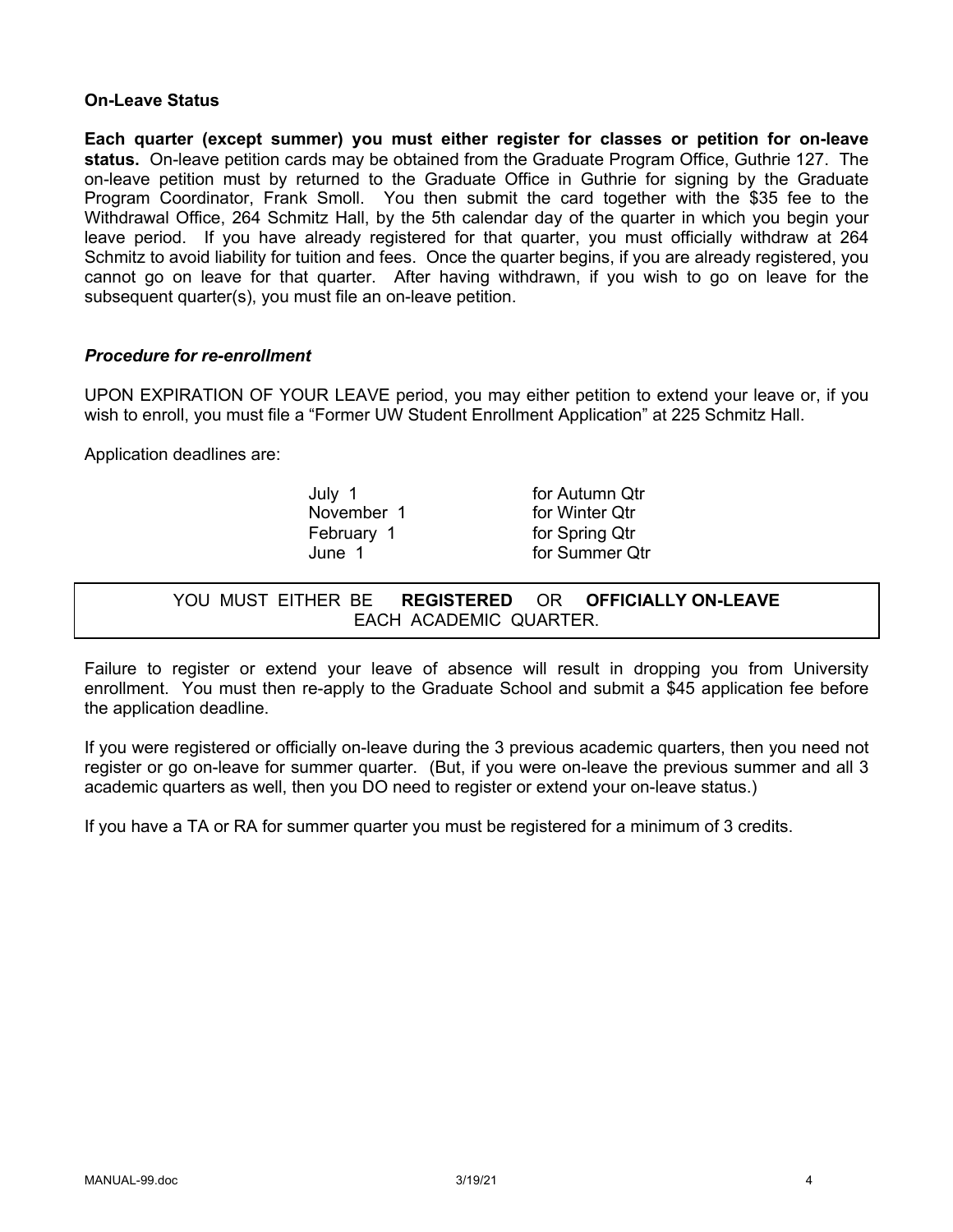#### **On-Leave Status**

**Each quarter (except summer) you must either register for classes or petition for on-leave status.** On-leave petition cards may be obtained from the Graduate Program Office, Guthrie 127. The on-leave petition must by returned to the Graduate Office in Guthrie for signing by the Graduate Program Coordinator, Frank Smoll. You then submit the card together with the \$35 fee to the Withdrawal Office, 264 Schmitz Hall, by the 5th calendar day of the quarter in which you begin your leave period. If you have already registered for that quarter, you must officially withdraw at 264 Schmitz to avoid liability for tuition and fees. Once the quarter begins, if you are already registered, you cannot go on leave for that quarter. After having withdrawn, if you wish to go on leave for the subsequent quarter(s), you must file an on-leave petition.

## *Procedure for re-enrollment*

UPON EXPIRATION OF YOUR LEAVE period, you may either petition to extend your leave or, if you wish to enroll, you must file a "Former UW Student Enrollment Application" at 225 Schmitz Hall.

Application deadlines are:

July 1 for Autumn Qtr November 1 for Winter Qtr February 1 for Spring Qtr June 1 for Summer Qtr

YOU MUST EITHER BE **REGISTERED** OR **OFFICIALLY ON-LEAVE** EACH ACADEMIC QUARTER.

Failure to register or extend your leave of absence will result in dropping you from University enrollment. You must then re-apply to the Graduate School and submit a \$45 application fee before the application deadline.

If you were registered or officially on-leave during the 3 previous academic quarters, then you need not register or go on-leave for summer quarter. (But, if you were on-leave the previous summer and all 3 academic quarters as well, then you DO need to register or extend your on-leave status.)

If you have a TA or RA for summer quarter you must be registered for a minimum of 3 credits.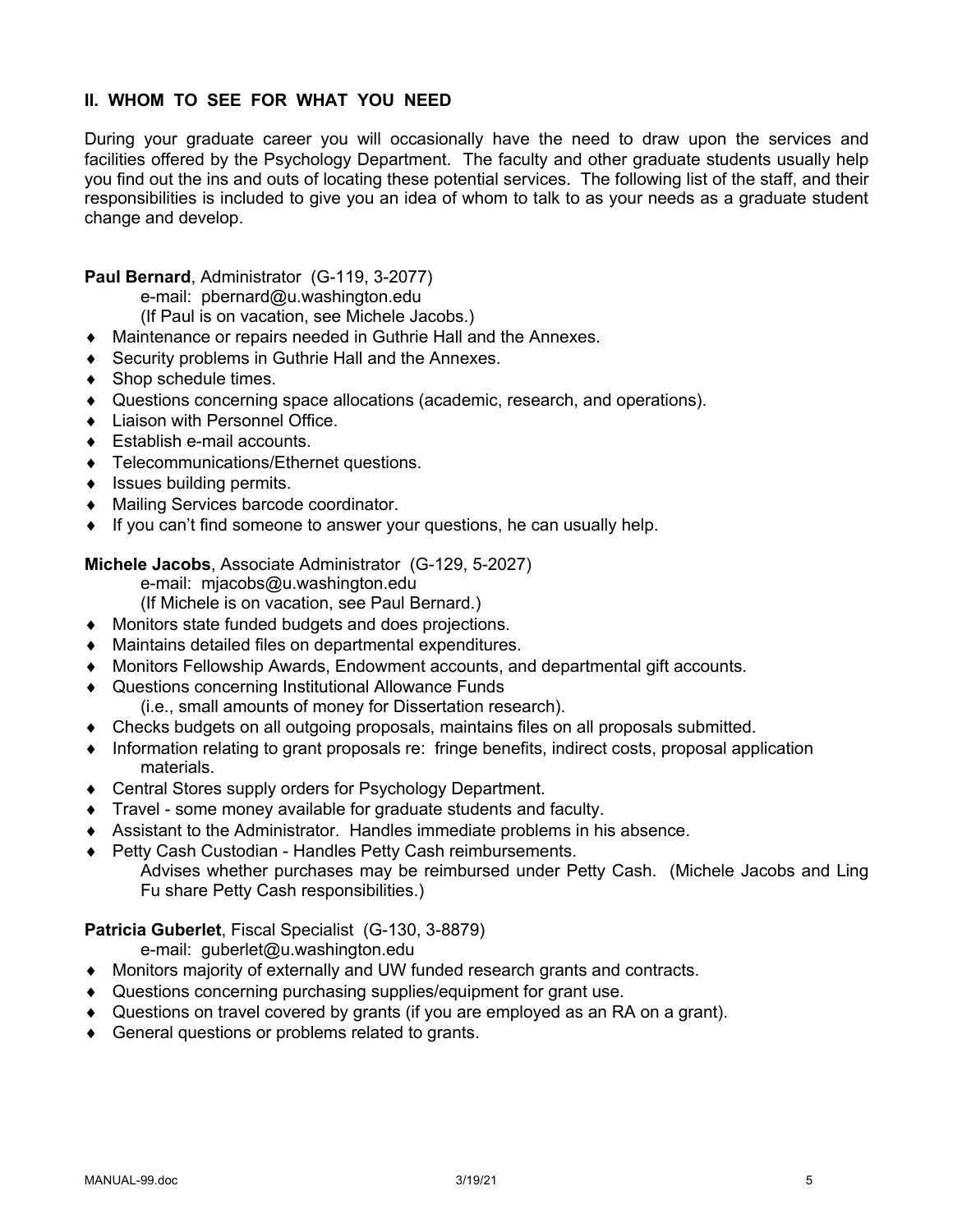## **II. WHOM TO SEE FOR WHAT YOU NEED**

During your graduate career you will occasionally have the need to draw upon the services and facilities offered by the Psychology Department. The faculty and other graduate students usually help you find out the ins and outs of locating these potential services. The following list of the staff, and their responsibilities is included to give you an idea of whom to talk to as your needs as a graduate student change and develop.

**Paul Bernard**, Administrator (G-119, 3-2077)

e-mail: pbernard@u.washington.edu

(If Paul is on vacation, see Michele Jacobs.)

- Maintenance or repairs needed in Guthrie Hall and the Annexes.
- $\triangle$  Security problems in Guthrie Hall and the Annexes.
- $\bullet$  Shop schedule times.
- ¨ Questions concerning space allocations (academic, research, and operations).
- Liaison with Personnel Office.
- $\bullet$  Establish e-mail accounts.
- ◆ Telecommunications/Ethernet questions.
- $\bullet$  Issues building permits.
- ◆ Mailing Services barcode coordinator.
- $\bullet$  If you can't find someone to answer your questions, he can usually help.

**Michele Jacobs**, Associate Administrator (G-129, 5-2027)

e-mail: mjacobs@u.washington.edu

- (If Michele is on vacation, see Paul Bernard.)
- ◆ Monitors state funded budgets and does projections.
- ◆ Maintains detailed files on departmental expenditures.
- ◆ Monitors Fellowship Awards, Endowment accounts, and departmental gift accounts.
- ◆ Questions concerning Institutional Allowance Funds

(i.e., small amounts of money for Dissertation research).

- Checks budgets on all outgoing proposals, maintains files on all proposals submitted.
- $\bullet$  Information relating to grant proposals re: fringe benefits, indirect costs, proposal application materials.
- ◆ Central Stores supply orders for Psychology Department.
- $\bullet$  Travel some money available for graduate students and faculty.
- ◆ Assistant to the Administrator. Handles immediate problems in his absence.
- ◆ Petty Cash Custodian Handles Petty Cash reimbursements. Advises whether purchases may be reimbursed under Petty Cash. (Michele Jacobs and Ling Fu share Petty Cash responsibilities.)

**Patricia Guberlet**, Fiscal Specialist (G-130, 3-8879)

- e-mail: guberlet@u.washington.edu
- ◆ Monitors majority of externally and UW funded research grants and contracts.
- ◆ Questions concerning purchasing supplies/equipment for grant use.
- $\bullet$  Questions on travel covered by grants (if you are employed as an RA on a grant).
- ◆ General questions or problems related to grants.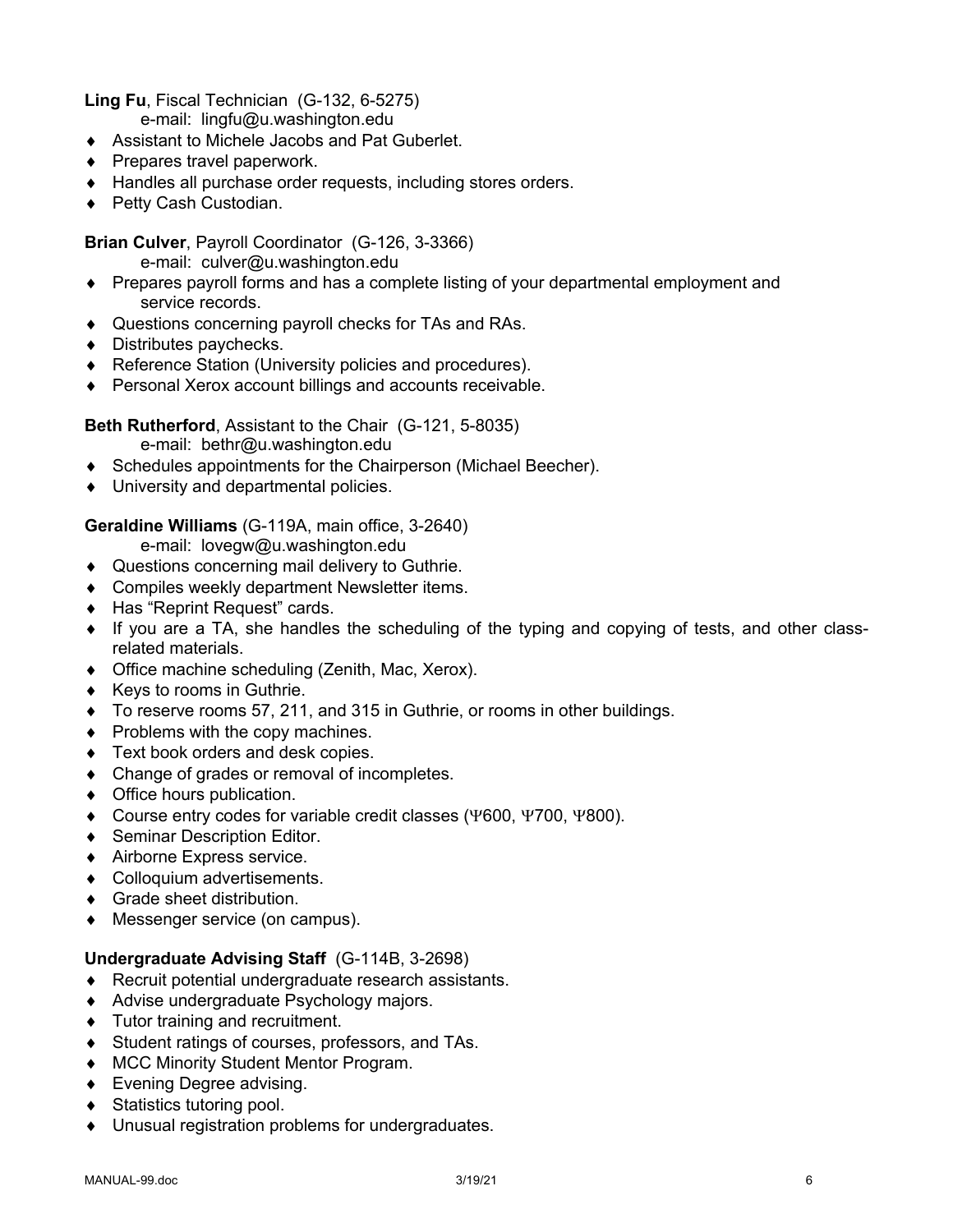**Ling Fu**, Fiscal Technician (G-132, 6-5275)

e-mail: lingfu@u.washington.edu

- ◆ Assistant to Michele Jacobs and Pat Guberlet.
- $\bullet$  Prepares travel paperwork.
- ◆ Handles all purchase order requests, including stores orders.
- ◆ Petty Cash Custodian.

**Brian Culver**, Payroll Coordinator (G-126, 3-3366)

e-mail: culver@u.washington.edu

- ¨ Prepares payroll forms and has a complete listing of your departmental employment and service records.
- ◆ Questions concerning payroll checks for TAs and RAs.
- $\bullet$  Distributes paychecks.
- ◆ Reference Station (University policies and procedures).
- ◆ Personal Xerox account billings and accounts receivable.

**Beth Rutherford**, Assistant to the Chair (G-121, 5-8035)

e-mail: bethr@u.washington.edu

- ◆ Schedules appointments for the Chairperson (Michael Beecher).
- $\bullet$  University and departmental policies.

# **Geraldine Williams** (G-119A, main office, 3-2640)

e-mail: lovegw@u.washington.edu

- ◆ Questions concerning mail delivery to Guthrie.
- ◆ Compiles weekly department Newsletter items.
- ◆ Has "Reprint Request" cards.
- $\bullet$  If you are a TA, she handles the scheduling of the typing and copying of tests, and other classrelated materials.
- $\bullet$  Office machine scheduling (Zenith, Mac, Xerox).
- $\triangleleft$  Keys to rooms in Guthrie.
- To reserve rooms 57, 211, and 315 in Guthrie, or rooms in other buildings.
- $\bullet$  Problems with the copy machines.
- $\triangleleft$  Text book orders and desk copies.
- Change of grades or removal of incompletes.
- $\bullet$  Office hours publication.
- ◆ Course entry codes for variable credit classes (Y600, Y700, Y800).
- ◆ Seminar Description Editor.
- ◆ Airborne Express service.
- ◆ Colloquium advertisements.
- $\triangleleft$  Grade sheet distribution.
- $\bullet$  Messenger service (on campus).

# **Undergraduate Advising Staff** (G-114B, 3-2698)

- $\triangle$  Recruit potential undergraduate research assistants.
- ◆ Advise undergraduate Psychology majors.
- $\bullet$  Tutor training and recruitment.
- ◆ Student ratings of courses, professors, and TAs.
- ◆ MCC Minority Student Mentor Program.
- $\bullet$  Evening Degree advising.
- $\bullet$  Statistics tutoring pool.
- ◆ Unusual registration problems for undergraduates.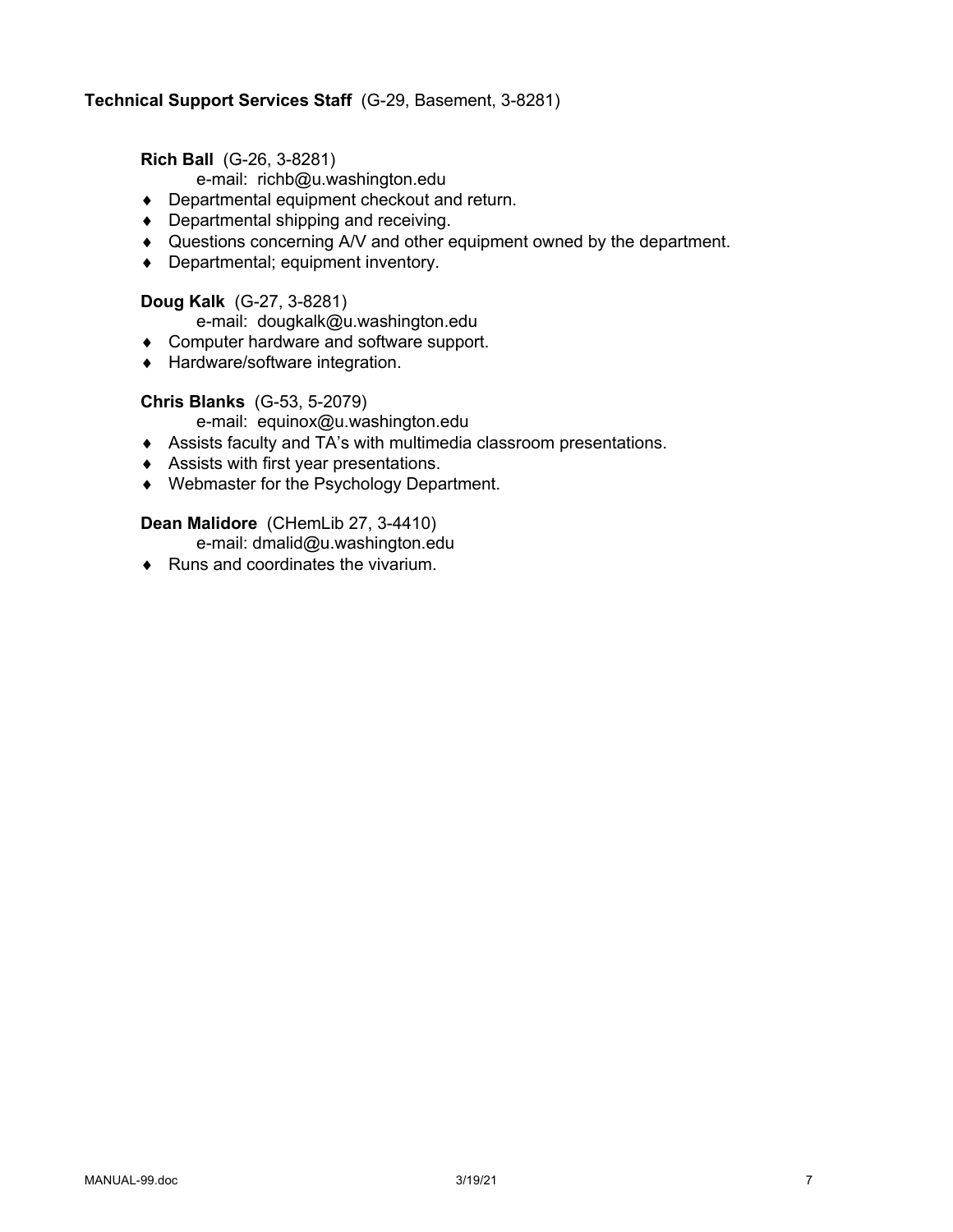## **Technical Support Services Staff** (G-29, Basement, 3-8281)

**Rich Ball** (G-26, 3-8281)

e-mail: richb@u.washington.edu

- $\bullet$  Departmental equipment checkout and return.
- $\bullet$  Departmental shipping and receiving.
- Questions concerning A/V and other equipment owned by the department.
- $\bullet$  Departmental; equipment inventory.

## **Doug Kalk** (G-27, 3-8281)

e-mail: dougkalk@u.washington.edu

- ◆ Computer hardware and software support.
- ◆ Hardware/software integration.

#### **Chris Blanks** (G-53, 5-2079)

e-mail: equinox@u.washington.edu

- ◆ Assists faculty and TA's with multimedia classroom presentations.
- ◆ Assists with first year presentations.
- ◆ Webmaster for the Psychology Department.

## **Dean Malidore** (CHemLib 27, 3-4410)

e-mail: dmalid@u.washington.edu

 $\triangleleft$  Runs and coordinates the vivarium.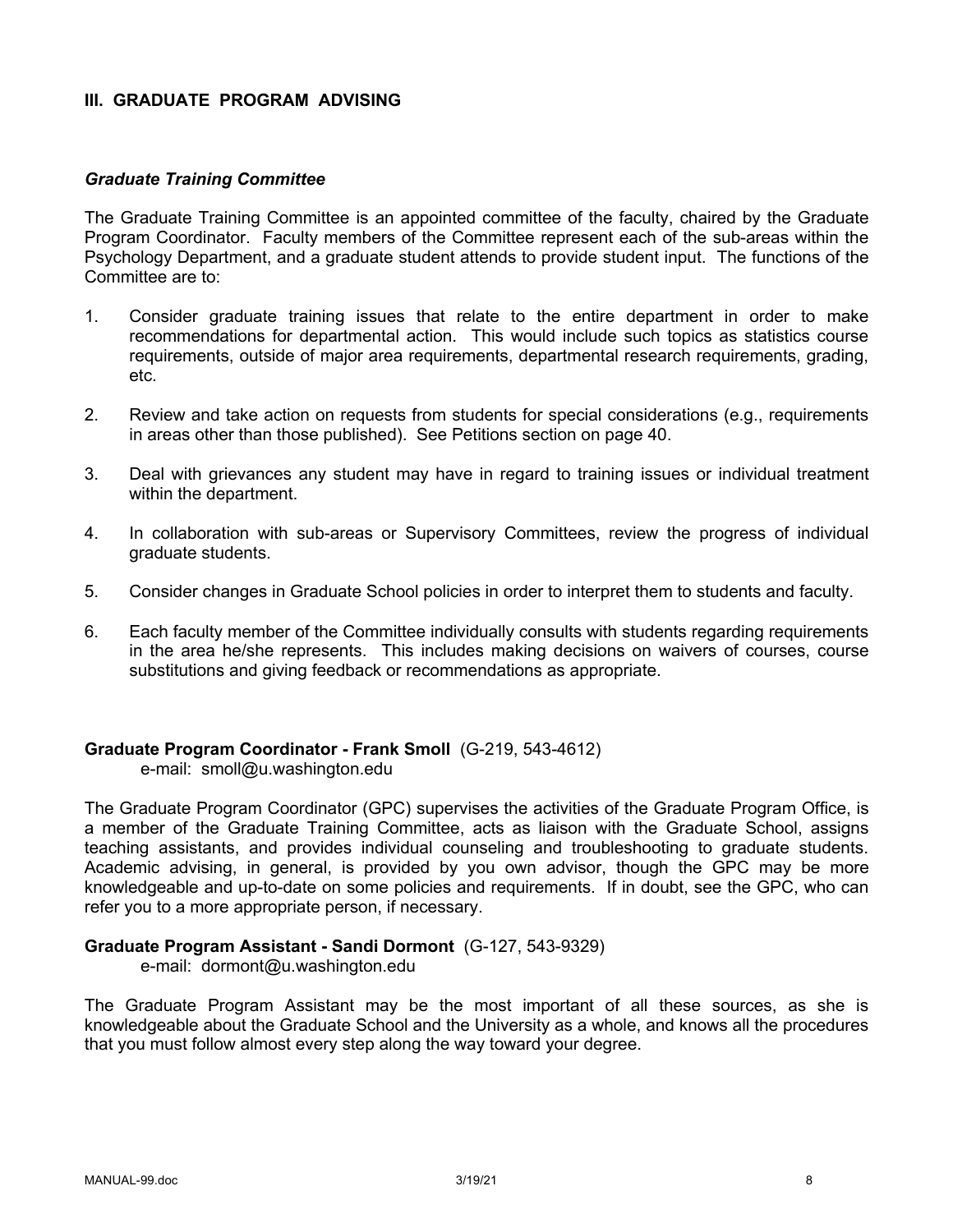#### **III. GRADUATE PROGRAM ADVISING**

#### *Graduate Training Committee*

The Graduate Training Committee is an appointed committee of the faculty, chaired by the Graduate Program Coordinator. Faculty members of the Committee represent each of the sub-areas within the Psychology Department, and a graduate student attends to provide student input. The functions of the Committee are to:

- 1. Consider graduate training issues that relate to the entire department in order to make recommendations for departmental action. This would include such topics as statistics course requirements, outside of major area requirements, departmental research requirements, grading, etc.
- 2. Review and take action on requests from students for special considerations (e.g., requirements in areas other than those published). See Petitions section on page 40.
- 3. Deal with grievances any student may have in regard to training issues or individual treatment within the department.
- 4. In collaboration with sub-areas or Supervisory Committees, review the progress of individual graduate students.
- 5. Consider changes in Graduate School policies in order to interpret them to students and faculty.
- 6. Each faculty member of the Committee individually consults with students regarding requirements in the area he/she represents. This includes making decisions on waivers of courses, course substitutions and giving feedback or recommendations as appropriate.

#### **Graduate Program Coordinator - Frank Smoll** (G-219, 543-4612)

e-mail: smoll@u.washington.edu

The Graduate Program Coordinator (GPC) supervises the activities of the Graduate Program Office, is a member of the Graduate Training Committee, acts as liaison with the Graduate School, assigns teaching assistants, and provides individual counseling and troubleshooting to graduate students. Academic advising, in general, is provided by you own advisor, though the GPC may be more knowledgeable and up-to-date on some policies and requirements. If in doubt, see the GPC, who can refer you to a more appropriate person, if necessary.

#### **Graduate Program Assistant - Sandi Dormont** (G-127, 543-9329)

e-mail: dormont@u.washington.edu

The Graduate Program Assistant may be the most important of all these sources, as she is knowledgeable about the Graduate School and the University as a whole, and knows all the procedures that you must follow almost every step along the way toward your degree.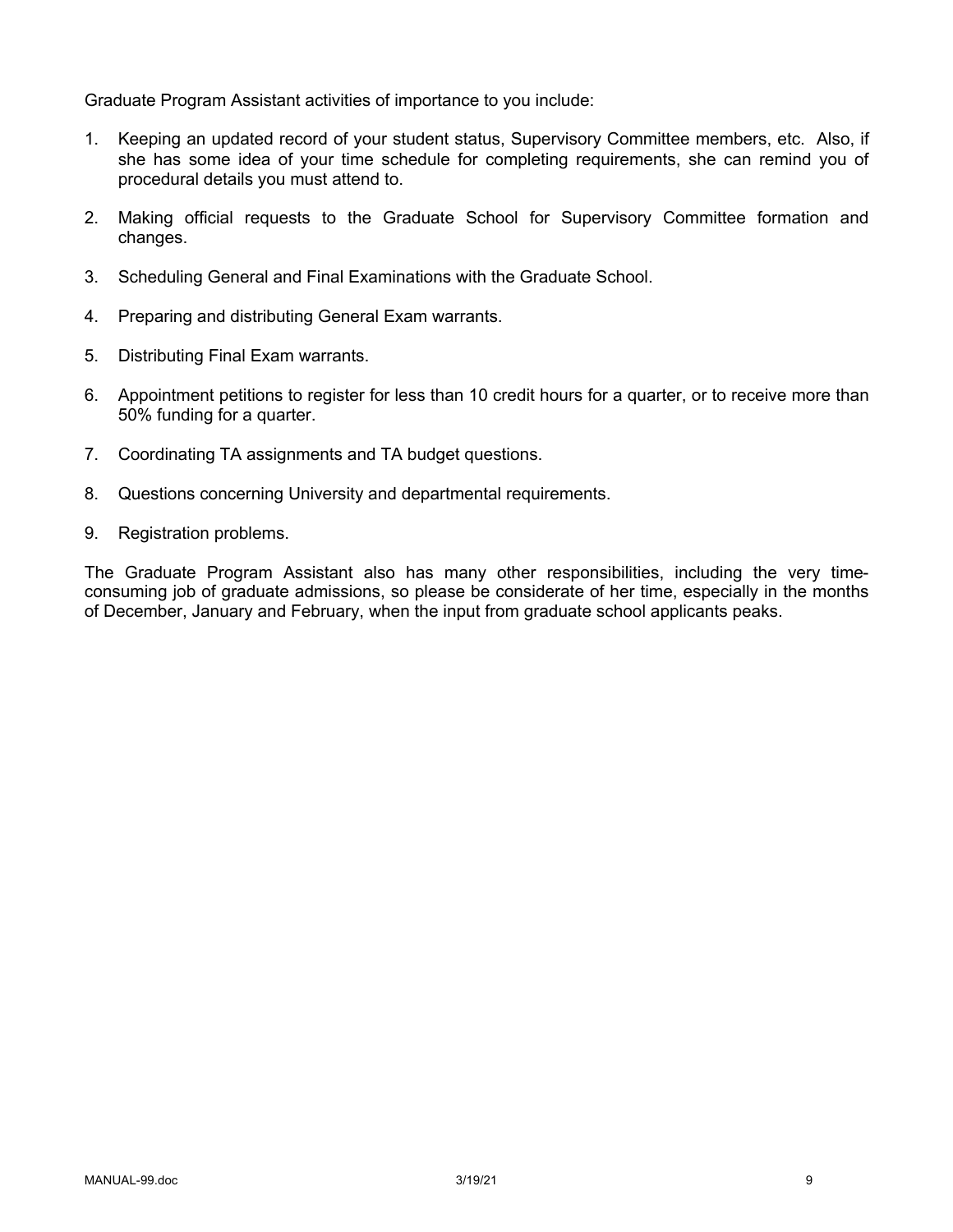Graduate Program Assistant activities of importance to you include:

- 1. Keeping an updated record of your student status, Supervisory Committee members, etc. Also, if she has some idea of your time schedule for completing requirements, she can remind you of procedural details you must attend to.
- 2. Making official requests to the Graduate School for Supervisory Committee formation and changes.
- 3. Scheduling General and Final Examinations with the Graduate School.
- 4. Preparing and distributing General Exam warrants.
- 5. Distributing Final Exam warrants.
- 6. Appointment petitions to register for less than 10 credit hours for a quarter, or to receive more than 50% funding for a quarter.
- 7. Coordinating TA assignments and TA budget questions.
- 8. Questions concerning University and departmental requirements.
- 9. Registration problems.

The Graduate Program Assistant also has many other responsibilities, including the very timeconsuming job of graduate admissions, so please be considerate of her time, especially in the months of December, January and February, when the input from graduate school applicants peaks.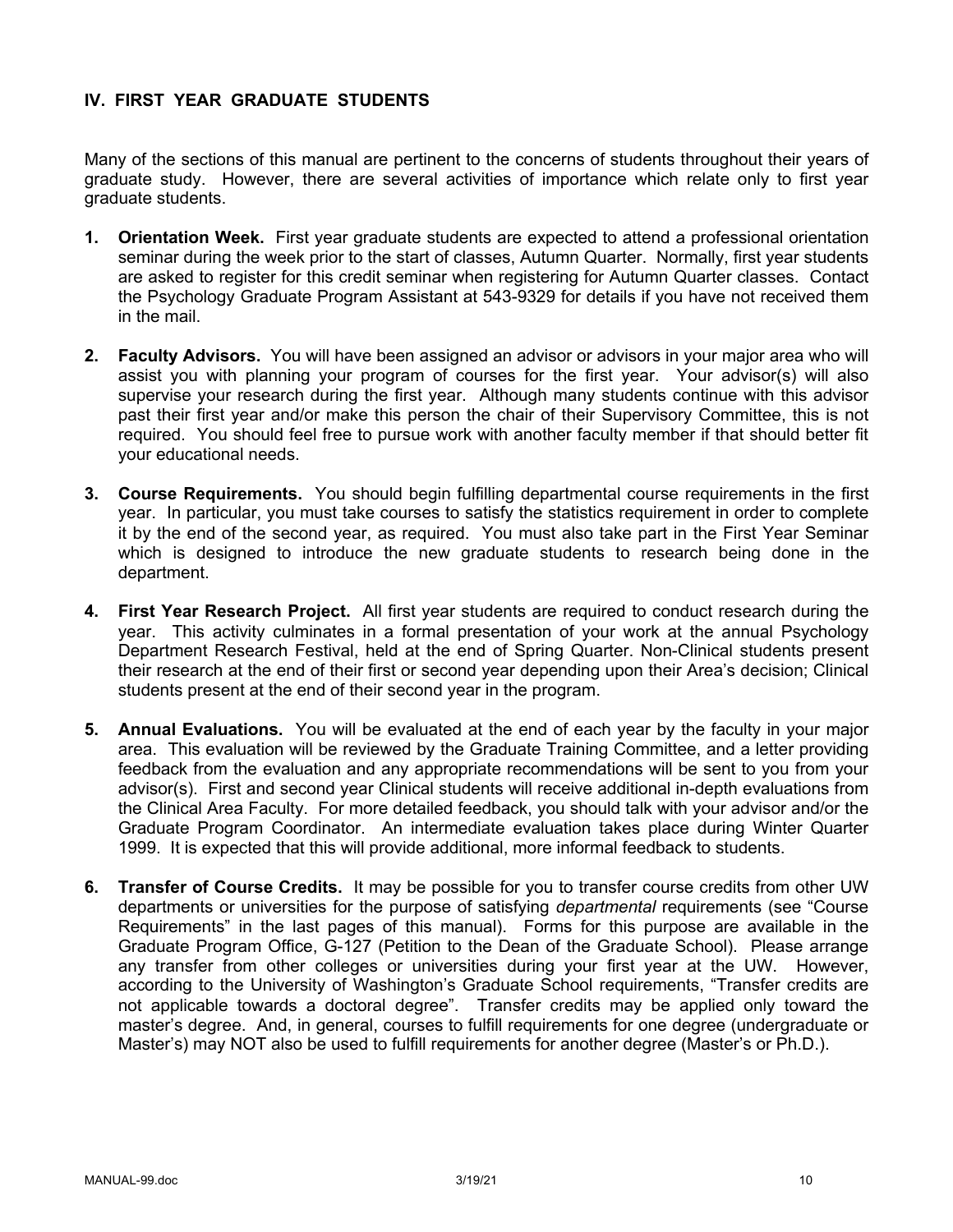## **IV. FIRST YEAR GRADUATE STUDENTS**

Many of the sections of this manual are pertinent to the concerns of students throughout their years of graduate study. However, there are several activities of importance which relate only to first year graduate students.

- **1. Orientation Week.** First year graduate students are expected to attend a professional orientation seminar during the week prior to the start of classes, Autumn Quarter. Normally, first year students are asked to register for this credit seminar when registering for Autumn Quarter classes. Contact the Psychology Graduate Program Assistant at 543-9329 for details if you have not received them in the mail.
- **2. Faculty Advisors.** You will have been assigned an advisor or advisors in your major area who will assist you with planning your program of courses for the first year. Your advisor(s) will also supervise your research during the first year. Although many students continue with this advisor past their first year and/or make this person the chair of their Supervisory Committee, this is not required. You should feel free to pursue work with another faculty member if that should better fit your educational needs.
- **3. Course Requirements.** You should begin fulfilling departmental course requirements in the first year. In particular, you must take courses to satisfy the statistics requirement in order to complete it by the end of the second year, as required. You must also take part in the First Year Seminar which is designed to introduce the new graduate students to research being done in the department.
- **4. First Year Research Project.** All first year students are required to conduct research during the year. This activity culminates in a formal presentation of your work at the annual Psychology Department Research Festival, held at the end of Spring Quarter. Non-Clinical students present their research at the end of their first or second year depending upon their Area's decision; Clinical students present at the end of their second year in the program.
- **5. Annual Evaluations.** You will be evaluated at the end of each year by the faculty in your major area. This evaluation will be reviewed by the Graduate Training Committee, and a letter providing feedback from the evaluation and any appropriate recommendations will be sent to you from your advisor(s). First and second year Clinical students will receive additional in-depth evaluations from the Clinical Area Faculty. For more detailed feedback, you should talk with your advisor and/or the Graduate Program Coordinator. An intermediate evaluation takes place during Winter Quarter 1999. It is expected that this will provide additional, more informal feedback to students.
- **6. Transfer of Course Credits.** It may be possible for you to transfer course credits from other UW departments or universities for the purpose of satisfying *departmental* requirements (see "Course Requirements" in the last pages of this manual). Forms for this purpose are available in the Graduate Program Office, G-127 (Petition to the Dean of the Graduate School). Please arrange any transfer from other colleges or universities during your first year at the UW. However, according to the University of Washington's Graduate School requirements, "Transfer credits are not applicable towards a doctoral degree". Transfer credits may be applied only toward the master's degree. And, in general, courses to fulfill requirements for one degree (undergraduate or Master's) may NOT also be used to fulfill requirements for another degree (Master's or Ph.D.).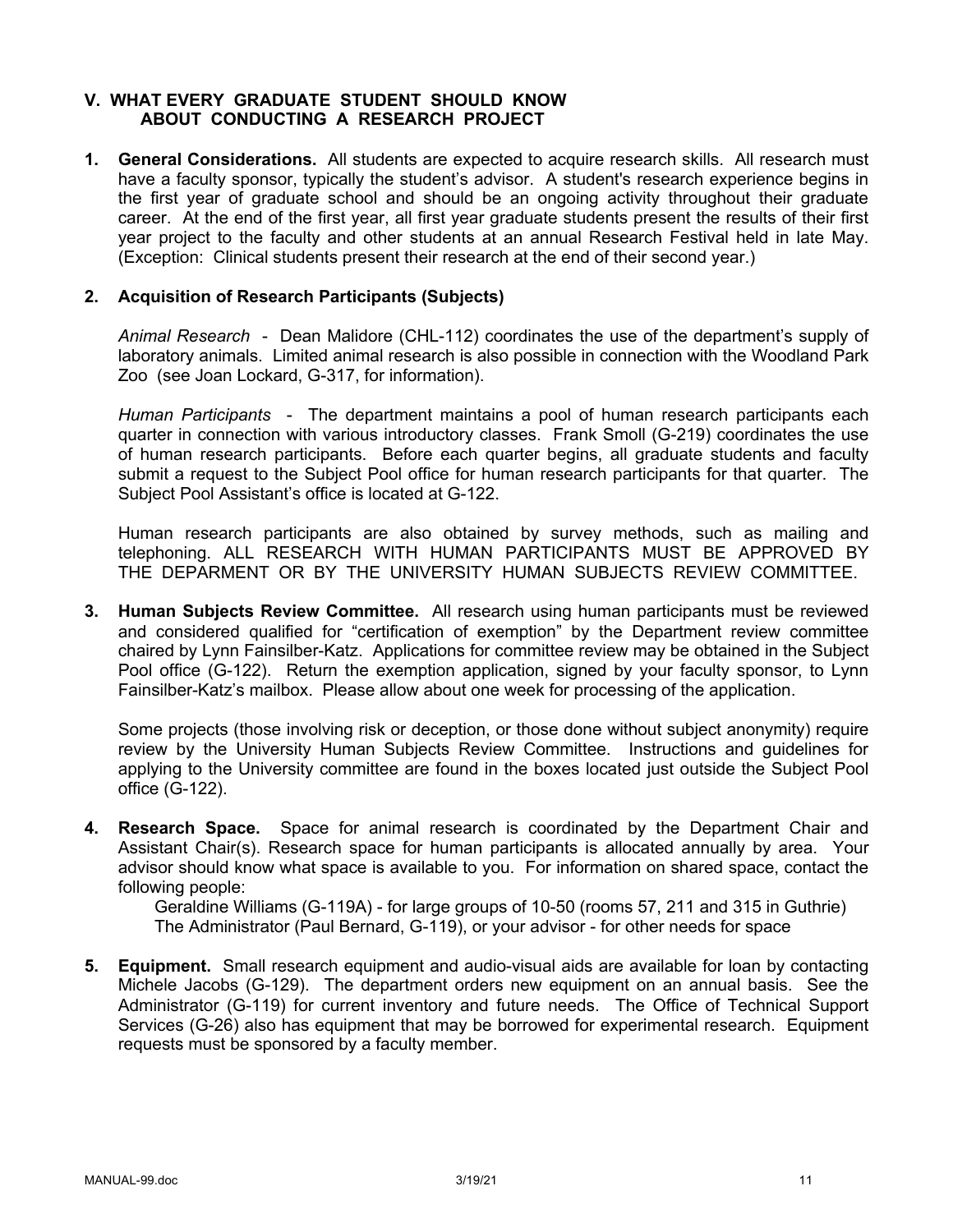## **V. WHAT EVERY GRADUATE STUDENT SHOULD KNOW ABOUT CONDUCTING A RESEARCH PROJECT**

**1. General Considerations.** All students are expected to acquire research skills. All research must have a faculty sponsor, typically the student's advisor. A student's research experience begins in the first year of graduate school and should be an ongoing activity throughout their graduate career. At the end of the first year, all first year graduate students present the results of their first year project to the faculty and other students at an annual Research Festival held in late May. (Exception: Clinical students present their research at the end of their second year.)

#### **2. Acquisition of Research Participants (Subjects)**

*Animal Research* - Dean Malidore (CHL-112) coordinates the use of the department's supply of laboratory animals. Limited animal research is also possible in connection with the Woodland Park Zoo (see Joan Lockard, G-317, for information).

*Human Participants* - The department maintains a pool of human research participants each quarter in connection with various introductory classes. Frank Smoll (G-219) coordinates the use of human research participants. Before each quarter begins, all graduate students and faculty submit a request to the Subject Pool office for human research participants for that quarter. The Subject Pool Assistant's office is located at G-122.

Human research participants are also obtained by survey methods, such as mailing and telephoning. ALL RESEARCH WITH HUMAN PARTICIPANTS MUST BE APPROVED BY THE DEPARMENT OR BY THE UNIVERSITY HUMAN SUBJECTS REVIEW COMMITTEE.

**3. Human Subjects Review Committee.** All research using human participants must be reviewed and considered qualified for "certification of exemption" by the Department review committee chaired by Lynn Fainsilber-Katz. Applications for committee review may be obtained in the Subject Pool office (G-122). Return the exemption application, signed by your faculty sponsor, to Lynn Fainsilber-Katz's mailbox. Please allow about one week for processing of the application.

Some projects (those involving risk or deception, or those done without subject anonymity) require review by the University Human Subjects Review Committee. Instructions and guidelines for applying to the University committee are found in the boxes located just outside the Subject Pool office (G-122).

**4. Research Space.** Space for animal research is coordinated by the Department Chair and Assistant Chair(s). Research space for human participants is allocated annually by area. Your advisor should know what space is available to you. For information on shared space, contact the following people:

Geraldine Williams (G-119A) - for large groups of 10-50 (rooms 57, 211 and 315 in Guthrie) The Administrator (Paul Bernard, G-119), or your advisor - for other needs for space

**5. Equipment.** Small research equipment and audio-visual aids are available for loan by contacting Michele Jacobs (G-129). The department orders new equipment on an annual basis. See the Administrator (G-119) for current inventory and future needs. The Office of Technical Support Services (G-26) also has equipment that may be borrowed for experimental research. Equipment requests must be sponsored by a faculty member.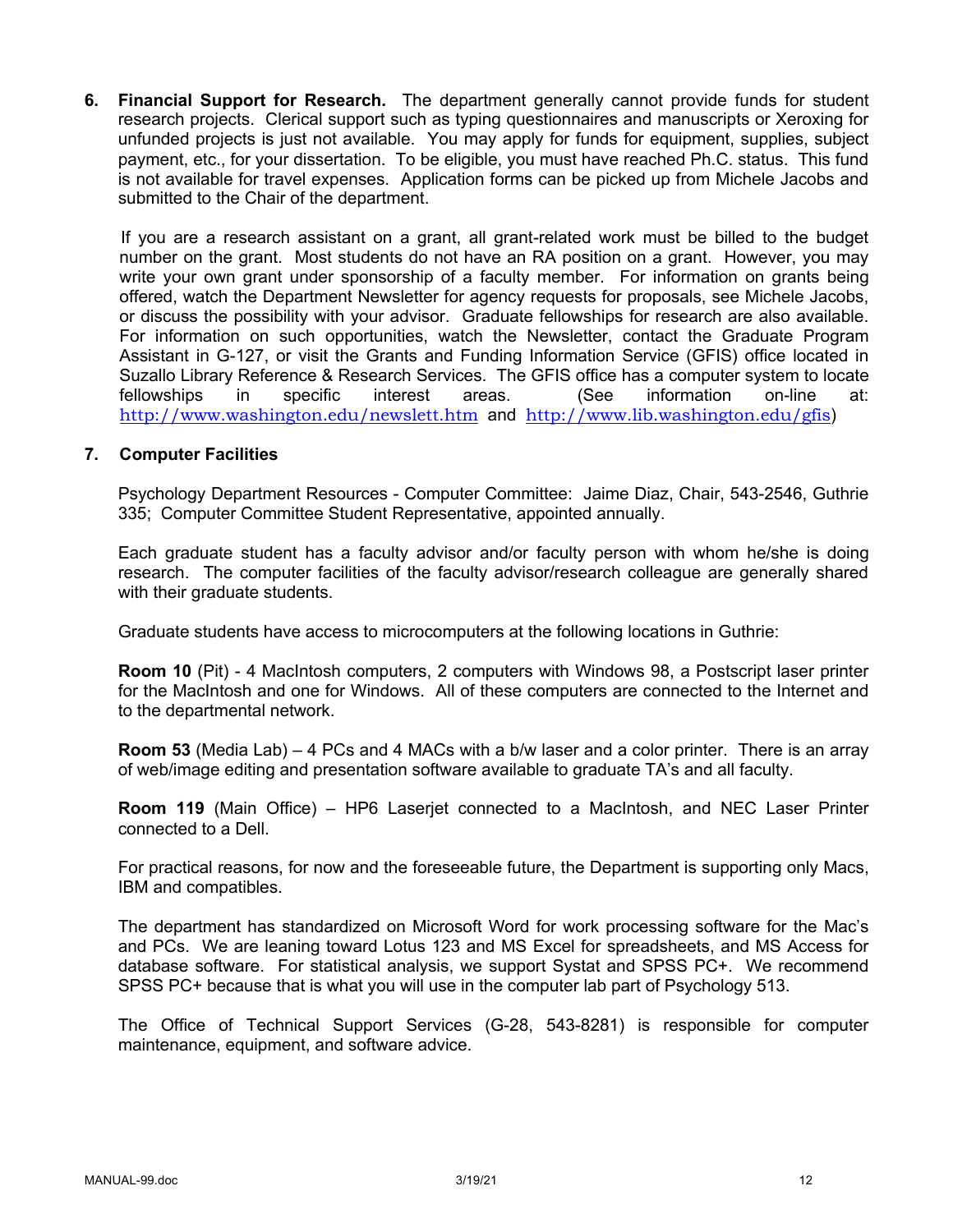**6. Financial Support for Research.** The department generally cannot provide funds for student research projects. Clerical support such as typing questionnaires and manuscripts or Xeroxing for unfunded projects is just not available. You may apply for funds for equipment, supplies, subject payment, etc., for your dissertation. To be eligible, you must have reached Ph.C. status. This fund is not available for travel expenses. Application forms can be picked up from Michele Jacobs and submitted to the Chair of the department.

If you are a research assistant on a grant, all grant-related work must be billed to the budget number on the grant. Most students do not have an RA position on a grant. However, you may write your own grant under sponsorship of a faculty member. For information on grants being offered, watch the Department Newsletter for agency requests for proposals, see Michele Jacobs, or discuss the possibility with your advisor. Graduate fellowships for research are also available. For information on such opportunities, watch the Newsletter, contact the Graduate Program Assistant in G-127, or visit the Grants and Funding Information Service (GFIS) office located in Suzallo Library Reference & Research Services. The GFIS office has a computer system to locate fellowships in specific interest areas. (See information on-line at: http://www.washington.edu/newslett.htm and http://www.lib.washington.edu/gfis)

#### **7. Computer Facilities**

Psychology Department Resources - Computer Committee: Jaime Diaz, Chair, 543-2546, Guthrie 335; Computer Committee Student Representative, appointed annually.

Each graduate student has a faculty advisor and/or faculty person with whom he/she is doing research. The computer facilities of the faculty advisor/research colleague are generally shared with their graduate students.

Graduate students have access to microcomputers at the following locations in Guthrie:

**Room 10** (Pit) - 4 MacIntosh computers, 2 computers with Windows 98, a Postscript laser printer for the MacIntosh and one for Windows. All of these computers are connected to the Internet and to the departmental network.

**Room 53** (Media Lab) – 4 PCs and 4 MACs with a b/w laser and a color printer. There is an array of web/image editing and presentation software available to graduate TA's and all faculty.

**Room 119** (Main Office) – HP6 Laserjet connected to a MacIntosh, and NEC Laser Printer connected to a Dell.

For practical reasons, for now and the foreseeable future, the Department is supporting only Macs, IBM and compatibles.

The department has standardized on Microsoft Word for work processing software for the Mac's and PCs. We are leaning toward Lotus 123 and MS Excel for spreadsheets, and MS Access for database software. For statistical analysis, we support Systat and SPSS PC+. We recommend SPSS PC+ because that is what you will use in the computer lab part of Psychology 513.

The Office of Technical Support Services (G-28, 543-8281) is responsible for computer maintenance, equipment, and software advice.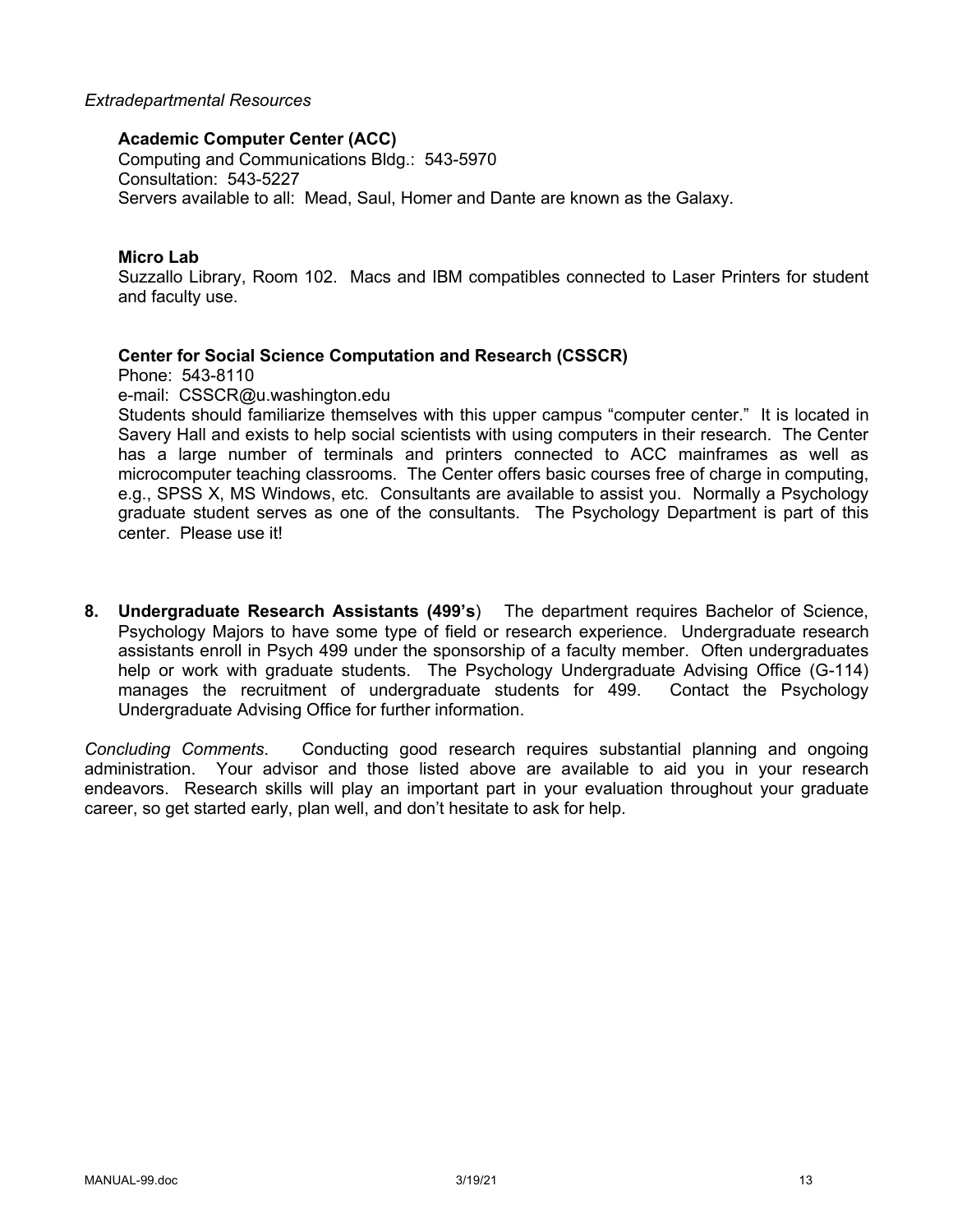#### *Extradepartmental Resources*

#### **Academic Computer Center (ACC)**

Computing and Communications Bldg.: 543-5970 Consultation: 543-5227 Servers available to all: Mead, Saul, Homer and Dante are known as the Galaxy.

#### **Micro Lab**

Suzzallo Library, Room 102. Macs and IBM compatibles connected to Laser Printers for student and faculty use.

#### **Center for Social Science Computation and Research (CSSCR)**

Phone: 543-8110

e-mail: CSSCR@u.washington.edu

Students should familiarize themselves with this upper campus "computer center." It is located in Savery Hall and exists to help social scientists with using computers in their research. The Center has a large number of terminals and printers connected to ACC mainframes as well as microcomputer teaching classrooms. The Center offers basic courses free of charge in computing, e.g., SPSS X, MS Windows, etc. Consultants are available to assist you. Normally a Psychology graduate student serves as one of the consultants. The Psychology Department is part of this center. Please use it!

**8. Undergraduate Research Assistants (499's**) The department requires Bachelor of Science, Psychology Majors to have some type of field or research experience. Undergraduate research assistants enroll in Psych 499 under the sponsorship of a faculty member. Often undergraduates help or work with graduate students. The Psychology Undergraduate Advising Office (G-114) manages the recruitment of undergraduate students for 499. Contact the Psychology Undergraduate Advising Office for further information.

*Concluding Comments*. Conducting good research requires substantial planning and ongoing administration. Your advisor and those listed above are available to aid you in your research endeavors. Research skills will play an important part in your evaluation throughout your graduate career, so get started early, plan well, and don't hesitate to ask for help.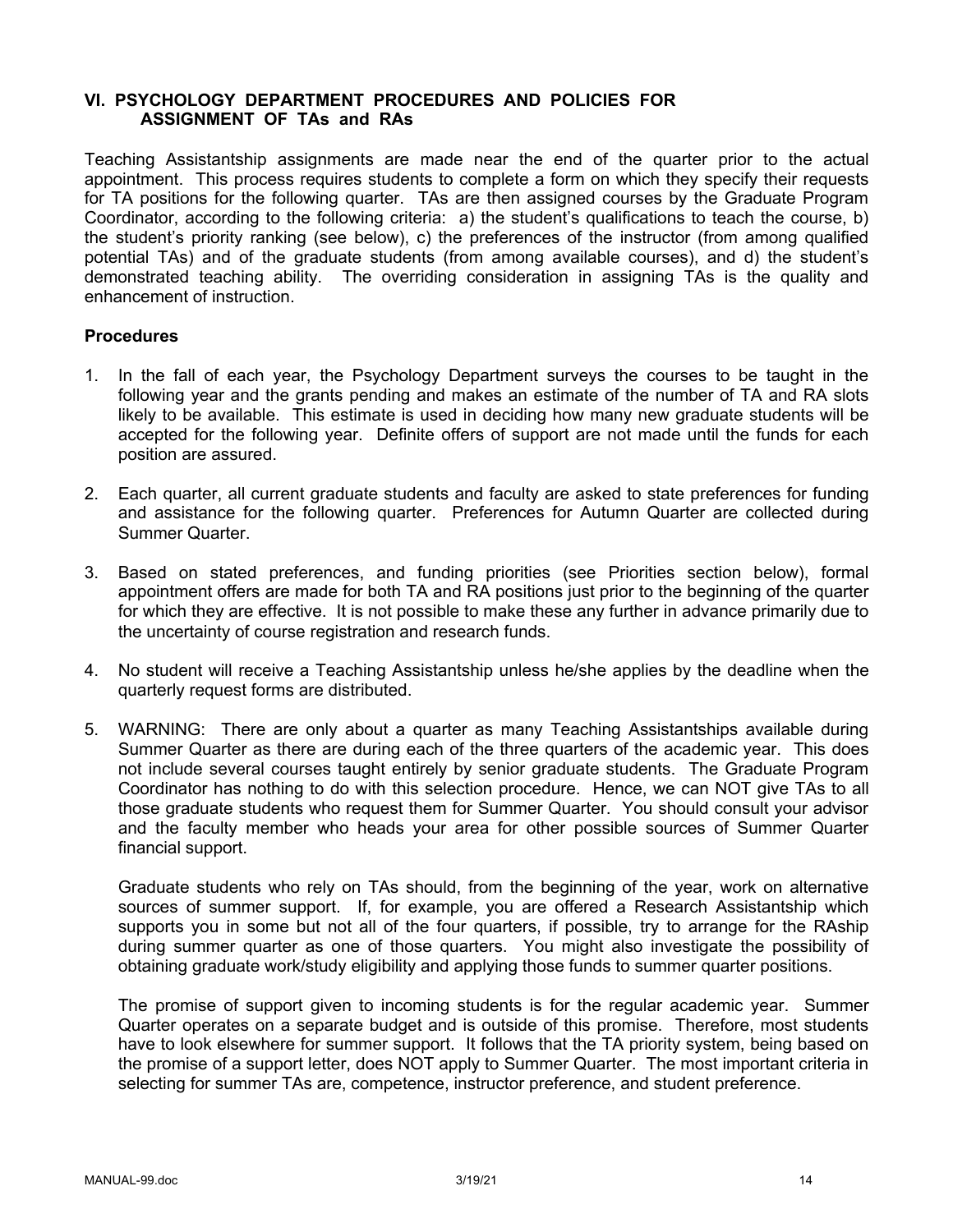## **VI. PSYCHOLOGY DEPARTMENT PROCEDURES AND POLICIES FOR ASSIGNMENT OF TAs and RAs**

Teaching Assistantship assignments are made near the end of the quarter prior to the actual appointment. This process requires students to complete a form on which they specify their requests for TA positions for the following quarter. TAs are then assigned courses by the Graduate Program Coordinator, according to the following criteria: a) the student's qualifications to teach the course, b) the student's priority ranking (see below), c) the preferences of the instructor (from among qualified potential TAs) and of the graduate students (from among available courses), and d) the student's demonstrated teaching ability. The overriding consideration in assigning TAs is the quality and enhancement of instruction.

## **Procedures**

- 1. In the fall of each year, the Psychology Department surveys the courses to be taught in the following year and the grants pending and makes an estimate of the number of TA and RA slots likely to be available. This estimate is used in deciding how many new graduate students will be accepted for the following year. Definite offers of support are not made until the funds for each position are assured.
- 2. Each quarter, all current graduate students and faculty are asked to state preferences for funding and assistance for the following quarter. Preferences for Autumn Quarter are collected during Summer Quarter.
- 3. Based on stated preferences, and funding priorities (see Priorities section below), formal appointment offers are made for both TA and RA positions just prior to the beginning of the quarter for which they are effective. It is not possible to make these any further in advance primarily due to the uncertainty of course registration and research funds.
- 4. No student will receive a Teaching Assistantship unless he/she applies by the deadline when the quarterly request forms are distributed.
- 5. WARNING: There are only about a quarter as many Teaching Assistantships available during Summer Quarter as there are during each of the three quarters of the academic year. This does not include several courses taught entirely by senior graduate students. The Graduate Program Coordinator has nothing to do with this selection procedure. Hence, we can NOT give TAs to all those graduate students who request them for Summer Quarter. You should consult your advisor and the faculty member who heads your area for other possible sources of Summer Quarter financial support.

Graduate students who rely on TAs should, from the beginning of the year, work on alternative sources of summer support. If, for example, you are offered a Research Assistantship which supports you in some but not all of the four quarters, if possible, try to arrange for the RAship during summer quarter as one of those quarters. You might also investigate the possibility of obtaining graduate work/study eligibility and applying those funds to summer quarter positions.

The promise of support given to incoming students is for the regular academic year. Summer Quarter operates on a separate budget and is outside of this promise. Therefore, most students have to look elsewhere for summer support. It follows that the TA priority system, being based on the promise of a support letter, does NOT apply to Summer Quarter. The most important criteria in selecting for summer TAs are, competence, instructor preference, and student preference.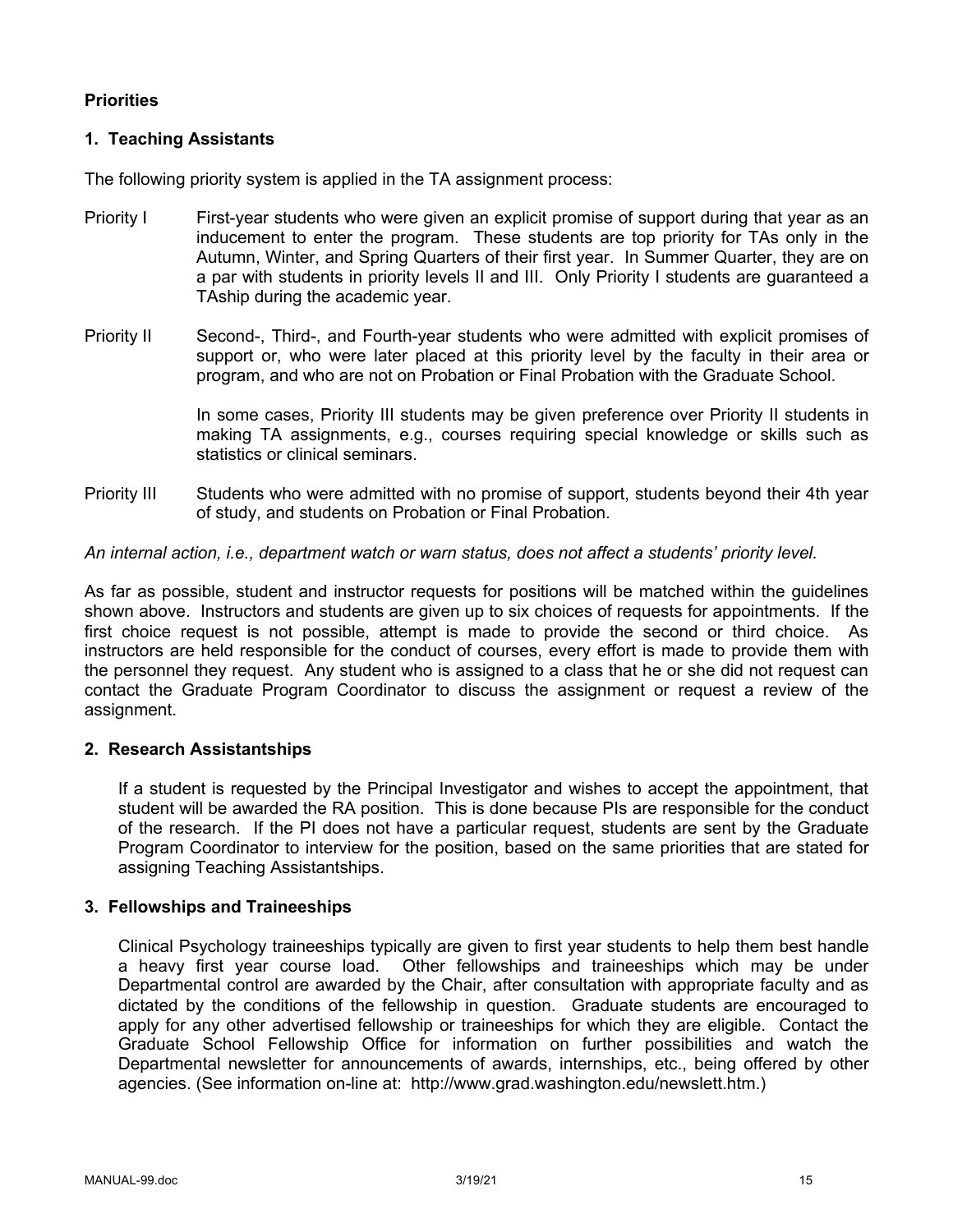## **Priorities**

## **1. Teaching Assistants**

The following priority system is applied in the TA assignment process:

- Priority I First-year students who were given an explicit promise of support during that year as an inducement to enter the program. These students are top priority for TAs only in the Autumn, Winter, and Spring Quarters of their first year. In Summer Quarter, they are on a par with students in priority levels II and III. Only Priority I students are guaranteed a TAship during the academic year.
- Priority II Second-, Third-, and Fourth-year students who were admitted with explicit promises of support or, who were later placed at this priority level by the faculty in their area or program, and who are not on Probation or Final Probation with the Graduate School.

In some cases, Priority III students may be given preference over Priority II students in making TA assignments, e.g., courses requiring special knowledge or skills such as statistics or clinical seminars.

Priority III Students who were admitted with no promise of support, students beyond their 4th year of study, and students on Probation or Final Probation.

#### *An internal action, i.e., department watch or warn status, does not affect a students' priority level.*

As far as possible, student and instructor requests for positions will be matched within the guidelines shown above. Instructors and students are given up to six choices of requests for appointments. If the first choice request is not possible, attempt is made to provide the second or third choice. As instructors are held responsible for the conduct of courses, every effort is made to provide them with the personnel they request. Any student who is assigned to a class that he or she did not request can contact the Graduate Program Coordinator to discuss the assignment or request a review of the assignment.

#### **2. Research Assistantships**

If a student is requested by the Principal Investigator and wishes to accept the appointment, that student will be awarded the RA position. This is done because PIs are responsible for the conduct of the research. If the PI does not have a particular request, students are sent by the Graduate Program Coordinator to interview for the position, based on the same priorities that are stated for assigning Teaching Assistantships.

#### **3. Fellowships and Traineeships**

Clinical Psychology traineeships typically are given to first year students to help them best handle a heavy first year course load. Other fellowships and traineeships which may be under Departmental control are awarded by the Chair, after consultation with appropriate faculty and as dictated by the conditions of the fellowship in question. Graduate students are encouraged to apply for any other advertised fellowship or traineeships for which they are eligible. Contact the Graduate School Fellowship Office for information on further possibilities and watch the Departmental newsletter for announcements of awards, internships, etc., being offered by other agencies. (See information on-line at: http://www.grad.washington.edu/newslett.htm.)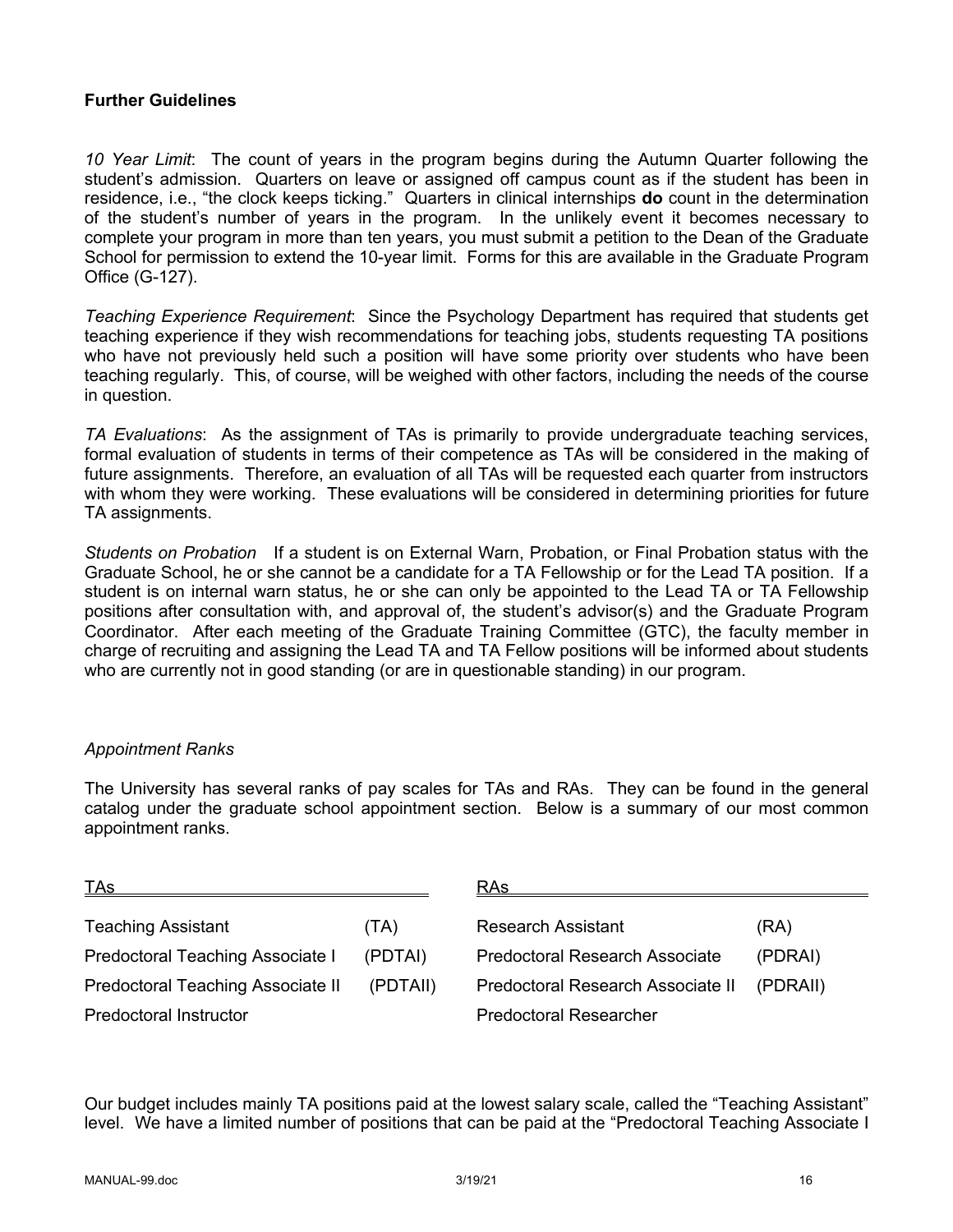## **Further Guidelines**

*10 Year Limit*: The count of years in the program begins during the Autumn Quarter following the student's admission. Quarters on leave or assigned off campus count as if the student has been in residence, i.e., "the clock keeps ticking." Quarters in clinical internships **do** count in the determination of the student's number of years in the program. In the unlikely event it becomes necessary to complete your program in more than ten years, you must submit a petition to the Dean of the Graduate School for permission to extend the 10-year limit. Forms for this are available in the Graduate Program Office (G-127).

*Teaching Experience Requirement*: Since the Psychology Department has required that students get teaching experience if they wish recommendations for teaching jobs, students requesting TA positions who have not previously held such a position will have some priority over students who have been teaching regularly. This, of course, will be weighed with other factors, including the needs of the course in question.

*TA Evaluations*: As the assignment of TAs is primarily to provide undergraduate teaching services, formal evaluation of students in terms of their competence as TAs will be considered in the making of future assignments. Therefore, an evaluation of all TAs will be requested each quarter from instructors with whom they were working. These evaluations will be considered in determining priorities for future TA assignments.

*Students on Probation* If a student is on External Warn, Probation, or Final Probation status with the Graduate School, he or she cannot be a candidate for a TA Fellowship or for the Lead TA position. If a student is on internal warn status, he or she can only be appointed to the Lead TA or TA Fellowship positions after consultation with, and approval of, the student's advisor(s) and the Graduate Program Coordinator. After each meeting of the Graduate Training Committee (GTC), the faculty member in charge of recruiting and assigning the Lead TA and TA Fellow positions will be informed about students who are currently not in good standing (or are in questionable standing) in our program.

## *Appointment Ranks*

The University has several ranks of pay scales for TAs and RAs. They can be found in the general catalog under the graduate school appointment section. Below is a summary of our most common appointment ranks.

| <u>TAs</u>                        |          | RAs.                                  |          |  |
|-----------------------------------|----------|---------------------------------------|----------|--|
| <b>Teaching Assistant</b>         | (TA)     | <b>Research Assistant</b>             | (RA)     |  |
| Predoctoral Teaching Associate I  | (PDTAI)  | <b>Predoctoral Research Associate</b> | (PDRAI)  |  |
| Predoctoral Teaching Associate II | (PDTAII) | Predoctoral Research Associate II     | (PDRAII) |  |
| <b>Predoctoral Instructor</b>     |          | <b>Predoctoral Researcher</b>         |          |  |

Our budget includes mainly TA positions paid at the lowest salary scale, called the "Teaching Assistant" level. We have a limited number of positions that can be paid at the "Predoctoral Teaching Associate I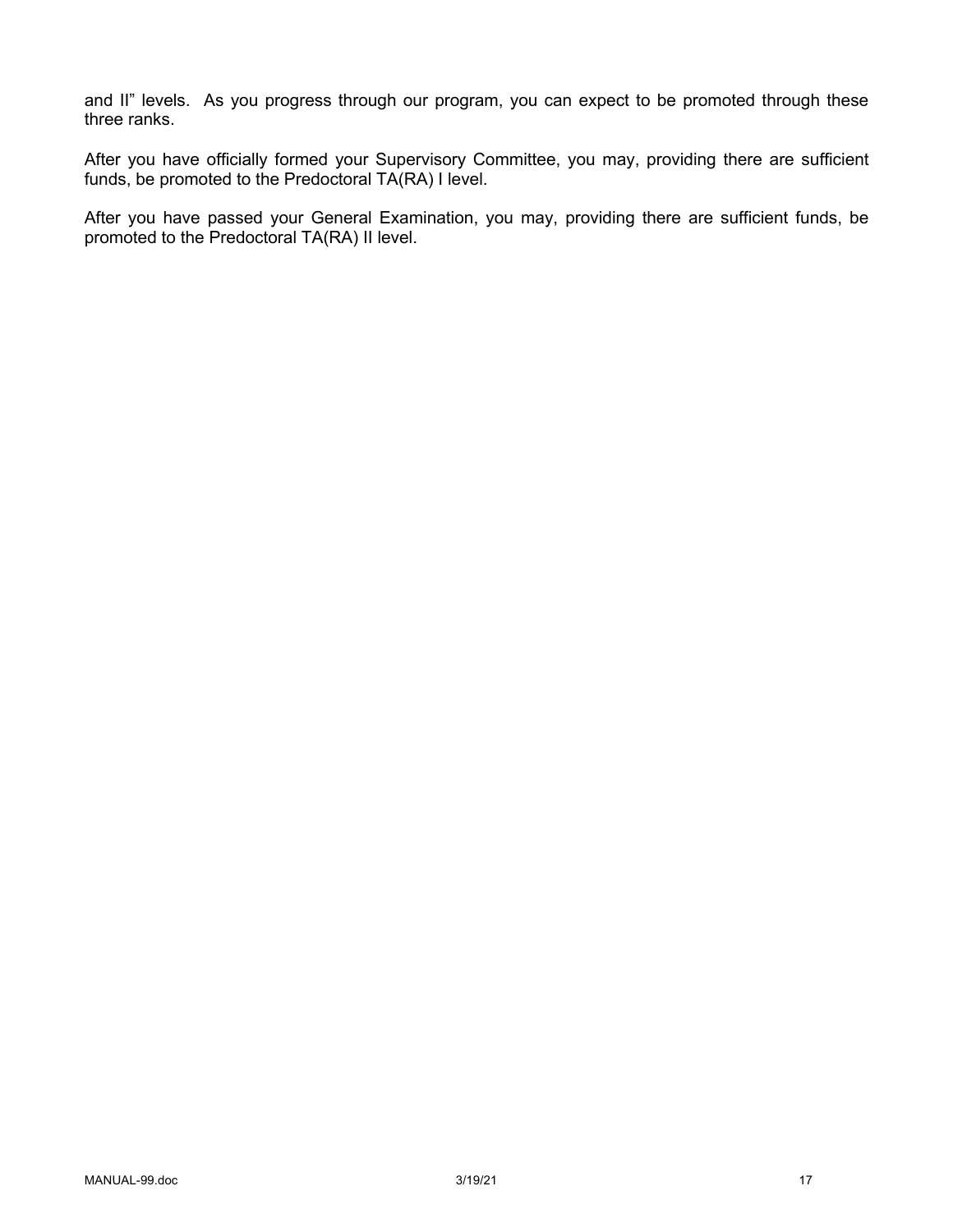and II" levels. As you progress through our program, you can expect to be promoted through these three ranks.

After you have officially formed your Supervisory Committee, you may, providing there are sufficient funds, be promoted to the Predoctoral TA(RA) I level.

After you have passed your General Examination, you may, providing there are sufficient funds, be promoted to the Predoctoral TA(RA) II level.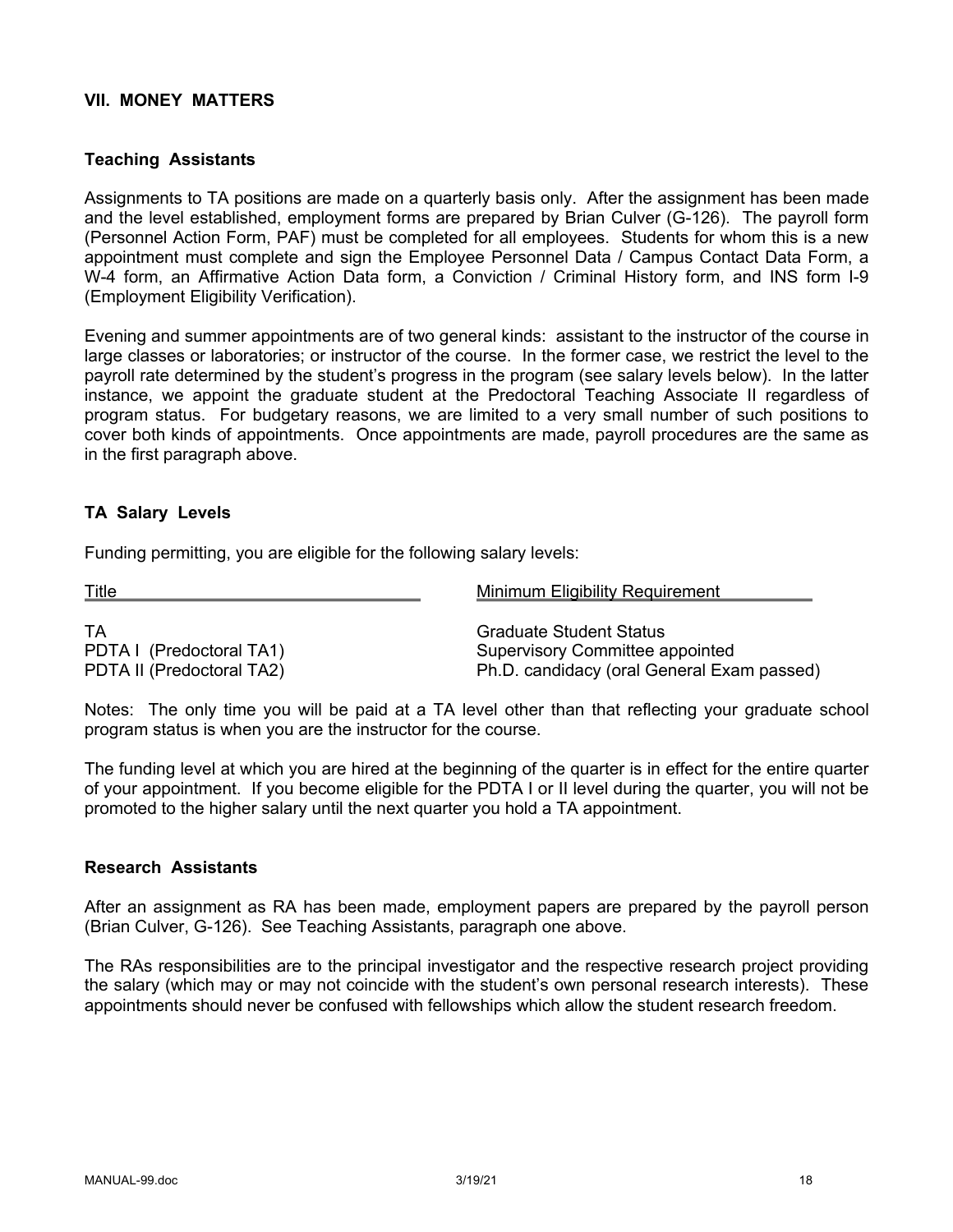#### **VII. MONEY MATTERS**

#### **Teaching Assistants**

Assignments to TA positions are made on a quarterly basis only. After the assignment has been made and the level established, employment forms are prepared by Brian Culver (G-126). The payroll form (Personnel Action Form, PAF) must be completed for all employees. Students for whom this is a new appointment must complete and sign the Employee Personnel Data / Campus Contact Data Form, a W-4 form, an Affirmative Action Data form, a Conviction / Criminal History form, and INS form I-9 (Employment Eligibility Verification).

Evening and summer appointments are of two general kinds: assistant to the instructor of the course in large classes or laboratories; or instructor of the course. In the former case, we restrict the level to the payroll rate determined by the student's progress in the program (see salary levels below). In the latter instance, we appoint the graduate student at the Predoctoral Teaching Associate II regardless of program status. For budgetary reasons, we are limited to a very small number of such positions to cover both kinds of appointments. Once appointments are made, payroll procedures are the same as in the first paragraph above.

#### **TA Salary Levels**

Funding permitting, you are eligible for the following salary levels:

TA Graduate Student Status

Title **Title Minimum Eligibility Requirement** 

PDTA I (Predoctoral TA1) Supervisory Committee appointed PDTA II (Predoctoral TA2) Ph.D. candidacy (oral General Exam passed)

Notes: The only time you will be paid at a TA level other than that reflecting your graduate school program status is when you are the instructor for the course.

The funding level at which you are hired at the beginning of the quarter is in effect for the entire quarter of your appointment. If you become eligible for the PDTA I or II level during the quarter, you will not be promoted to the higher salary until the next quarter you hold a TA appointment.

#### **Research Assistants**

After an assignment as RA has been made, employment papers are prepared by the payroll person (Brian Culver, G-126). See Teaching Assistants, paragraph one above.

The RAs responsibilities are to the principal investigator and the respective research project providing the salary (which may or may not coincide with the student's own personal research interests). These appointments should never be confused with fellowships which allow the student research freedom.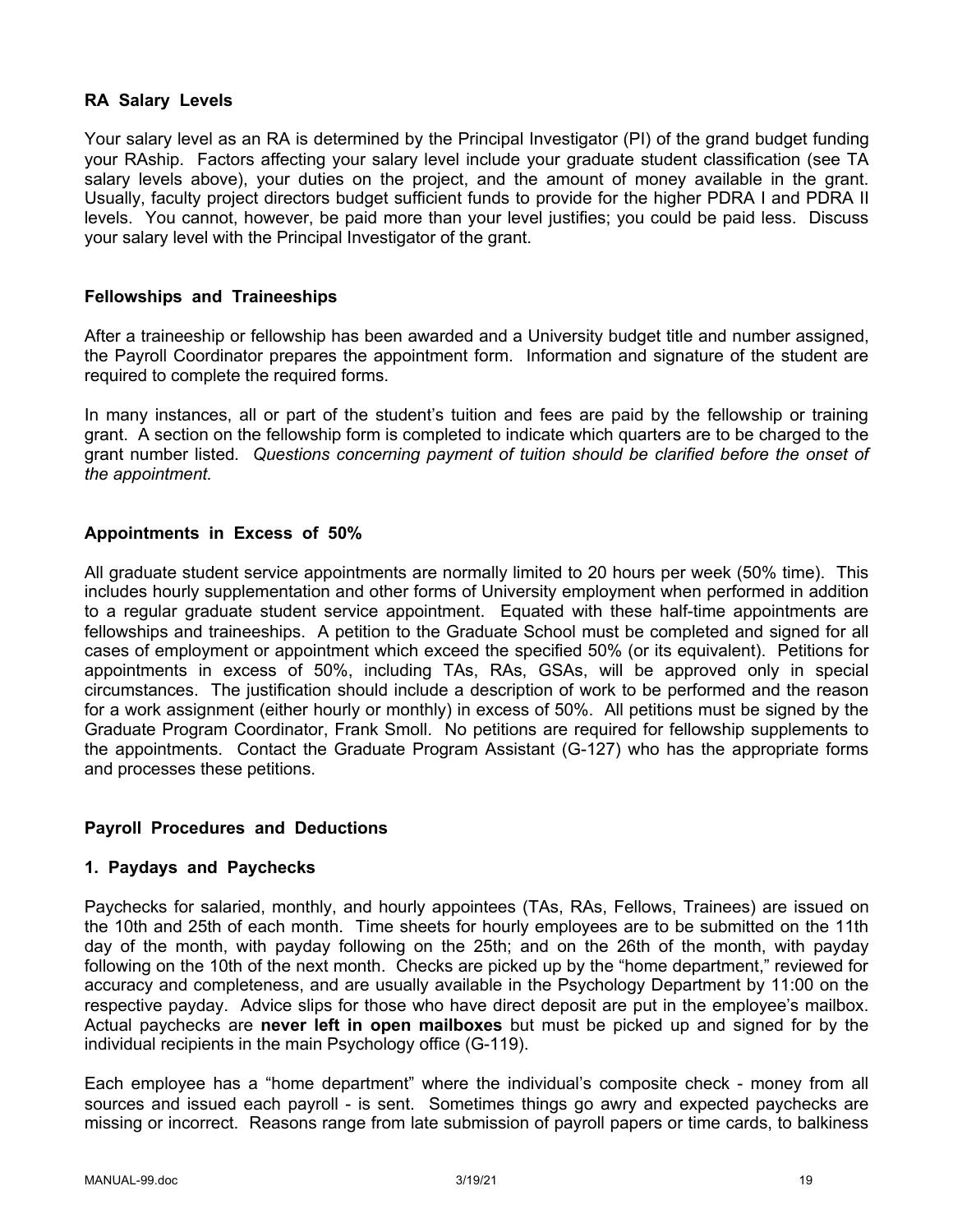## **RA Salary Levels**

Your salary level as an RA is determined by the Principal Investigator (PI) of the grand budget funding your RAship. Factors affecting your salary level include your graduate student classification (see TA salary levels above), your duties on the project, and the amount of money available in the grant. Usually, faculty project directors budget sufficient funds to provide for the higher PDRA I and PDRA II levels. You cannot, however, be paid more than your level justifies; you could be paid less. Discuss your salary level with the Principal Investigator of the grant.

## **Fellowships and Traineeships**

After a traineeship or fellowship has been awarded and a University budget title and number assigned, the Payroll Coordinator prepares the appointment form. Information and signature of the student are required to complete the required forms.

In many instances, all or part of the student's tuition and fees are paid by the fellowship or training grant. A section on the fellowship form is completed to indicate which quarters are to be charged to the grant number listed*. Questions concerning payment of tuition should be clarified before the onset of the appointment.*

## **Appointments in Excess of 50%**

All graduate student service appointments are normally limited to 20 hours per week (50% time). This includes hourly supplementation and other forms of University employment when performed in addition to a regular graduate student service appointment. Equated with these half-time appointments are fellowships and traineeships. A petition to the Graduate School must be completed and signed for all cases of employment or appointment which exceed the specified 50% (or its equivalent). Petitions for appointments in excess of 50%, including TAs, RAs, GSAs, will be approved only in special circumstances. The justification should include a description of work to be performed and the reason for a work assignment (either hourly or monthly) in excess of 50%. All petitions must be signed by the Graduate Program Coordinator, Frank Smoll. No petitions are required for fellowship supplements to the appointments. Contact the Graduate Program Assistant (G-127) who has the appropriate forms and processes these petitions.

#### **Payroll Procedures and Deductions**

#### **1. Paydays and Paychecks**

Paychecks for salaried, monthly, and hourly appointees (TAs, RAs, Fellows, Trainees) are issued on the 10th and 25th of each month. Time sheets for hourly employees are to be submitted on the 11th day of the month, with payday following on the 25th; and on the 26th of the month, with payday following on the 10th of the next month. Checks are picked up by the "home department," reviewed for accuracy and completeness, and are usually available in the Psychology Department by 11:00 on the respective payday. Advice slips for those who have direct deposit are put in the employee's mailbox. Actual paychecks are **never left in open mailboxes** but must be picked up and signed for by the individual recipients in the main Psychology office (G-119).

Each employee has a "home department" where the individual's composite check - money from all sources and issued each payroll - is sent. Sometimes things go awry and expected paychecks are missing or incorrect. Reasons range from late submission of payroll papers or time cards, to balkiness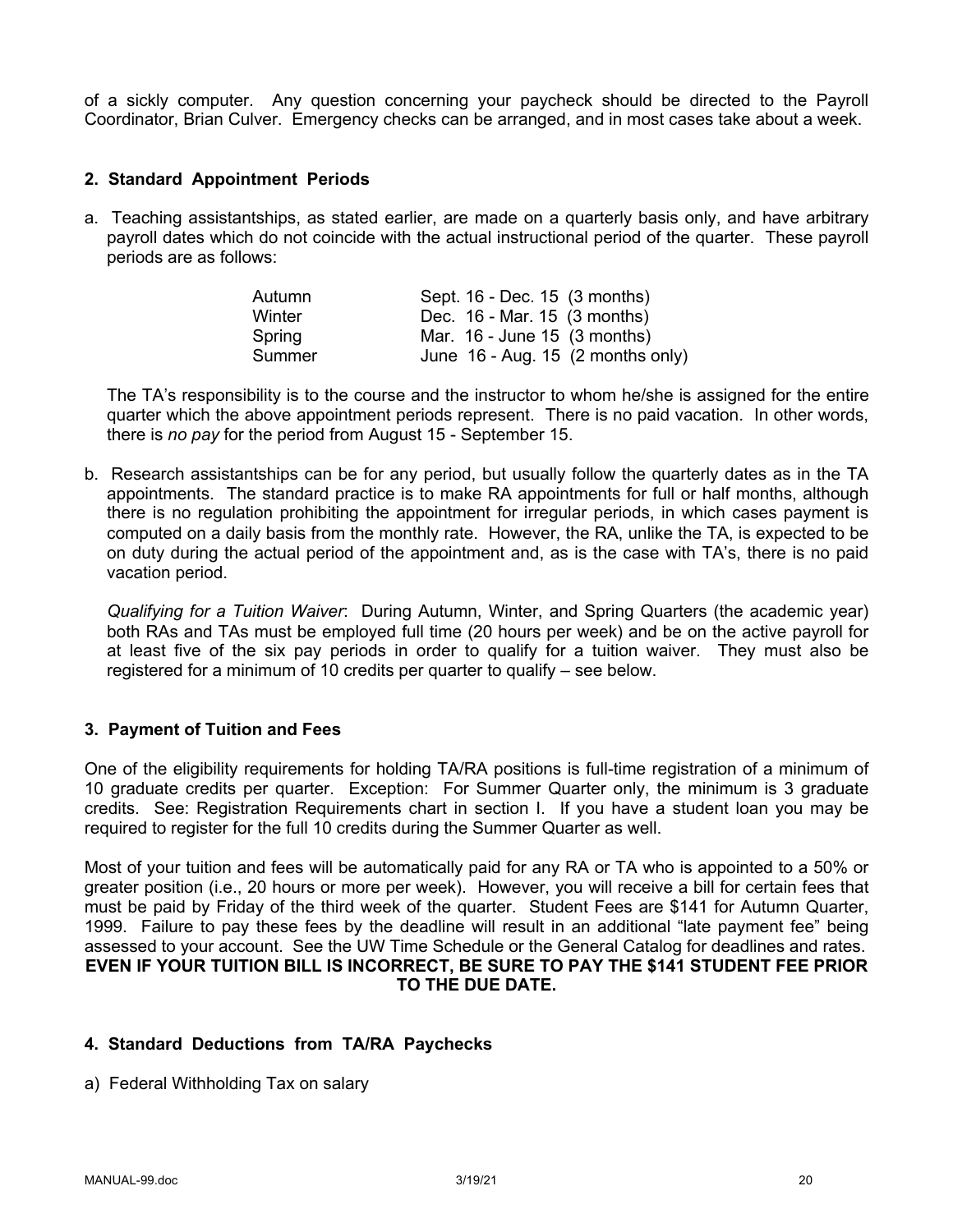of a sickly computer. Any question concerning your paycheck should be directed to the Payroll Coordinator, Brian Culver. Emergency checks can be arranged, and in most cases take about a week.

## **2. Standard Appointment Periods**

a. Teaching assistantships, as stated earlier, are made on a quarterly basis only, and have arbitrary payroll dates which do not coincide with the actual instructional period of the quarter. These payroll periods are as follows:

| Autumn | Sept. 16 - Dec. 15 (3 months)                 |
|--------|-----------------------------------------------|
| Winter | Dec. 16 - Mar. 15 (3 months)                  |
| Spring | Mar. $16$ - June 15 $(3$ months)              |
| Summer | June $16$ - Aug. 15 $(2 \text{ months only})$ |

The TA's responsibility is to the course and the instructor to whom he/she is assigned for the entire quarter which the above appointment periods represent. There is no paid vacation. In other words, there is *no pay* for the period from August 15 - September 15.

b. Research assistantships can be for any period, but usually follow the quarterly dates as in the TA appointments. The standard practice is to make RA appointments for full or half months, although there is no regulation prohibiting the appointment for irregular periods, in which cases payment is computed on a daily basis from the monthly rate. However, the RA, unlike the TA, is expected to be on duty during the actual period of the appointment and, as is the case with TA's, there is no paid vacation period.

*Qualifying for a Tuition Waiver*: During Autumn, Winter, and Spring Quarters (the academic year) both RAs and TAs must be employed full time (20 hours per week) and be on the active payroll for at least five of the six pay periods in order to qualify for a tuition waiver. They must also be registered for a minimum of 10 credits per quarter to qualify – see below.

#### **3. Payment of Tuition and Fees**

One of the eligibility requirements for holding TA/RA positions is full-time registration of a minimum of 10 graduate credits per quarter. Exception: For Summer Quarter only, the minimum is 3 graduate credits. See: Registration Requirements chart in section I. If you have a student loan you may be required to register for the full 10 credits during the Summer Quarter as well.

Most of your tuition and fees will be automatically paid for any RA or TA who is appointed to a 50% or greater position (i.e., 20 hours or more per week). However, you will receive a bill for certain fees that must be paid by Friday of the third week of the quarter. Student Fees are \$141 for Autumn Quarter, 1999. Failure to pay these fees by the deadline will result in an additional "late payment fee" being assessed to your account. See the UW Time Schedule or the General Catalog for deadlines and rates. **EVEN IF YOUR TUITION BILL IS INCORRECT, BE SURE TO PAY THE \$141 STUDENT FEE PRIOR TO THE DUE DATE.**

## **4. Standard Deductions from TA/RA Paychecks**

a) Federal Withholding Tax on salary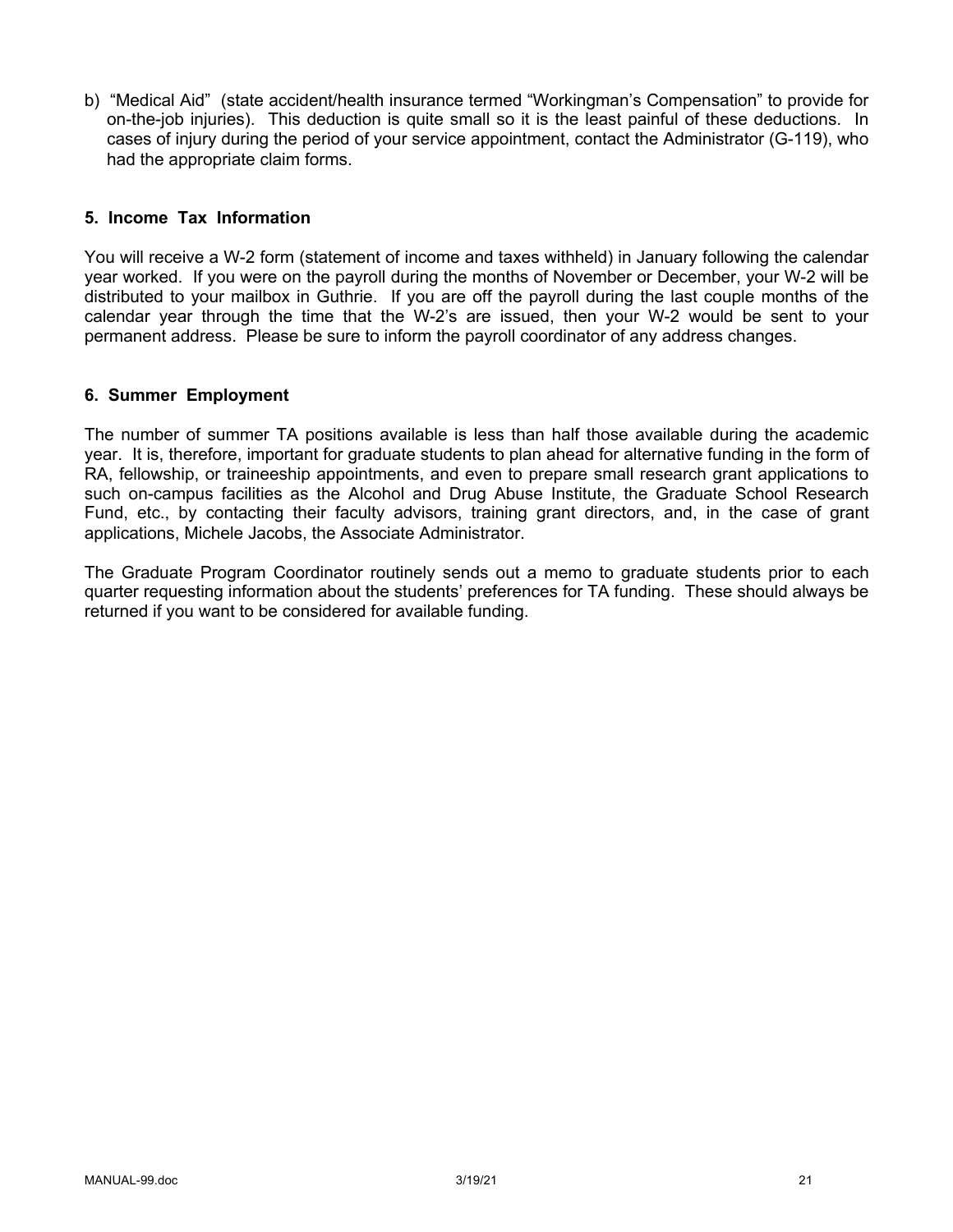b) "Medical Aid" (state accident/health insurance termed "Workingman's Compensation" to provide for on-the-job injuries). This deduction is quite small so it is the least painful of these deductions. In cases of injury during the period of your service appointment, contact the Administrator (G-119), who had the appropriate claim forms.

## **5. Income Tax Information**

You will receive a W-2 form (statement of income and taxes withheld) in January following the calendar year worked. If you were on the payroll during the months of November or December, your W-2 will be distributed to your mailbox in Guthrie. If you are off the payroll during the last couple months of the calendar year through the time that the W-2's are issued, then your W-2 would be sent to your permanent address. Please be sure to inform the payroll coordinator of any address changes.

#### **6. Summer Employment**

The number of summer TA positions available is less than half those available during the academic year. It is, therefore, important for graduate students to plan ahead for alternative funding in the form of RA, fellowship, or traineeship appointments, and even to prepare small research grant applications to such on-campus facilities as the Alcohol and Drug Abuse Institute, the Graduate School Research Fund, etc., by contacting their faculty advisors, training grant directors, and, in the case of grant applications, Michele Jacobs, the Associate Administrator.

The Graduate Program Coordinator routinely sends out a memo to graduate students prior to each quarter requesting information about the students' preferences for TA funding. These should always be returned if you want to be considered for available funding.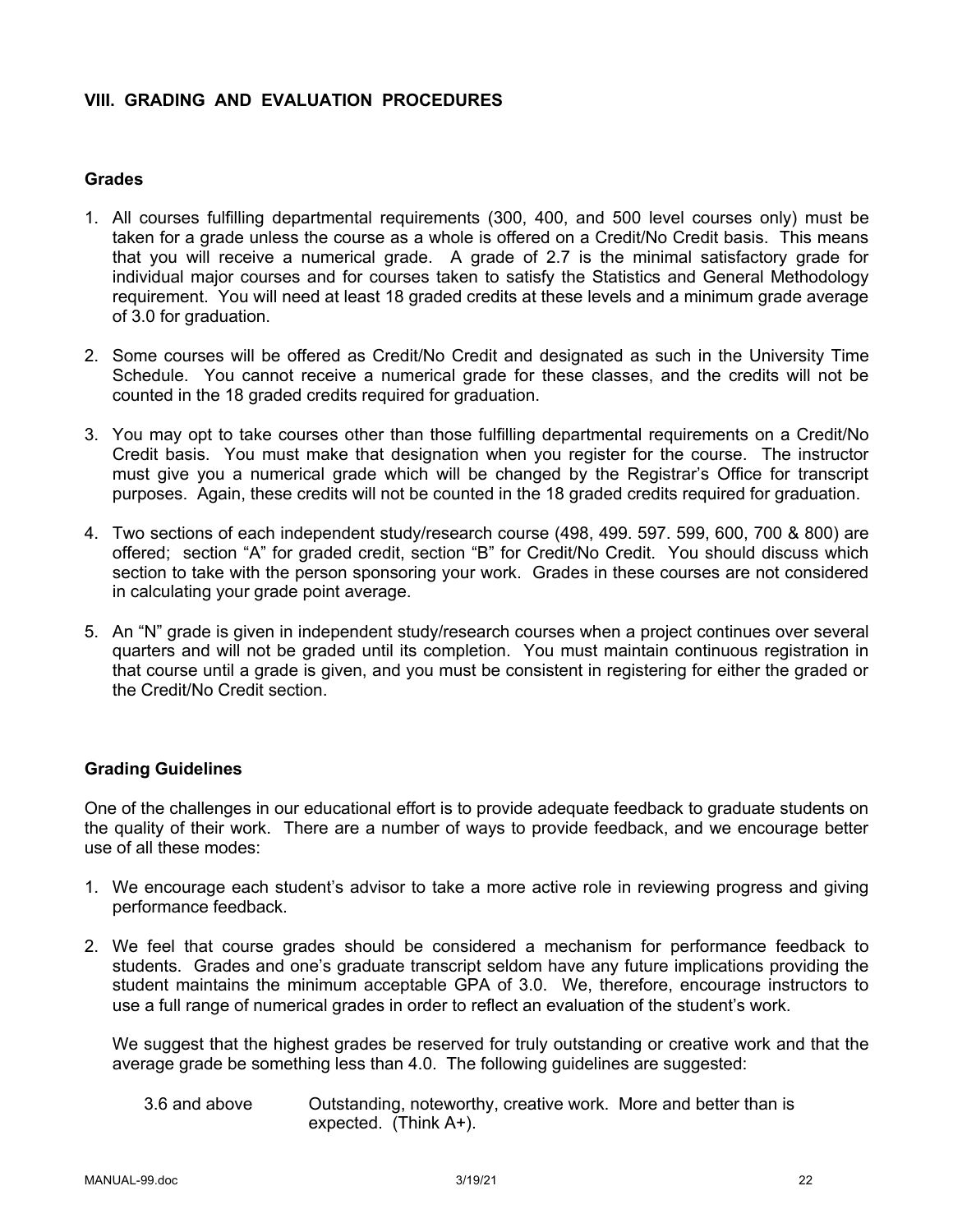## **VIII. GRADING AND EVALUATION PROCEDURES**

#### **Grades**

- 1. All courses fulfilling departmental requirements (300, 400, and 500 level courses only) must be taken for a grade unless the course as a whole is offered on a Credit/No Credit basis. This means that you will receive a numerical grade. A grade of 2.7 is the minimal satisfactory grade for individual major courses and for courses taken to satisfy the Statistics and General Methodology requirement. You will need at least 18 graded credits at these levels and a minimum grade average of 3.0 for graduation.
- 2. Some courses will be offered as Credit/No Credit and designated as such in the University Time Schedule. You cannot receive a numerical grade for these classes, and the credits will not be counted in the 18 graded credits required for graduation.
- 3. You may opt to take courses other than those fulfilling departmental requirements on a Credit/No Credit basis. You must make that designation when you register for the course. The instructor must give you a numerical grade which will be changed by the Registrar's Office for transcript purposes. Again, these credits will not be counted in the 18 graded credits required for graduation.
- 4. Two sections of each independent study/research course (498, 499. 597. 599, 600, 700 & 800) are offered; section "A" for graded credit, section "B" for Credit/No Credit. You should discuss which section to take with the person sponsoring your work. Grades in these courses are not considered in calculating your grade point average.
- 5. An "N" grade is given in independent study/research courses when a project continues over several quarters and will not be graded until its completion. You must maintain continuous registration in that course until a grade is given, and you must be consistent in registering for either the graded or the Credit/No Credit section.

#### **Grading Guidelines**

One of the challenges in our educational effort is to provide adequate feedback to graduate students on the quality of their work. There are a number of ways to provide feedback, and we encourage better use of all these modes:

- 1. We encourage each student's advisor to take a more active role in reviewing progress and giving performance feedback.
- 2. We feel that course grades should be considered a mechanism for performance feedback to students. Grades and one's graduate transcript seldom have any future implications providing the student maintains the minimum acceptable GPA of 3.0. We, therefore, encourage instructors to use a full range of numerical grades in order to reflect an evaluation of the student's work.

We suggest that the highest grades be reserved for truly outstanding or creative work and that the average grade be something less than 4.0. The following guidelines are suggested:

3.6 and above Outstanding, noteworthy, creative work. More and better than is expected. (Think A+).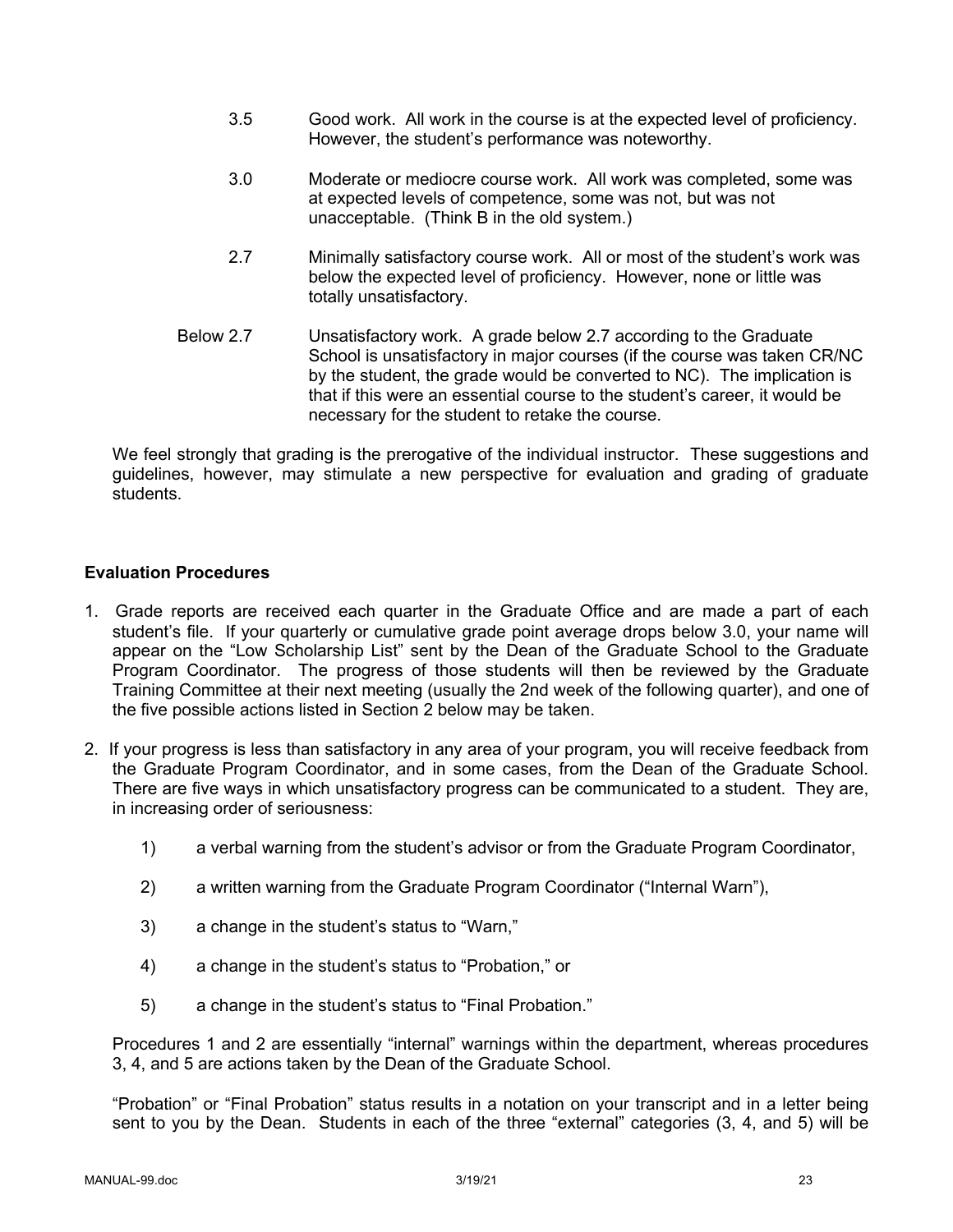- 3.5 Good work. All work in the course is at the expected level of proficiency. However, the student's performance was noteworthy.
- 3.0 Moderate or mediocre course work. All work was completed, some was at expected levels of competence, some was not, but was not unacceptable. (Think B in the old system.)
- 2.7 Minimally satisfactory course work. All or most of the student's work was below the expected level of proficiency. However, none or little was totally unsatisfactory.
- Below 2.7 Unsatisfactory work. A grade below 2.7 according to the Graduate School is unsatisfactory in major courses (if the course was taken CR/NC by the student, the grade would be converted to NC). The implication is that if this were an essential course to the student's career, it would be necessary for the student to retake the course.

We feel strongly that grading is the prerogative of the individual instructor. These suggestions and guidelines, however, may stimulate a new perspective for evaluation and grading of graduate students.

## **Evaluation Procedures**

- 1. Grade reports are received each quarter in the Graduate Office and are made a part of each student's file. If your quarterly or cumulative grade point average drops below 3.0, your name will appear on the "Low Scholarship List" sent by the Dean of the Graduate School to the Graduate Program Coordinator. The progress of those students will then be reviewed by the Graduate Training Committee at their next meeting (usually the 2nd week of the following quarter), and one of the five possible actions listed in Section 2 below may be taken.
- 2. If your progress is less than satisfactory in any area of your program, you will receive feedback from the Graduate Program Coordinator, and in some cases, from the Dean of the Graduate School. There are five ways in which unsatisfactory progress can be communicated to a student. They are, in increasing order of seriousness:
	- 1) a verbal warning from the student's advisor or from the Graduate Program Coordinator,
	- 2) a written warning from the Graduate Program Coordinator ("Internal Warn"),
	- 3) a change in the student's status to "Warn,"
	- 4) a change in the student's status to "Probation," or
	- 5) a change in the student's status to "Final Probation."

Procedures 1 and 2 are essentially "internal" warnings within the department, whereas procedures 3, 4, and 5 are actions taken by the Dean of the Graduate School.

"Probation" or "Final Probation" status results in a notation on your transcript and in a letter being sent to you by the Dean. Students in each of the three "external" categories (3, 4, and 5) will be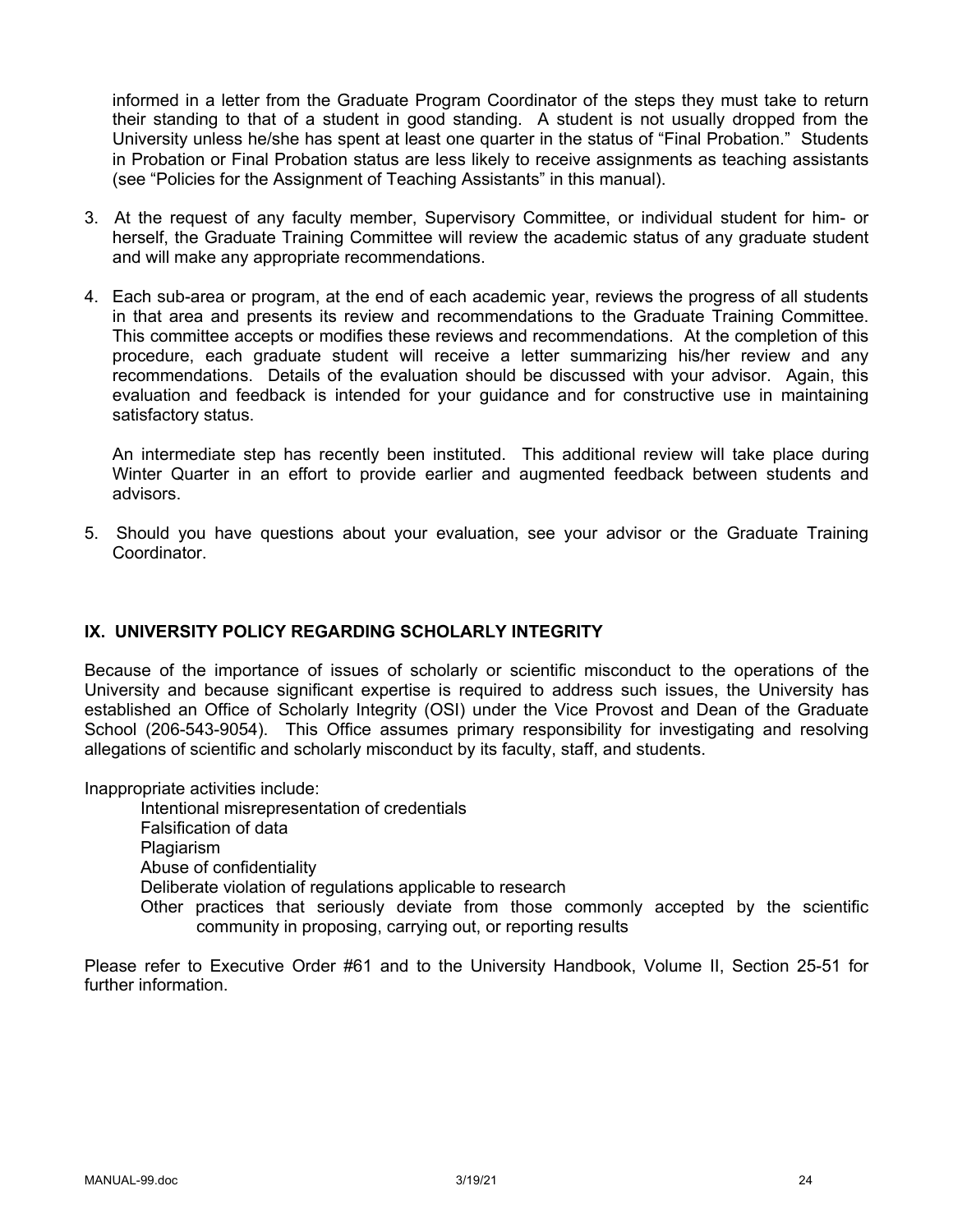informed in a letter from the Graduate Program Coordinator of the steps they must take to return their standing to that of a student in good standing. A student is not usually dropped from the University unless he/she has spent at least one quarter in the status of "Final Probation." Students in Probation or Final Probation status are less likely to receive assignments as teaching assistants (see "Policies for the Assignment of Teaching Assistants" in this manual).

- 3. At the request of any faculty member, Supervisory Committee, or individual student for him- or herself, the Graduate Training Committee will review the academic status of any graduate student and will make any appropriate recommendations.
- 4. Each sub-area or program, at the end of each academic year, reviews the progress of all students in that area and presents its review and recommendations to the Graduate Training Committee. This committee accepts or modifies these reviews and recommendations. At the completion of this procedure, each graduate student will receive a letter summarizing his/her review and any recommendations. Details of the evaluation should be discussed with your advisor. Again, this evaluation and feedback is intended for your guidance and for constructive use in maintaining satisfactory status.

An intermediate step has recently been instituted. This additional review will take place during Winter Quarter in an effort to provide earlier and augmented feedback between students and advisors.

5. Should you have questions about your evaluation, see your advisor or the Graduate Training Coordinator.

## **IX. UNIVERSITY POLICY REGARDING SCHOLARLY INTEGRITY**

Because of the importance of issues of scholarly or scientific misconduct to the operations of the University and because significant expertise is required to address such issues, the University has established an Office of Scholarly Integrity (OSI) under the Vice Provost and Dean of the Graduate School (206-543-9054). This Office assumes primary responsibility for investigating and resolving allegations of scientific and scholarly misconduct by its faculty, staff, and students.

Inappropriate activities include:

Intentional misrepresentation of credentials Falsification of data Plagiarism Abuse of confidentiality Deliberate violation of regulations applicable to research Other practices that seriously deviate from those commonly accepted by the scientific community in proposing, carrying out, or reporting results

Please refer to Executive Order #61 and to the University Handbook, Volume II, Section 25-51 for further information.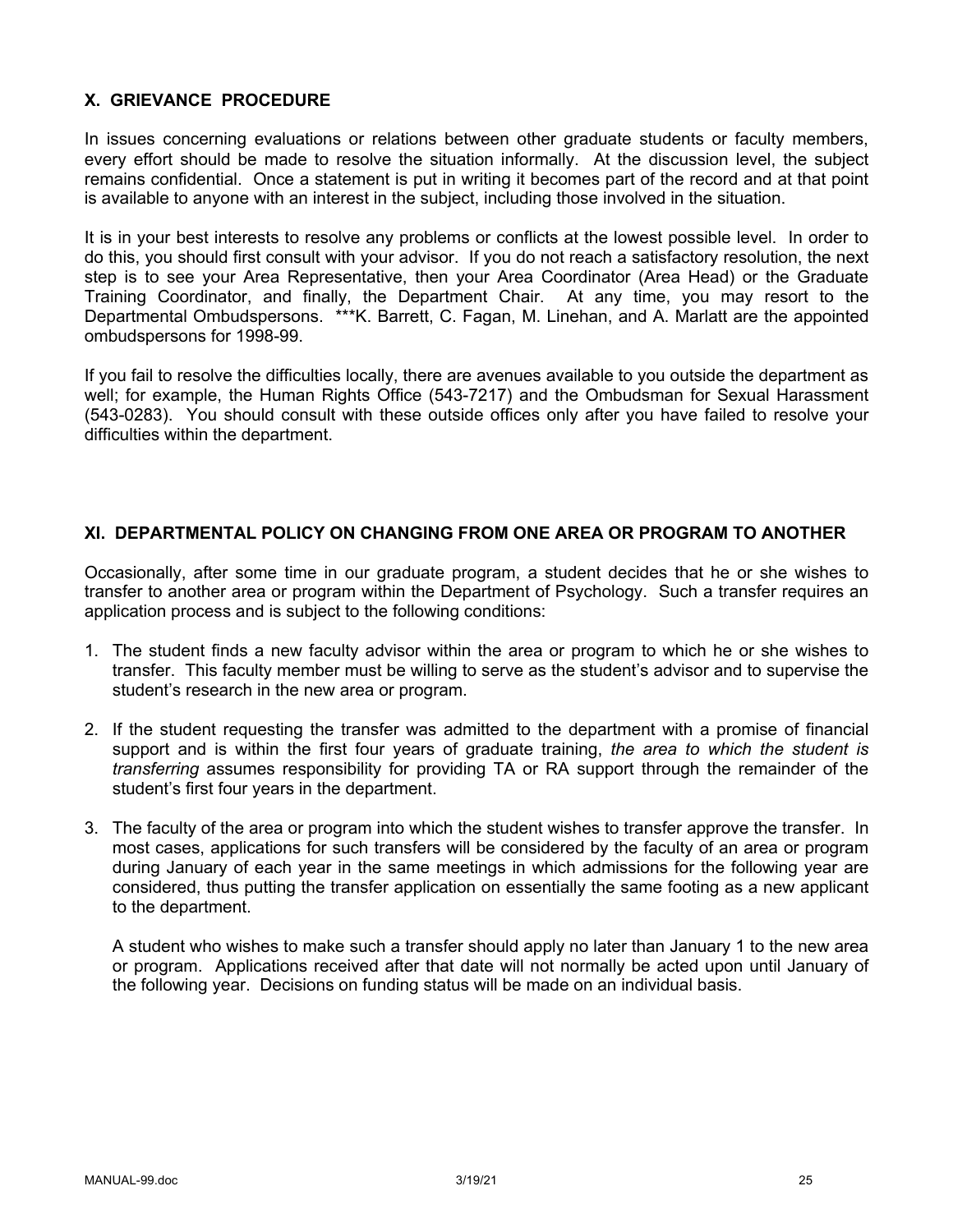## **X. GRIEVANCE PROCEDURE**

In issues concerning evaluations or relations between other graduate students or faculty members, every effort should be made to resolve the situation informally. At the discussion level, the subject remains confidential. Once a statement is put in writing it becomes part of the record and at that point is available to anyone with an interest in the subject, including those involved in the situation.

It is in your best interests to resolve any problems or conflicts at the lowest possible level. In order to do this, you should first consult with your advisor. If you do not reach a satisfactory resolution, the next step is to see your Area Representative, then your Area Coordinator (Area Head) or the Graduate Training Coordinator, and finally, the Department Chair. At any time, you may resort to the Departmental Ombudspersons. \*\*\*K. Barrett, C. Fagan, M. Linehan, and A. Marlatt are the appointed ombudspersons for 1998-99.

If you fail to resolve the difficulties locally, there are avenues available to you outside the department as well; for example, the Human Rights Office (543-7217) and the Ombudsman for Sexual Harassment (543-0283). You should consult with these outside offices only after you have failed to resolve your difficulties within the department.

## **XI. DEPARTMENTAL POLICY ON CHANGING FROM ONE AREA OR PROGRAM TO ANOTHER**

Occasionally, after some time in our graduate program, a student decides that he or she wishes to transfer to another area or program within the Department of Psychology. Such a transfer requires an application process and is subject to the following conditions:

- 1. The student finds a new faculty advisor within the area or program to which he or she wishes to transfer. This faculty member must be willing to serve as the student's advisor and to supervise the student's research in the new area or program.
- 2. If the student requesting the transfer was admitted to the department with a promise of financial support and is within the first four years of graduate training, *the area to which the student is transferring* assumes responsibility for providing TA or RA support through the remainder of the student's first four years in the department.
- 3. The faculty of the area or program into which the student wishes to transfer approve the transfer. In most cases, applications for such transfers will be considered by the faculty of an area or program during January of each year in the same meetings in which admissions for the following year are considered, thus putting the transfer application on essentially the same footing as a new applicant to the department.

A student who wishes to make such a transfer should apply no later than January 1 to the new area or program. Applications received after that date will not normally be acted upon until January of the following year. Decisions on funding status will be made on an individual basis.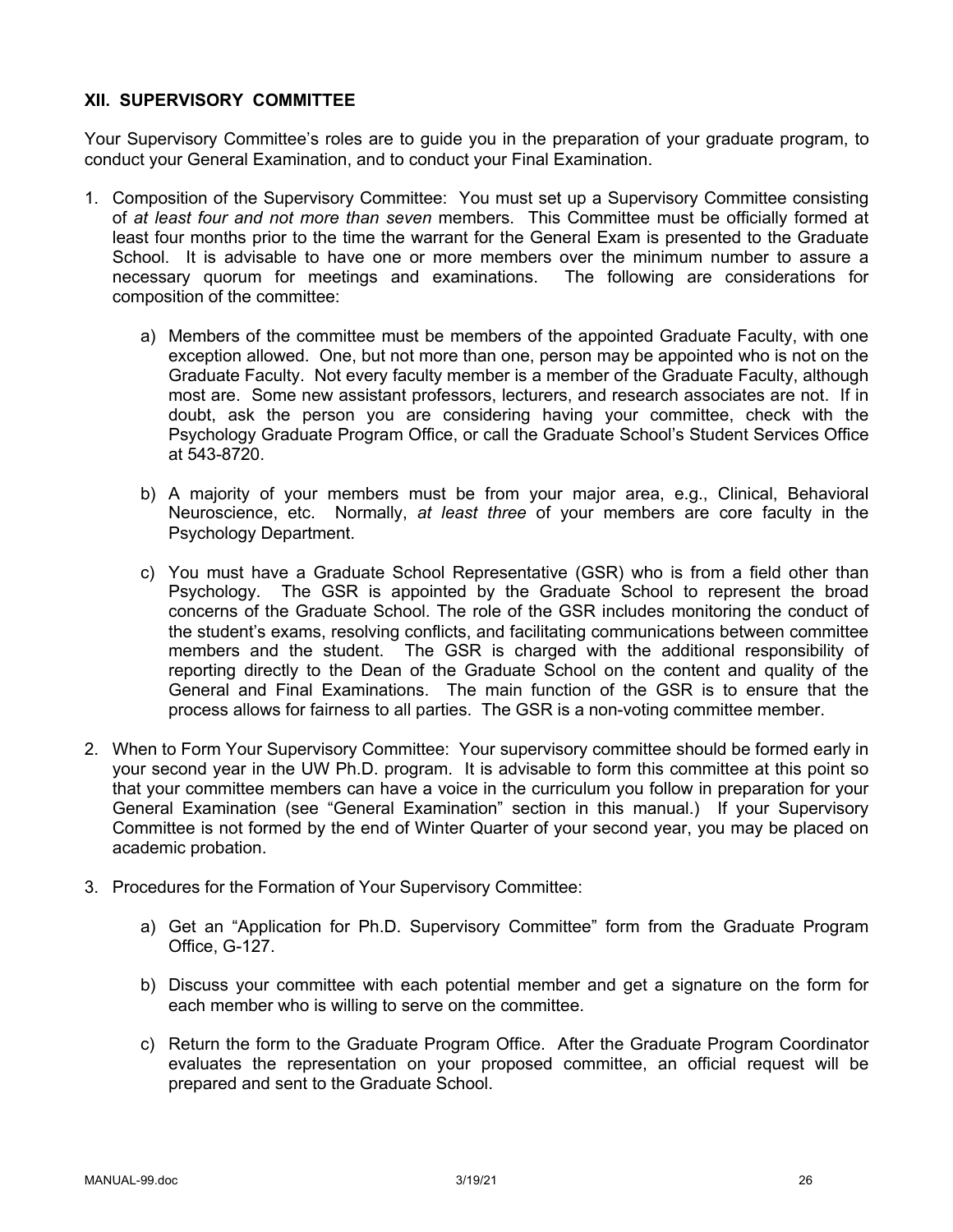## **XII. SUPERVISORY COMMITTEE**

Your Supervisory Committee's roles are to guide you in the preparation of your graduate program, to conduct your General Examination, and to conduct your Final Examination.

- 1. Composition of the Supervisory Committee: You must set up a Supervisory Committee consisting of *at least four and not more than seven* members. This Committee must be officially formed at least four months prior to the time the warrant for the General Exam is presented to the Graduate School. It is advisable to have one or more members over the minimum number to assure a necessary quorum for meetings and examinations. The following are considerations for composition of the committee:
	- a) Members of the committee must be members of the appointed Graduate Faculty, with one exception allowed. One, but not more than one, person may be appointed who is not on the Graduate Faculty. Not every faculty member is a member of the Graduate Faculty, although most are. Some new assistant professors, lecturers, and research associates are not. If in doubt, ask the person you are considering having your committee, check with the Psychology Graduate Program Office, or call the Graduate School's Student Services Office at 543-8720.
	- b) A majority of your members must be from your major area, e.g., Clinical, Behavioral Neuroscience, etc. Normally, *at least three* of your members are core faculty in the Psychology Department.
	- c) You must have a Graduate School Representative (GSR) who is from a field other than Psychology. The GSR is appointed by the Graduate School to represent the broad concerns of the Graduate School. The role of the GSR includes monitoring the conduct of the student's exams, resolving conflicts, and facilitating communications between committee members and the student. The GSR is charged with the additional responsibility of reporting directly to the Dean of the Graduate School on the content and quality of the General and Final Examinations. The main function of the GSR is to ensure that the process allows for fairness to all parties. The GSR is a non-voting committee member.
- 2. When to Form Your Supervisory Committee: Your supervisory committee should be formed early in your second year in the UW Ph.D. program. It is advisable to form this committee at this point so that your committee members can have a voice in the curriculum you follow in preparation for your General Examination (see "General Examination" section in this manual.) If your Supervisory Committee is not formed by the end of Winter Quarter of your second year, you may be placed on academic probation.
- 3. Procedures for the Formation of Your Supervisory Committee:
	- a) Get an "Application for Ph.D. Supervisory Committee" form from the Graduate Program Office, G-127.
	- b) Discuss your committee with each potential member and get a signature on the form for each member who is willing to serve on the committee.
	- c) Return the form to the Graduate Program Office. After the Graduate Program Coordinator evaluates the representation on your proposed committee, an official request will be prepared and sent to the Graduate School.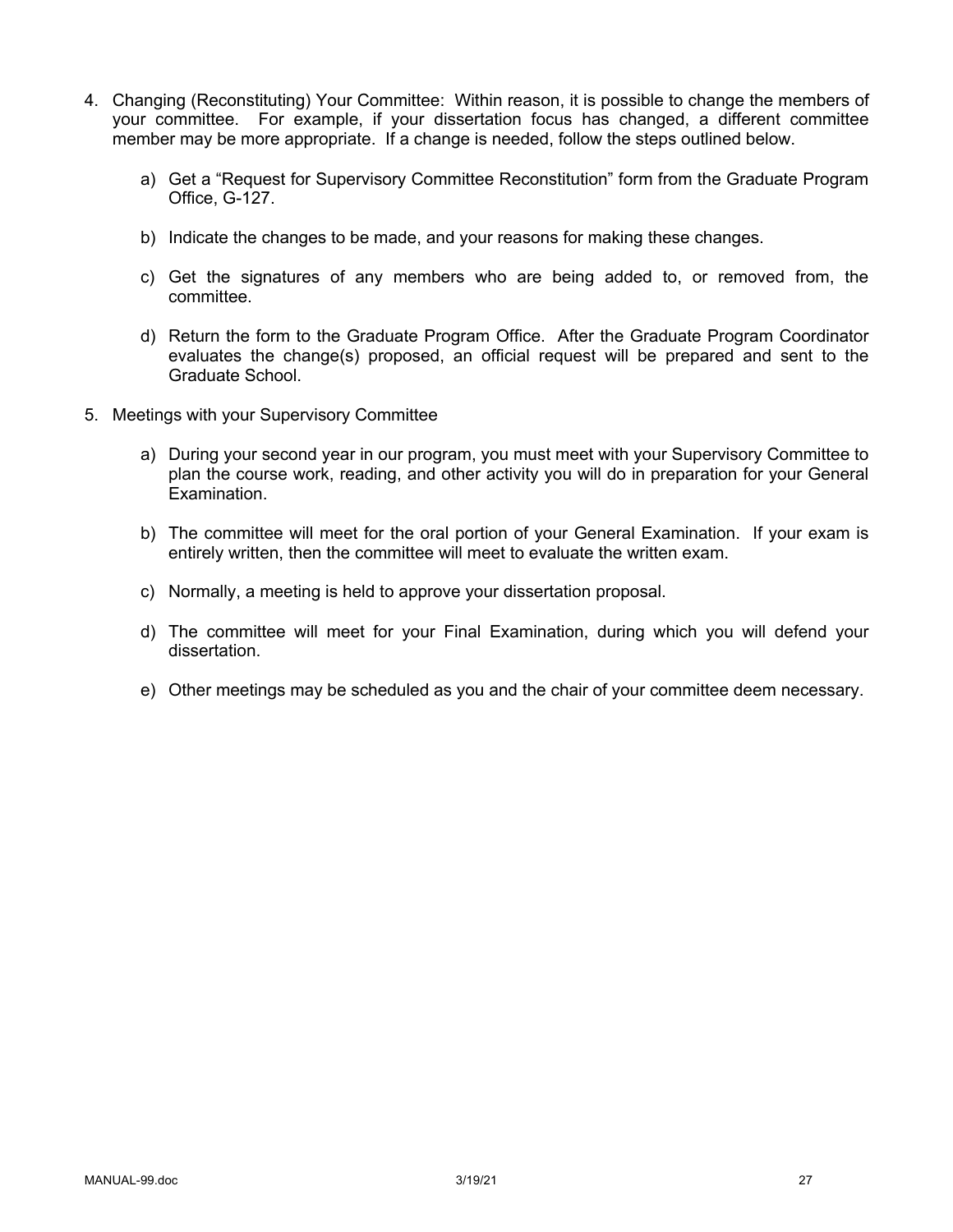- 4. Changing (Reconstituting) Your Committee: Within reason, it is possible to change the members of your committee. For example, if your dissertation focus has changed, a different committee member may be more appropriate. If a change is needed, follow the steps outlined below.
	- a) Get a "Request for Supervisory Committee Reconstitution" form from the Graduate Program Office, G-127.
	- b) Indicate the changes to be made, and your reasons for making these changes.
	- c) Get the signatures of any members who are being added to, or removed from, the committee.
	- d) Return the form to the Graduate Program Office. After the Graduate Program Coordinator evaluates the change(s) proposed, an official request will be prepared and sent to the Graduate School.
- 5. Meetings with your Supervisory Committee
	- a) During your second year in our program, you must meet with your Supervisory Committee to plan the course work, reading, and other activity you will do in preparation for your General Examination.
	- b) The committee will meet for the oral portion of your General Examination. If your exam is entirely written, then the committee will meet to evaluate the written exam.
	- c) Normally, a meeting is held to approve your dissertation proposal.
	- d) The committee will meet for your Final Examination, during which you will defend your dissertation.
	- e) Other meetings may be scheduled as you and the chair of your committee deem necessary.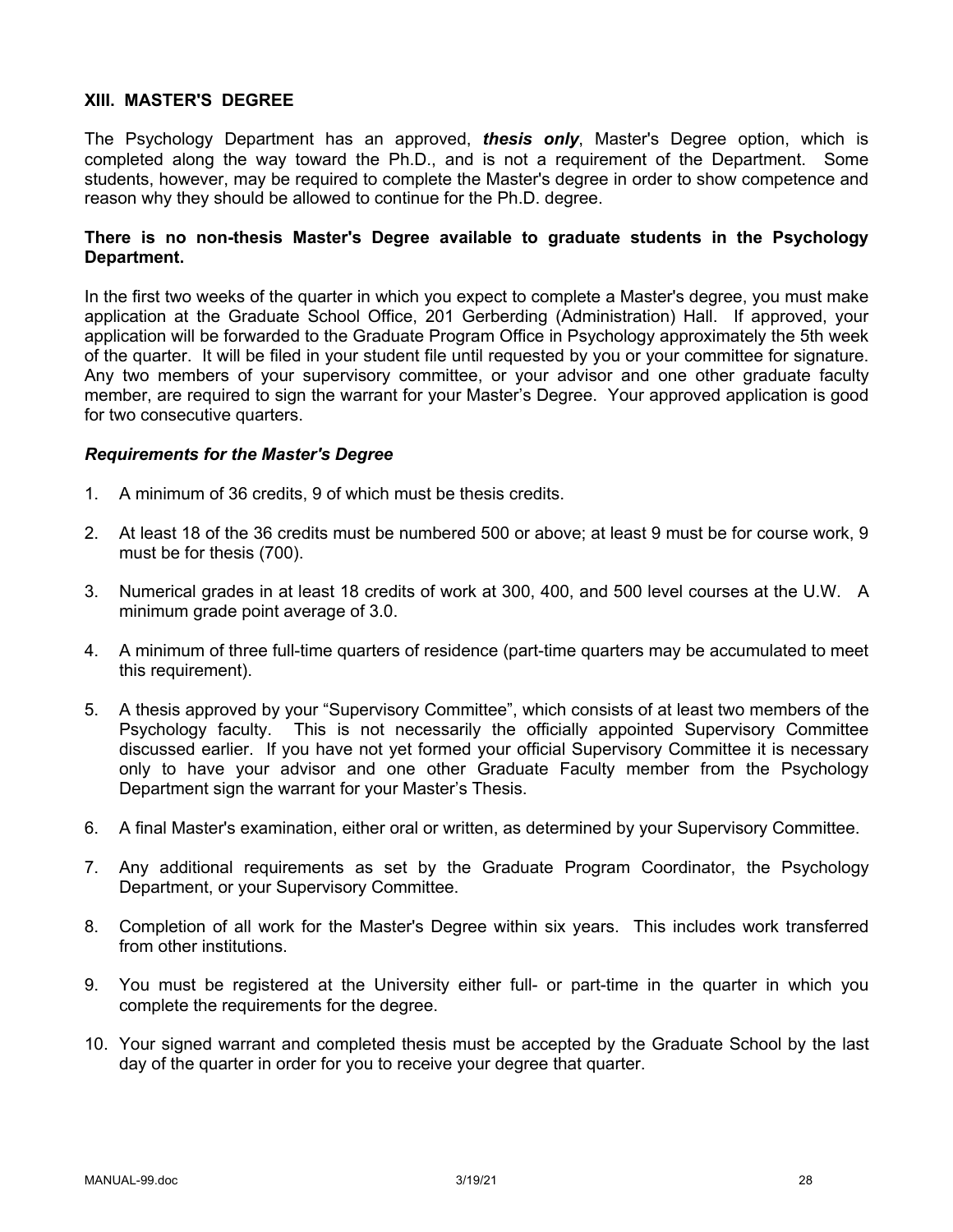#### **XIII. MASTER'S DEGREE**

The Psychology Department has an approved, *thesis only*, Master's Degree option, which is completed along the way toward the Ph.D., and is not a requirement of the Department. Some students, however, may be required to complete the Master's degree in order to show competence and reason why they should be allowed to continue for the Ph.D. degree.

### **There is no non-thesis Master's Degree available to graduate students in the Psychology Department.**

In the first two weeks of the quarter in which you expect to complete a Master's degree, you must make application at the Graduate School Office, 201 Gerberding (Administration) Hall. If approved, your application will be forwarded to the Graduate Program Office in Psychology approximately the 5th week of the quarter. It will be filed in your student file until requested by you or your committee for signature. Any two members of your supervisory committee, or your advisor and one other graduate faculty member, are required to sign the warrant for your Master's Degree. Your approved application is good for two consecutive quarters.

#### *Requirements for the Master's Degree*

- 1. A minimum of 36 credits, 9 of which must be thesis credits.
- 2. At least 18 of the 36 credits must be numbered 500 or above; at least 9 must be for course work, 9 must be for thesis (700).
- 3. Numerical grades in at least 18 credits of work at 300, 400, and 500 level courses at the U.W. A minimum grade point average of 3.0.
- 4. A minimum of three full-time quarters of residence (part-time quarters may be accumulated to meet this requirement).
- 5. A thesis approved by your "Supervisory Committee", which consists of at least two members of the Psychology faculty. This is not necessarily the officially appointed Supervisory Committee discussed earlier. If you have not yet formed your official Supervisory Committee it is necessary only to have your advisor and one other Graduate Faculty member from the Psychology Department sign the warrant for your Master's Thesis.
- 6. A final Master's examination, either oral or written, as determined by your Supervisory Committee.
- 7. Any additional requirements as set by the Graduate Program Coordinator, the Psychology Department, or your Supervisory Committee.
- 8. Completion of all work for the Master's Degree within six years. This includes work transferred from other institutions.
- 9. You must be registered at the University either full- or part-time in the quarter in which you complete the requirements for the degree.
- 10. Your signed warrant and completed thesis must be accepted by the Graduate School by the last day of the quarter in order for you to receive your degree that quarter.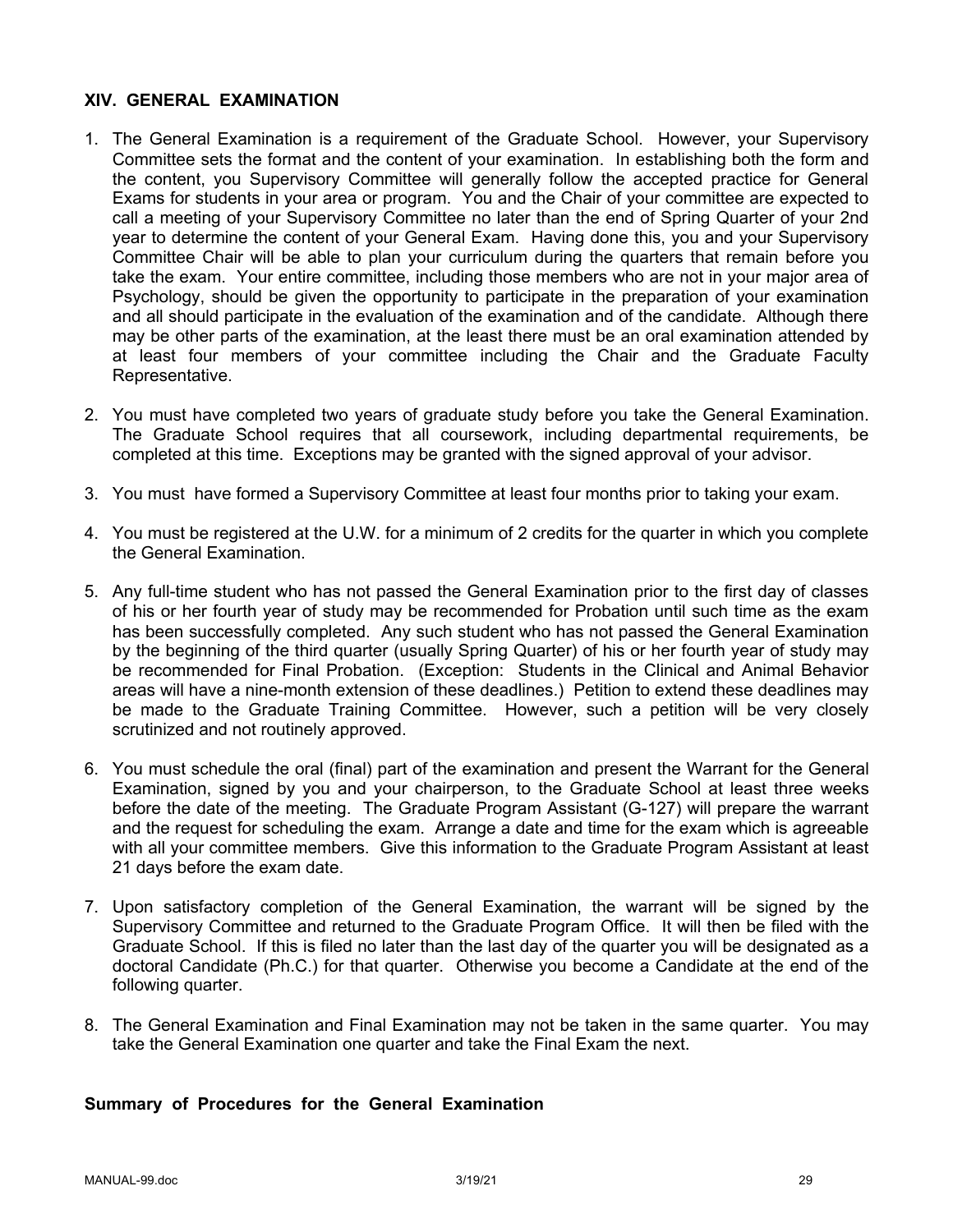### **XIV. GENERAL EXAMINATION**

- 1. The General Examination is a requirement of the Graduate School. However, your Supervisory Committee sets the format and the content of your examination. In establishing both the form and the content, you Supervisory Committee will generally follow the accepted practice for General Exams for students in your area or program. You and the Chair of your committee are expected to call a meeting of your Supervisory Committee no later than the end of Spring Quarter of your 2nd year to determine the content of your General Exam. Having done this, you and your Supervisory Committee Chair will be able to plan your curriculum during the quarters that remain before you take the exam. Your entire committee, including those members who are not in your major area of Psychology, should be given the opportunity to participate in the preparation of your examination and all should participate in the evaluation of the examination and of the candidate. Although there may be other parts of the examination, at the least there must be an oral examination attended by at least four members of your committee including the Chair and the Graduate Faculty Representative.
- 2. You must have completed two years of graduate study before you take the General Examination. The Graduate School requires that all coursework, including departmental requirements, be completed at this time. Exceptions may be granted with the signed approval of your advisor.
- 3. You must have formed a Supervisory Committee at least four months prior to taking your exam.
- 4. You must be registered at the U.W. for a minimum of 2 credits for the quarter in which you complete the General Examination.
- 5. Any full-time student who has not passed the General Examination prior to the first day of classes of his or her fourth year of study may be recommended for Probation until such time as the exam has been successfully completed. Any such student who has not passed the General Examination by the beginning of the third quarter (usually Spring Quarter) of his or her fourth year of study may be recommended for Final Probation. (Exception: Students in the Clinical and Animal Behavior areas will have a nine-month extension of these deadlines.) Petition to extend these deadlines may be made to the Graduate Training Committee. However, such a petition will be very closely scrutinized and not routinely approved.
- 6. You must schedule the oral (final) part of the examination and present the Warrant for the General Examination, signed by you and your chairperson, to the Graduate School at least three weeks before the date of the meeting. The Graduate Program Assistant (G-127) will prepare the warrant and the request for scheduling the exam. Arrange a date and time for the exam which is agreeable with all your committee members. Give this information to the Graduate Program Assistant at least 21 days before the exam date.
- 7. Upon satisfactory completion of the General Examination, the warrant will be signed by the Supervisory Committee and returned to the Graduate Program Office. It will then be filed with the Graduate School. If this is filed no later than the last day of the quarter you will be designated as a doctoral Candidate (Ph.C.) for that quarter. Otherwise you become a Candidate at the end of the following quarter.
- 8. The General Examination and Final Examination may not be taken in the same quarter. You may take the General Examination one quarter and take the Final Exam the next.

## **Summary of Procedures for the General Examination**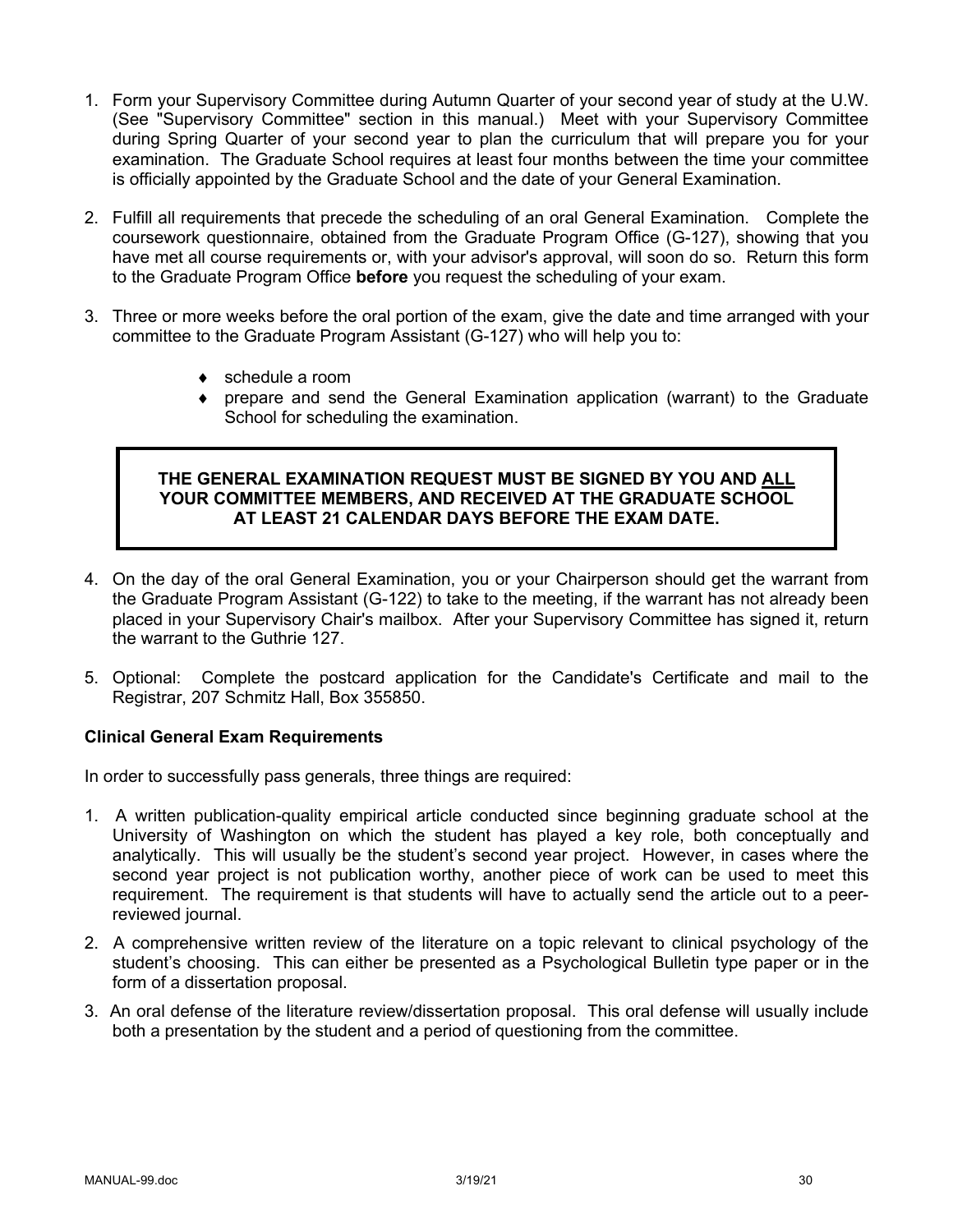- 1. Form your Supervisory Committee during Autumn Quarter of your second year of study at the U.W. (See "Supervisory Committee" section in this manual.) Meet with your Supervisory Committee during Spring Quarter of your second year to plan the curriculum that will prepare you for your examination. The Graduate School requires at least four months between the time your committee is officially appointed by the Graduate School and the date of your General Examination.
- 2. Fulfill all requirements that precede the scheduling of an oral General Examination. Complete the coursework questionnaire, obtained from the Graduate Program Office (G-127), showing that you have met all course requirements or, with your advisor's approval, will soon do so. Return this form to the Graduate Program Office **before** you request the scheduling of your exam.
- 3. Three or more weeks before the oral portion of the exam, give the date and time arranged with your committee to the Graduate Program Assistant (G-127) who will help you to:
	- $\bullet$  schedule a room
	- $\bullet$  prepare and send the General Examination application (warrant) to the Graduate School for scheduling the examination.

## **THE GENERAL EXAMINATION REQUEST MUST BE SIGNED BY YOU AND ALL YOUR COMMITTEE MEMBERS, AND RECEIVED AT THE GRADUATE SCHOOL AT LEAST 21 CALENDAR DAYS BEFORE THE EXAM DATE.**

- 4. On the day of the oral General Examination, you or your Chairperson should get the warrant from the Graduate Program Assistant (G-122) to take to the meeting, if the warrant has not already been placed in your Supervisory Chair's mailbox. After your Supervisory Committee has signed it, return the warrant to the Guthrie 127.
- 5. Optional: Complete the postcard application for the Candidate's Certificate and mail to the Registrar, 207 Schmitz Hall, Box 355850.

## **Clinical General Exam Requirements**

In order to successfully pass generals, three things are required:

- 1. A written publication-quality empirical article conducted since beginning graduate school at the University of Washington on which the student has played a key role, both conceptually and analytically. This will usually be the student's second year project. However, in cases where the second year project is not publication worthy, another piece of work can be used to meet this requirement. The requirement is that students will have to actually send the article out to a peerreviewed journal.
- 2. A comprehensive written review of the literature on a topic relevant to clinical psychology of the student's choosing. This can either be presented as a Psychological Bulletin type paper or in the form of a dissertation proposal.
- 3. An oral defense of the literature review/dissertation proposal. This oral defense will usually include both a presentation by the student and a period of questioning from the committee.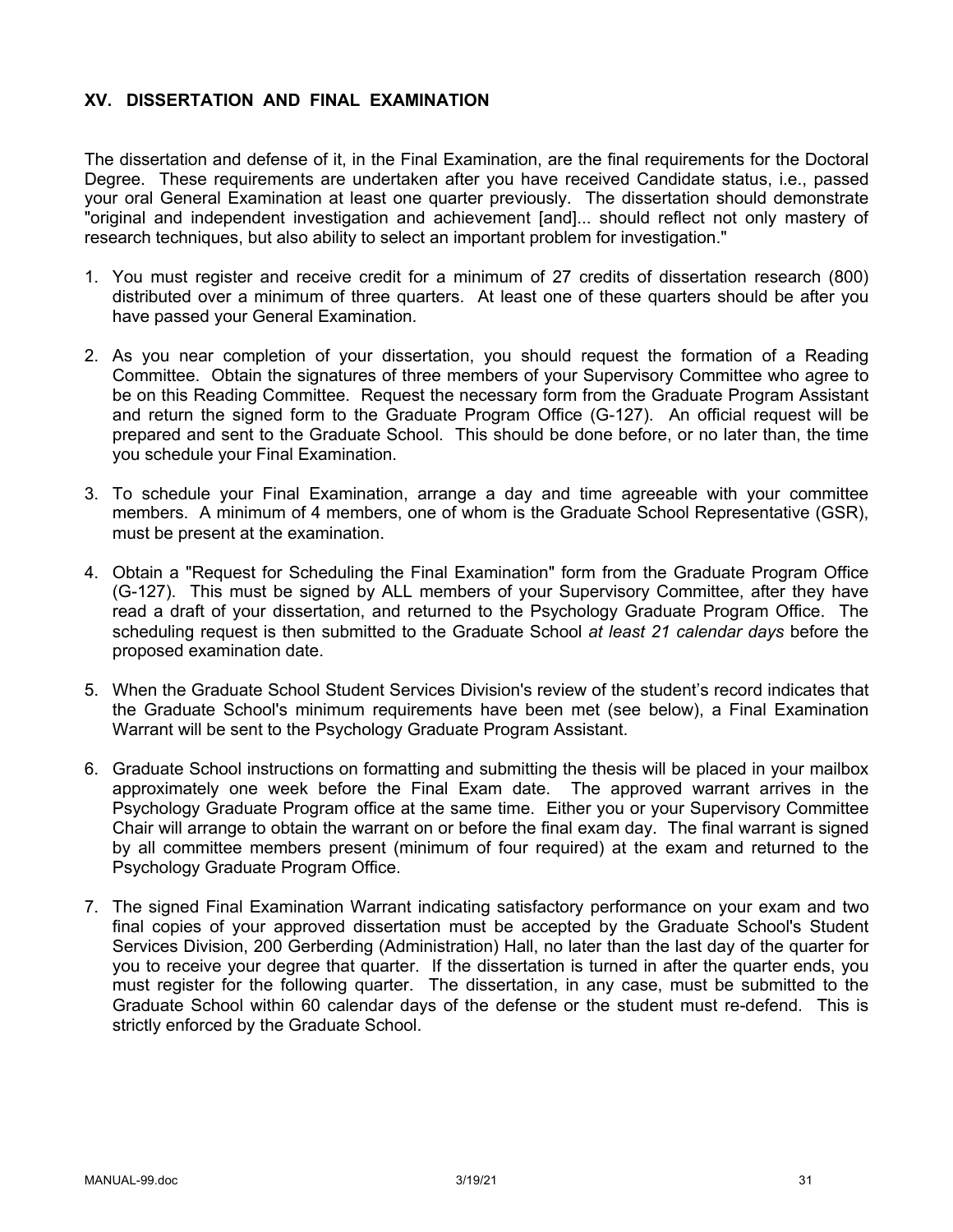## **XV. DISSERTATION AND FINAL EXAMINATION**

The dissertation and defense of it, in the Final Examination, are the final requirements for the Doctoral Degree. These requirements are undertaken after you have received Candidate status, i.e., passed your oral General Examination at least one quarter previously. The dissertation should demonstrate "original and independent investigation and achievement [and]... should reflect not only mastery of research techniques, but also ability to select an important problem for investigation."

- 1. You must register and receive credit for a minimum of 27 credits of dissertation research (800) distributed over a minimum of three quarters. At least one of these quarters should be after you have passed your General Examination.
- 2. As you near completion of your dissertation, you should request the formation of a Reading Committee. Obtain the signatures of three members of your Supervisory Committee who agree to be on this Reading Committee. Request the necessary form from the Graduate Program Assistant and return the signed form to the Graduate Program Office (G-127). An official request will be prepared and sent to the Graduate School. This should be done before, or no later than, the time you schedule your Final Examination.
- 3. To schedule your Final Examination, arrange a day and time agreeable with your committee members. A minimum of 4 members, one of whom is the Graduate School Representative (GSR), must be present at the examination.
- 4. Obtain a "Request for Scheduling the Final Examination" form from the Graduate Program Office (G-127). This must be signed by ALL members of your Supervisory Committee, after they have read a draft of your dissertation, and returned to the Psychology Graduate Program Office. The scheduling request is then submitted to the Graduate School *at least 21 calendar days* before the proposed examination date.
- 5. When the Graduate School Student Services Division's review of the student's record indicates that the Graduate School's minimum requirements have been met (see below), a Final Examination Warrant will be sent to the Psychology Graduate Program Assistant.
- 6. Graduate School instructions on formatting and submitting the thesis will be placed in your mailbox approximately one week before the Final Exam date. The approved warrant arrives in the Psychology Graduate Program office at the same time. Either you or your Supervisory Committee Chair will arrange to obtain the warrant on or before the final exam day. The final warrant is signed by all committee members present (minimum of four required) at the exam and returned to the Psychology Graduate Program Office.
- 7. The signed Final Examination Warrant indicating satisfactory performance on your exam and two final copies of your approved dissertation must be accepted by the Graduate School's Student Services Division, 200 Gerberding (Administration) Hall, no later than the last day of the quarter for you to receive your degree that quarter. If the dissertation is turned in after the quarter ends, you must register for the following quarter. The dissertation, in any case, must be submitted to the Graduate School within 60 calendar days of the defense or the student must re-defend. This is strictly enforced by the Graduate School.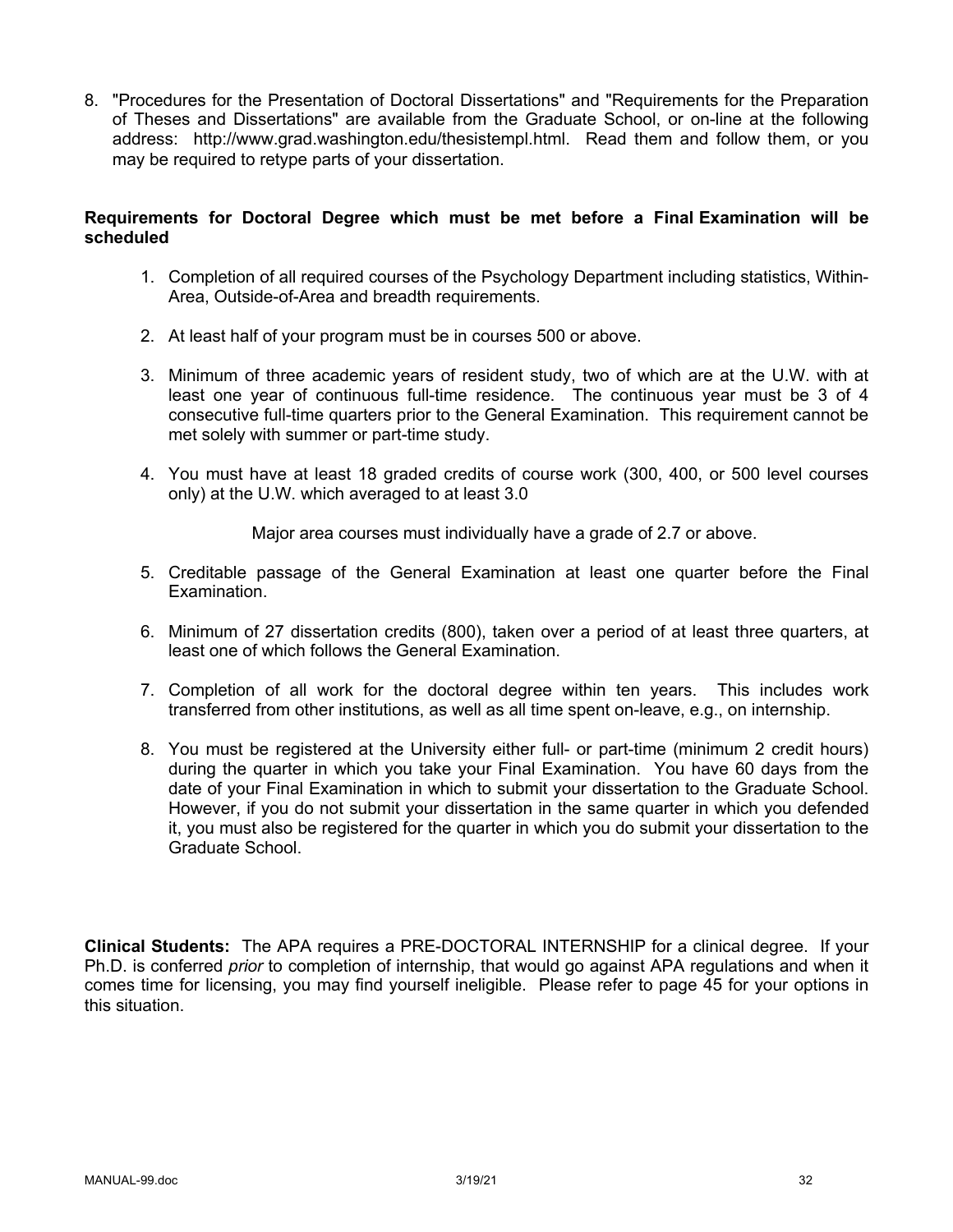8. "Procedures for the Presentation of Doctoral Dissertations" and "Requirements for the Preparation of Theses and Dissertations" are available from the Graduate School, or on-line at the following address: http://www.grad.washington.edu/thesistempl.html. Read them and follow them, or you may be required to retype parts of your dissertation.

## **Requirements for Doctoral Degree which must be met before a Final Examination will be scheduled**

- 1. Completion of all required courses of the Psychology Department including statistics, Within-Area, Outside-of-Area and breadth requirements.
- 2. At least half of your program must be in courses 500 or above.
- 3. Minimum of three academic years of resident study, two of which are at the U.W. with at least one year of continuous full-time residence. The continuous year must be 3 of 4 consecutive full-time quarters prior to the General Examination. This requirement cannot be met solely with summer or part-time study.
- 4. You must have at least 18 graded credits of course work (300, 400, or 500 level courses only) at the U.W. which averaged to at least 3.0

Major area courses must individually have a grade of 2.7 or above.

- 5. Creditable passage of the General Examination at least one quarter before the Final Examination.
- 6. Minimum of 27 dissertation credits (800), taken over a period of at least three quarters, at least one of which follows the General Examination.
- 7. Completion of all work for the doctoral degree within ten years. This includes work transferred from other institutions, as well as all time spent on-leave, e.g., on internship.
- 8. You must be registered at the University either full- or part-time (minimum 2 credit hours) during the quarter in which you take your Final Examination. You have 60 days from the date of your Final Examination in which to submit your dissertation to the Graduate School. However, if you do not submit your dissertation in the same quarter in which you defended it, you must also be registered for the quarter in which you do submit your dissertation to the Graduate School.

**Clinical Students:** The APA requires a PRE-DOCTORAL INTERNSHIP for a clinical degree. If your Ph.D. is conferred *prior* to completion of internship, that would go against APA regulations and when it comes time for licensing, you may find yourself ineligible. Please refer to page 45 for your options in this situation.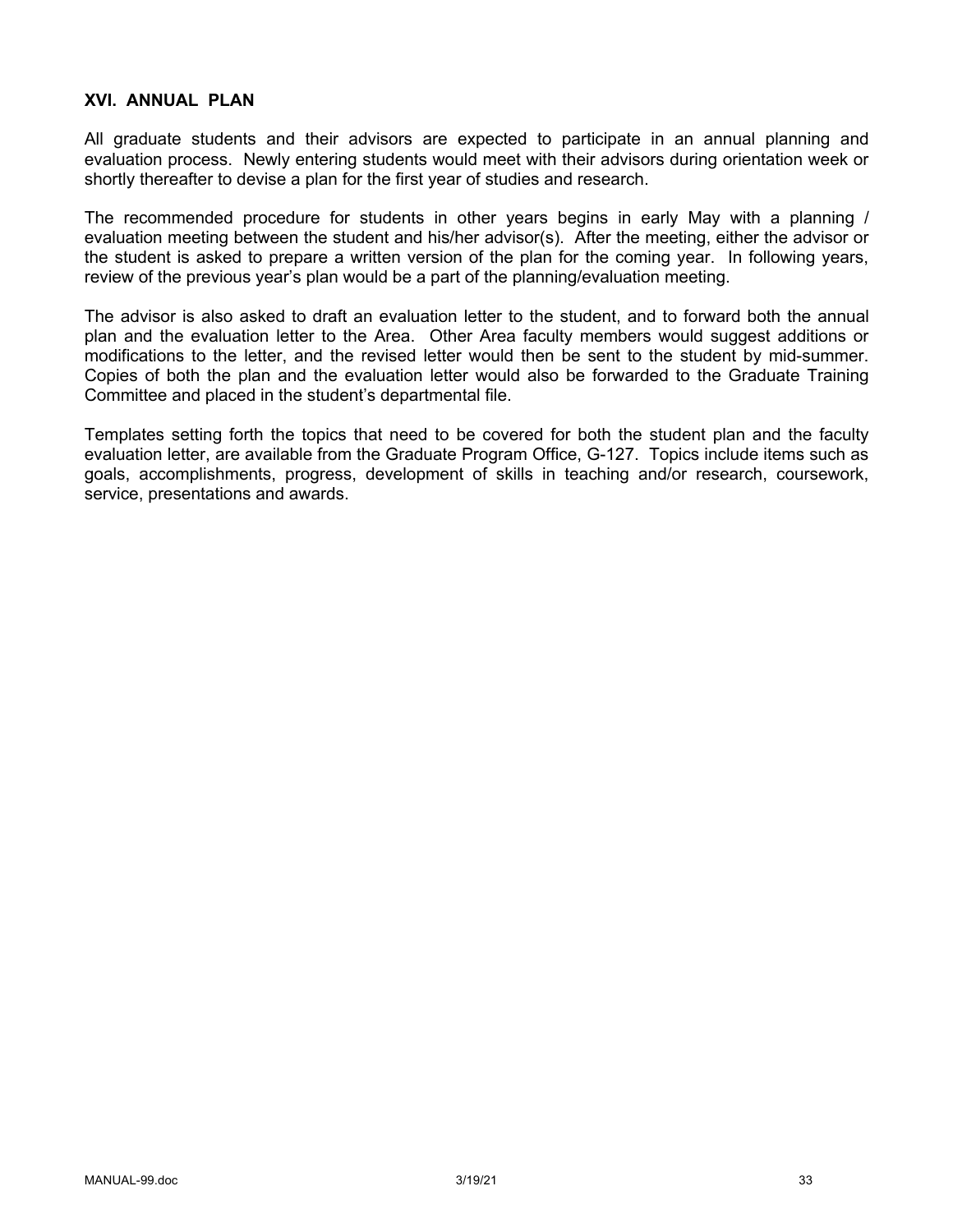#### **XVI. ANNUAL PLAN**

All graduate students and their advisors are expected to participate in an annual planning and evaluation process. Newly entering students would meet with their advisors during orientation week or shortly thereafter to devise a plan for the first year of studies and research.

The recommended procedure for students in other years begins in early May with a planning / evaluation meeting between the student and his/her advisor(s). After the meeting, either the advisor or the student is asked to prepare a written version of the plan for the coming year. In following years, review of the previous year's plan would be a part of the planning/evaluation meeting.

The advisor is also asked to draft an evaluation letter to the student, and to forward both the annual plan and the evaluation letter to the Area. Other Area faculty members would suggest additions or modifications to the letter, and the revised letter would then be sent to the student by mid-summer. Copies of both the plan and the evaluation letter would also be forwarded to the Graduate Training Committee and placed in the student's departmental file.

Templates setting forth the topics that need to be covered for both the student plan and the faculty evaluation letter, are available from the Graduate Program Office, G-127. Topics include items such as goals, accomplishments, progress, development of skills in teaching and/or research, coursework, service, presentations and awards.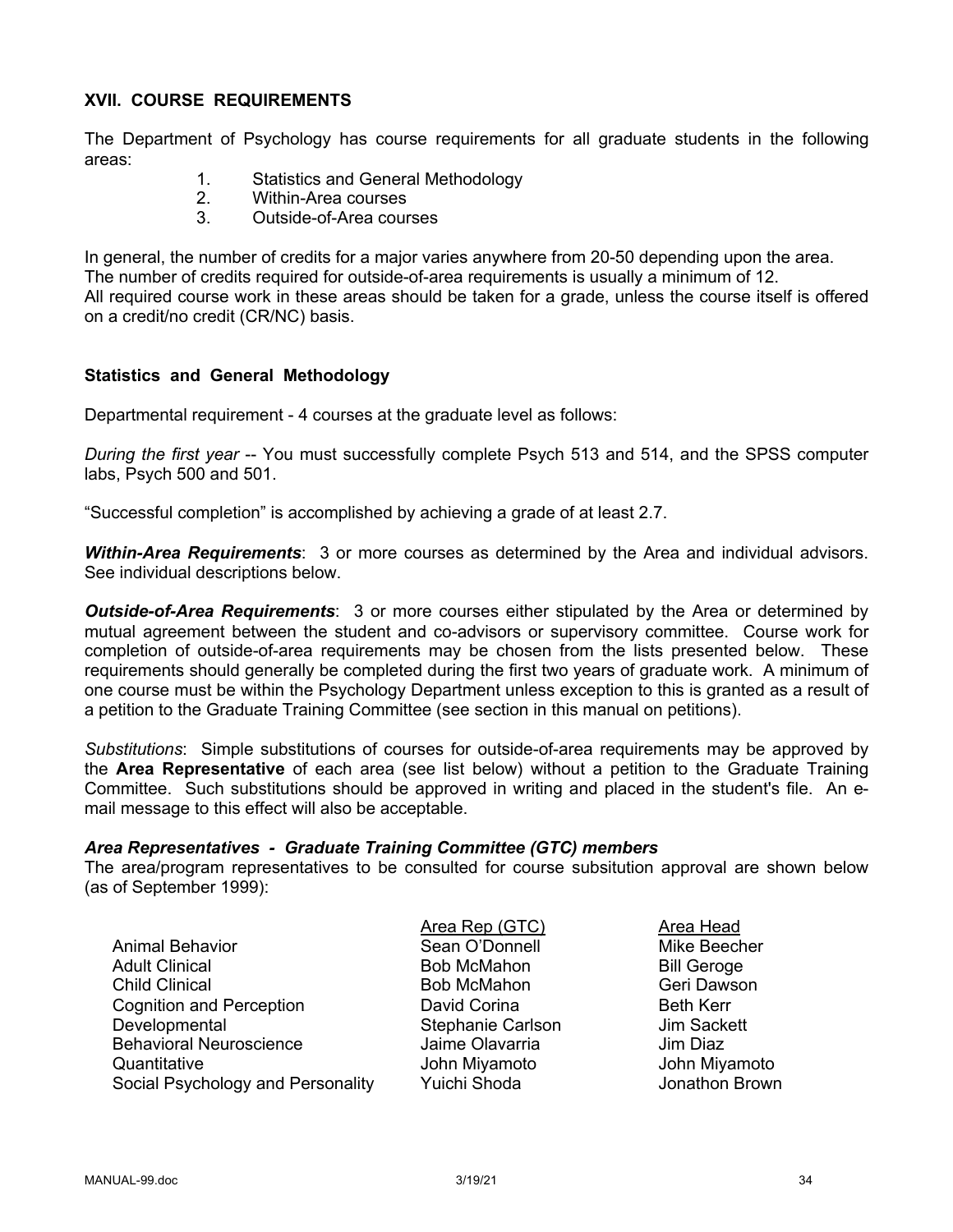## **XVII. COURSE REQUIREMENTS**

The Department of Psychology has course requirements for all graduate students in the following areas:

- 1. Statistics and General Methodology
- 2. Within-Area courses
- 3. Outside-of-Area courses

In general, the number of credits for a major varies anywhere from 20-50 depending upon the area. The number of credits required for outside-of-area requirements is usually a minimum of 12. All required course work in these areas should be taken for a grade, unless the course itself is offered on a credit/no credit (CR/NC) basis.

## **Statistics and General Methodology**

Departmental requirement - 4 courses at the graduate level as follows:

*During the first year* -- You must successfully complete Psych 513 and 514, and the SPSS computer labs, Psych 500 and 501.

"Successful completion" is accomplished by achieving a grade of at least 2.7.

*Within-Area Requirements*: 3 or more courses as determined by the Area and individual advisors. See individual descriptions below.

*Outside-of-Area Requirements*: 3 or more courses either stipulated by the Area or determined by mutual agreement between the student and co-advisors or supervisory committee. Course work for completion of outside-of-area requirements may be chosen from the lists presented below. These requirements should generally be completed during the first two years of graduate work. A minimum of one course must be within the Psychology Department unless exception to this is granted as a result of a petition to the Graduate Training Committee (see section in this manual on petitions).

*Substitutions*: Simple substitutions of courses for outside-of-area requirements may be approved by the **Area Representative** of each area (see list below) without a petition to the Graduate Training Committee. Such substitutions should be approved in writing and placed in the student's file. An email message to this effect will also be acceptable.

#### *Area Representatives - Graduate Training Committee (GTC) members*

The area/program representatives to be consulted for course subsitution approval are shown below (as of September 1999):

|                                   | Area Rep (GTC)     | Area Head          |
|-----------------------------------|--------------------|--------------------|
| <b>Animal Behavior</b>            | Sean O'Donnell     | Mike Beecher       |
| <b>Adult Clinical</b>             | <b>Bob McMahon</b> | <b>Bill Geroge</b> |
| <b>Child Clinical</b>             | <b>Bob McMahon</b> | Geri Dawson        |
| <b>Cognition and Perception</b>   | David Corina       | <b>Beth Kerr</b>   |
| Developmental                     | Stephanie Carlson  | <b>Jim Sackett</b> |
| <b>Behavioral Neuroscience</b>    | Jaime Olavarria    | Jim Diaz           |
| Quantitative                      | John Miyamoto      | John Miyamoto      |
| Social Psychology and Personality | Yuichi Shoda       | Jonathon Brown     |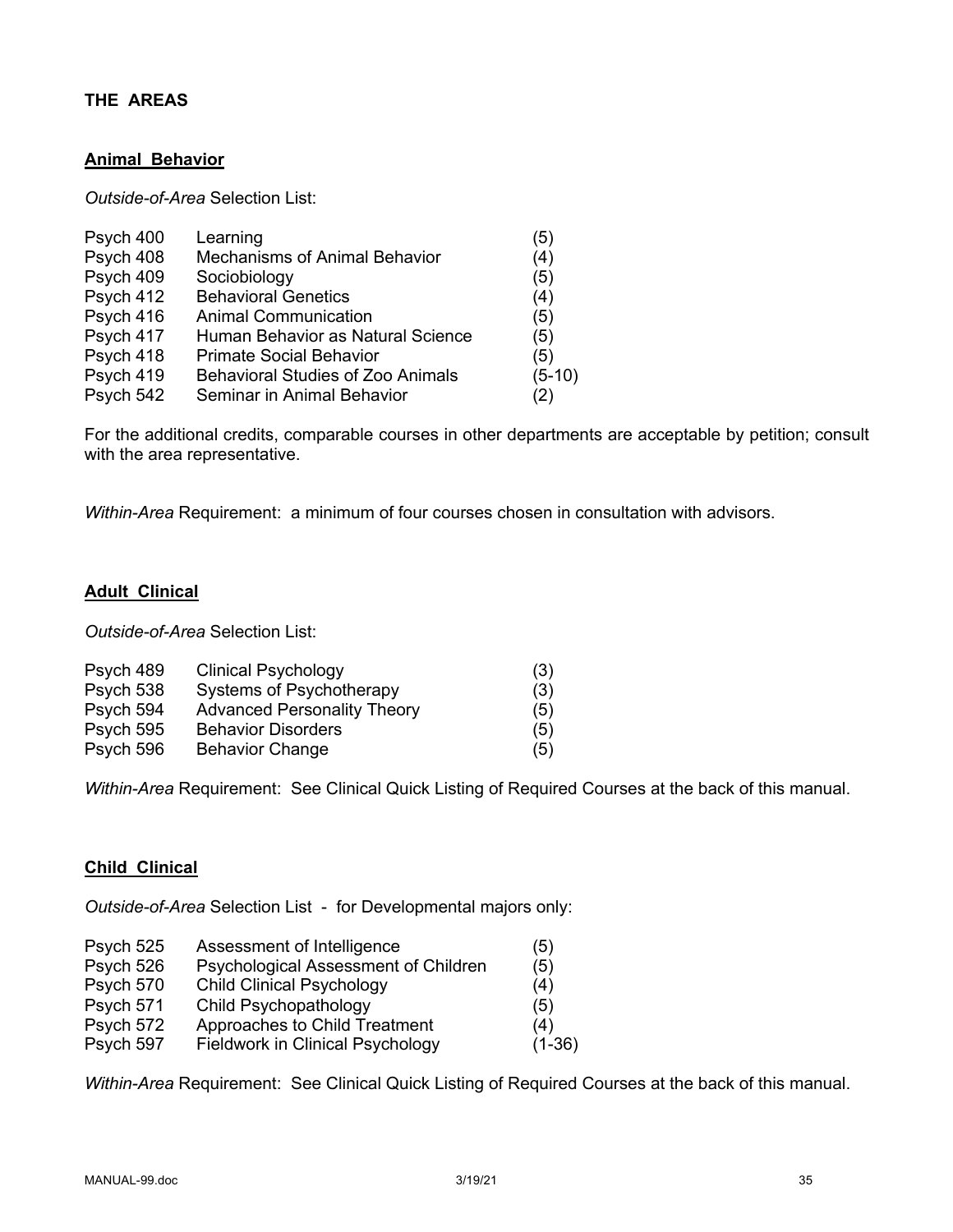## **THE AREAS**

## **Animal Behavior**

*Outside-of-Area* Selection List:

| Psych 400 | Learning                                 | (5)      |
|-----------|------------------------------------------|----------|
| Psych 408 | <b>Mechanisms of Animal Behavior</b>     | (4)      |
| Psych 409 | Sociobiology                             | (5)      |
| Psych 412 | <b>Behavioral Genetics</b>               | (4)      |
| Psych 416 | <b>Animal Communication</b>              | (5)      |
| Psych 417 | Human Behavior as Natural Science        | (5)      |
| Psych 418 | <b>Primate Social Behavior</b>           | (5)      |
| Psych 419 | <b>Behavioral Studies of Zoo Animals</b> | $(5-10)$ |
| Psych 542 | Seminar in Animal Behavior               | (2)      |

For the additional credits, comparable courses in other departments are acceptable by petition; consult with the area representative.

*Within-Area* Requirement: a minimum of four courses chosen in consultation with advisors.

## **Adult Clinical**

*Outside-of-Area* Selection List:

| Psych 489 | <b>Clinical Psychology</b>         | (3) |
|-----------|------------------------------------|-----|
| Psych 538 | Systems of Psychotherapy           | (3) |
| Psych 594 | <b>Advanced Personality Theory</b> | (5) |
| Psych 595 | <b>Behavior Disorders</b>          | (5) |
| Psych 596 | <b>Behavior Change</b>             | (5) |

*Within-Area* Requirement: See Clinical Quick Listing of Required Courses at the back of this manual.

#### **Child Clinical**

*Outside-of-Area* Selection List - for Developmental majors only:

| Psych 525 | Assessment of Intelligence           | (5)      |
|-----------|--------------------------------------|----------|
| Psych 526 | Psychological Assessment of Children | (5)      |
| Psych 570 | <b>Child Clinical Psychology</b>     | (4)      |
| Psych 571 | Child Psychopathology                | (5)      |
| Psych 572 | Approaches to Child Treatment        | (4)      |
| Psych 597 | Fieldwork in Clinical Psychology     | $(1-36)$ |

*Within-Area* Requirement: See Clinical Quick Listing of Required Courses at the back of this manual.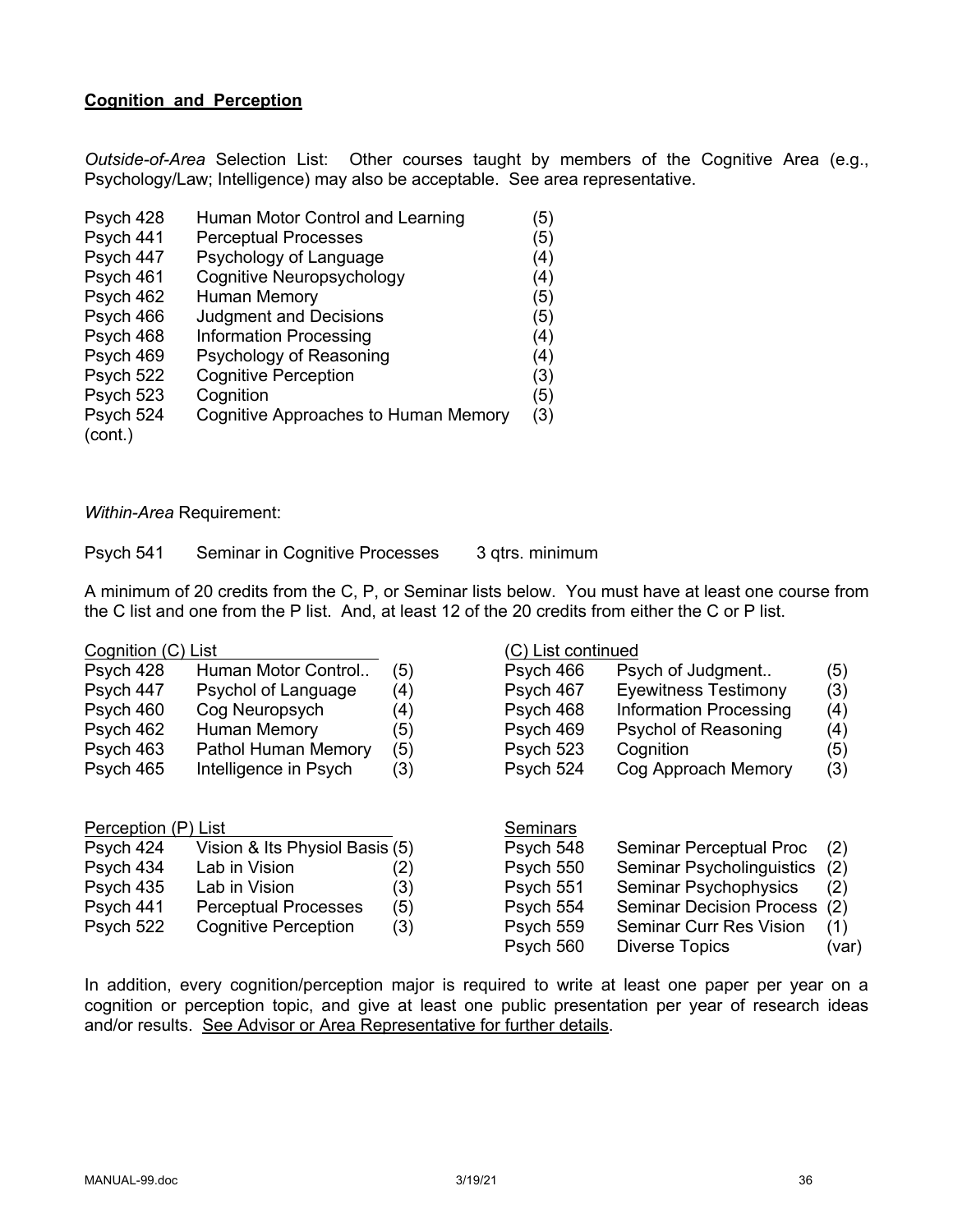## **Cognition and Perception**

*Outside-of-Area* Selection List: Other courses taught by members of the Cognitive Area (e.g., Psychology/Law; Intelligence) may also be acceptable. See area representative.

| Psych 428 | Human Motor Control and Learning     | (5) |
|-----------|--------------------------------------|-----|
| Psych 441 | <b>Perceptual Processes</b>          | (5) |
| Psych 447 | Psychology of Language               | (4) |
| Psych 461 | <b>Cognitive Neuropsychology</b>     | (4) |
| Psych 462 | <b>Human Memory</b>                  | (5) |
| Psych 466 | <b>Judgment and Decisions</b>        | (5) |
| Psych 468 | <b>Information Processing</b>        | (4) |
| Psych 469 | Psychology of Reasoning              | (4) |
| Psych 522 | <b>Cognitive Perception</b>          | (3) |
| Psych 523 | Cognition                            | (5) |
| Psych 524 | Cognitive Approaches to Human Memory | (3) |
| (cont.)   |                                      |     |

*Within-Area* Requirement:

Psych 541 Seminar in Cognitive Processes 3 qtrs. minimum

A minimum of 20 credits from the C, P, or Seminar lists below. You must have at least one course from the C list and one from the P list. And, at least 12 of the 20 credits from either the C or P list.

#### Cognition (C) List Cognition (C) List continued

| Psych 428 | Human Motor Control        | (5) | Psych 466 | Psych of Judgment             | (5) |
|-----------|----------------------------|-----|-----------|-------------------------------|-----|
| Psych 447 | Psychol of Language        | (4) | Psych 467 | <b>Eyewitness Testimony</b>   | (3) |
| Psych 460 | Cog Neuropsych             | (4) | Psych 468 | <b>Information Processing</b> | (4) |
| Psych 462 | Human Memory               | (5) | Psych 469 | Psychol of Reasoning          | (4) |
| Psych 463 | <b>Pathol Human Memory</b> | (5) | Psych 523 | Cognition                     | (5) |
| Psych 465 | Intelligence in Psych      | (3) | Psych 524 | Cog Approach Memory           | (3) |

| Perception (P) List |             |  |
|---------------------|-------------|--|
| Psych 424           | Vision & It |  |

|           |                             | --- 1-1 |
|-----------|-----------------------------|---------|
| Psych 434 | Lab in Vision               | (2)     |
| Psych 435 | Lab in Vision               | (3)     |
| Psych 441 | <b>Perceptual Processes</b> | (5)     |
| Psych 522 | <b>Cognitive Perception</b> | (3)     |
|           |                             |         |

| Psych 466 | Psych of Judgment             | (5) |
|-----------|-------------------------------|-----|
| Psych 467 | <b>Eyewitness Testimony</b>   | (3) |
| Psych 468 | <b>Information Processing</b> | (4) |
| Psych 469 | <b>Psychol of Reasoning</b>   | (4) |
| Psych 523 | Cognition                     | (5) |
| Psych 524 | Cog Approach Memory           | (3) |
|           |                               |     |

| Perception (P) List |                                |     | <b>Seminars</b> |                                |       |
|---------------------|--------------------------------|-----|-----------------|--------------------------------|-------|
| Psych 424           | Vision & Its Physiol Basis (5) |     | Psych 548       | Seminar Perceptual Proc        | (2)   |
| Psych 434           | Lab in Vision                  | (2) | Psych 550       | Seminar Psycholinguistics (2)  |       |
| Psych 435           | Lab in Vision                  | (3) | Psych 551       | Seminar Psychophysics          | (2)   |
| Psych 441           | <b>Perceptual Processes</b>    | (5) | Psych 554       | Seminar Decision Process (2)   |       |
| Psych 522           | <b>Cognitive Perception</b>    | (3) | Psych 559       | <b>Seminar Curr Res Vision</b> | (1)   |
|                     |                                |     | Psych 560       | <b>Diverse Topics</b>          | (var) |

In addition, every cognition/perception major is required to write at least one paper per year on a cognition or perception topic, and give at least one public presentation per year of research ideas and/or results. See Advisor or Area Representative for further details.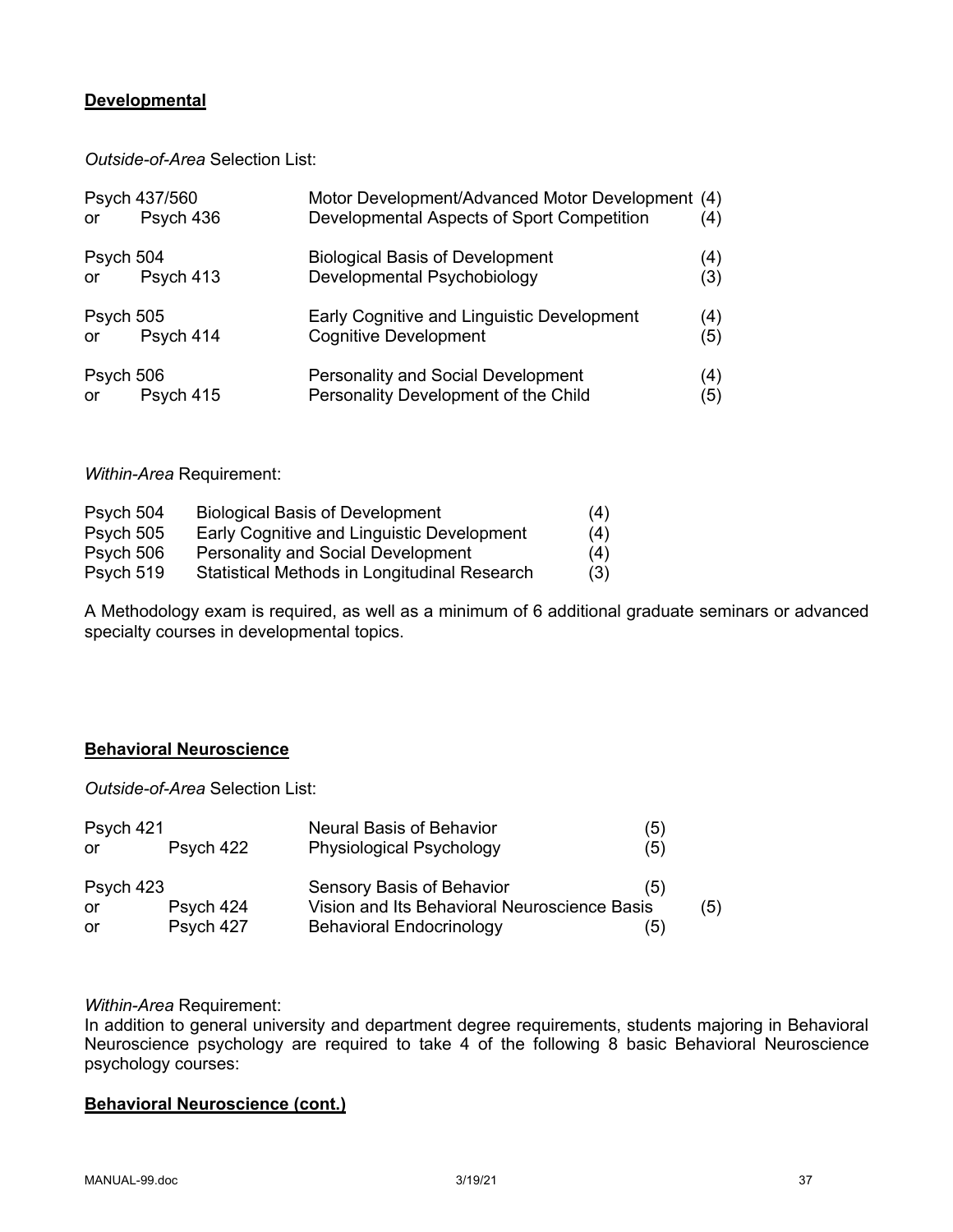## **Developmental**

*Outside-of-Area* Selection List:

| or        | Psych 437/560<br>Psych 436 | Motor Development/Advanced Motor Development (4)<br>Developmental Aspects of Sport Competition | (4) |
|-----------|----------------------------|------------------------------------------------------------------------------------------------|-----|
| Psych 504 | Psych 413                  | <b>Biological Basis of Development</b>                                                         | (4) |
| <b>or</b> |                            | Developmental Psychobiology                                                                    | (3) |
| Psych 505 | Psych 414                  | Early Cognitive and Linguistic Development                                                     | (4) |
| or        |                            | <b>Cognitive Development</b>                                                                   | (5) |
| Psych 506 | Psych 415                  | <b>Personality and Social Development</b>                                                      | (4) |
| or        |                            | Personality Development of the Child                                                           | (5) |

*Within-Area* Requirement:

| Psych 504 | <b>Biological Basis of Development</b>       | (4) |
|-----------|----------------------------------------------|-----|
| Psych 505 | Early Cognitive and Linguistic Development   | (4) |
| Psych 506 | <b>Personality and Social Development</b>    | (4) |
| Psych 519 | Statistical Methods in Longitudinal Research | (3) |

A Methodology exam is required, as well as a minimum of 6 additional graduate seminars or advanced specialty courses in developmental topics.

## **Behavioral Neuroscience**

*Outside-of-Area* Selection List:

| Psych 421 |           | <b>Neural Basis of Behavior</b>              | (5) |     |
|-----------|-----------|----------------------------------------------|-----|-----|
| or        | Psych 422 | <b>Physiological Psychology</b>              | (5) |     |
| Psych 423 |           | <b>Sensory Basis of Behavior</b>             | (5) |     |
| or        | Psych 424 | Vision and Its Behavioral Neuroscience Basis |     | (5) |
| or        | Psych 427 | <b>Behavioral Endocrinology</b>              | (5) |     |

*Within-Area* Requirement:

In addition to general university and department degree requirements, students majoring in Behavioral Neuroscience psychology are required to take 4 of the following 8 basic Behavioral Neuroscience psychology courses:

## **Behavioral Neuroscience (cont.)**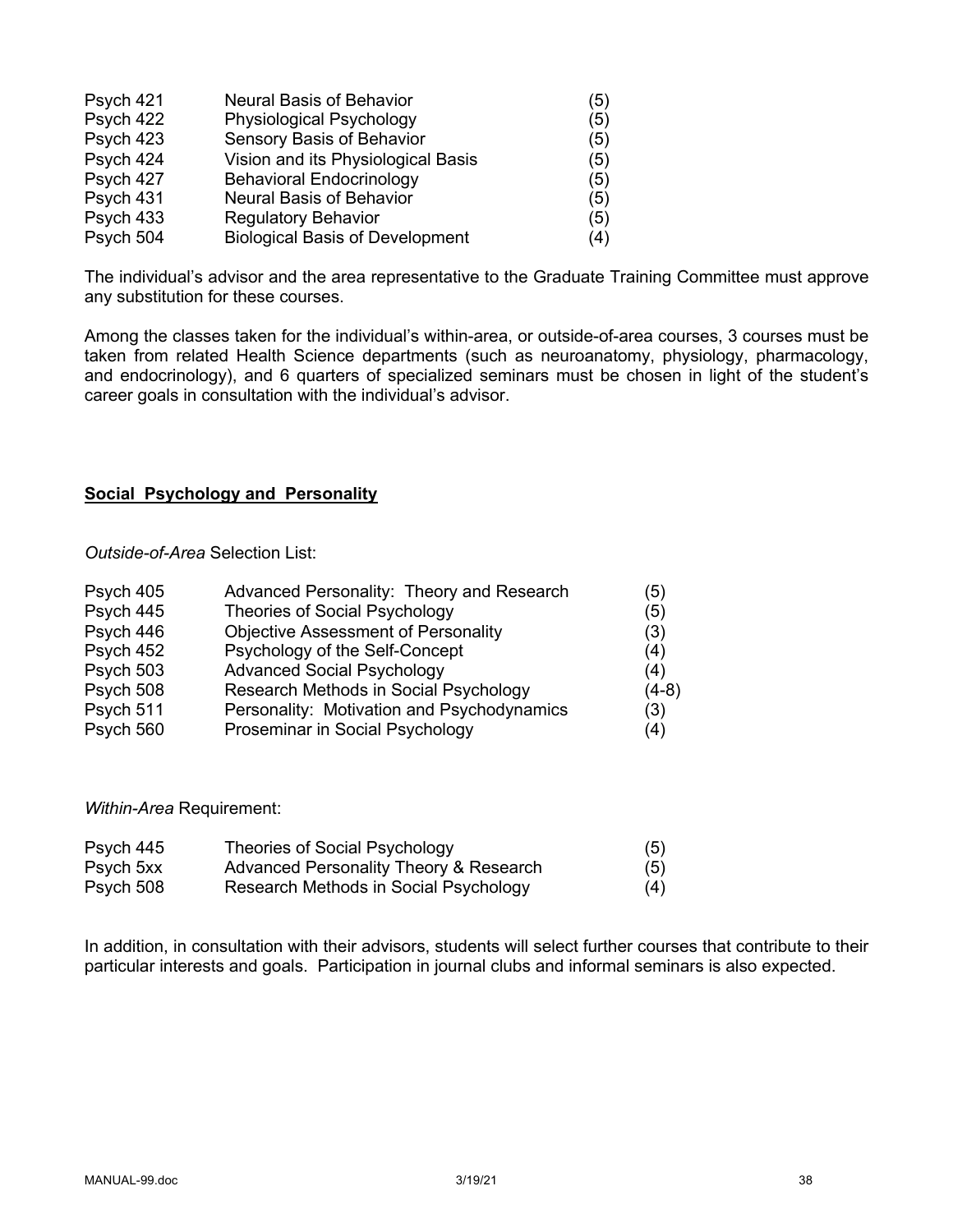| Psych 421 | Neural Basis of Behavior               | (5) |
|-----------|----------------------------------------|-----|
| Psych 422 | Physiological Psychology               | (5) |
| Psych 423 | Sensory Basis of Behavior              | (5) |
| Psych 424 | Vision and its Physiological Basis     | (5) |
| Psych 427 | <b>Behavioral Endocrinology</b>        | (5) |
| Psych 431 | <b>Neural Basis of Behavior</b>        | (5) |
| Psych 433 | <b>Regulatory Behavior</b>             | (5) |
| Psych 504 | <b>Biological Basis of Development</b> | (4) |

The individual's advisor and the area representative to the Graduate Training Committee must approve any substitution for these courses.

Among the classes taken for the individual's within-area, or outside-of-area courses, 3 courses must be taken from related Health Science departments (such as neuroanatomy, physiology, pharmacology, and endocrinology), and 6 quarters of specialized seminars must be chosen in light of the student's career goals in consultation with the individual's advisor.

## **Social Psychology and Personality**

*Outside-of-Area* Selection List:

| Psych 405 | Advanced Personality: Theory and Research  | (5)     |
|-----------|--------------------------------------------|---------|
| Psych 445 | <b>Theories of Social Psychology</b>       | (5)     |
| Psych 446 | <b>Objective Assessment of Personality</b> | (3)     |
| Psych 452 | Psychology of the Self-Concept             | (4)     |
| Psych 503 | <b>Advanced Social Psychology</b>          | (4)     |
| Psych 508 | Research Methods in Social Psychology      | $(4-8)$ |
| Psych 511 | Personality: Motivation and Psychodynamics | (3)     |
| Psych 560 | Proseminar in Social Psychology            | (4)     |

*Within-Area* Requirement:

| Psych 445 | Theories of Social Psychology          | (5) |
|-----------|----------------------------------------|-----|
| Psych 5xx | Advanced Personality Theory & Research | (5) |
| Psych 508 | Research Methods in Social Psychology  | (4) |

In addition, in consultation with their advisors, students will select further courses that contribute to their particular interests and goals. Participation in journal clubs and informal seminars is also expected.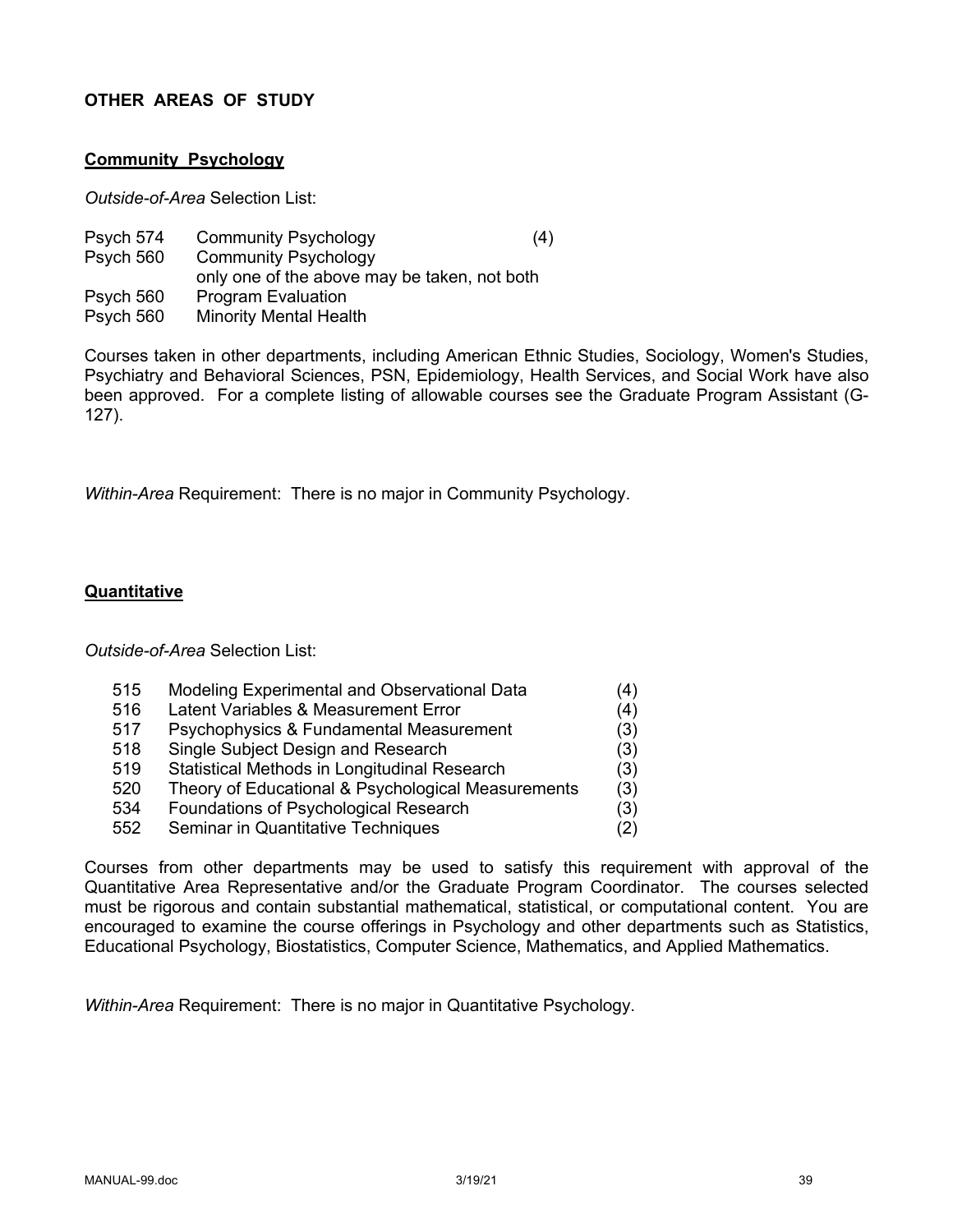## **OTHER AREAS OF STUDY**

#### **Community Psychology**

*Outside-of-Area* Selection List:

- Psych 574 Community Psychology (4) Psych 560 Community Psychology only one of the above may be taken, not both Psych 560 Program Evaluation
- Psych 560 Minority Mental Health

Courses taken in other departments, including American Ethnic Studies, Sociology, Women's Studies, Psychiatry and Behavioral Sciences, PSN, Epidemiology, Health Services, and Social Work have also been approved. For a complete listing of allowable courses see the Graduate Program Assistant (G-127).

*Within-Area* Requirement: There is no major in Community Psychology.

## **Quantitative**

*Outside-of-Area* Selection List:

- 515 Modeling Experimental and Observational Data (4)
- 516 Latent Variables & Measurement Error (4)
- 517 Psychophysics & Fundamental Measurement (3)
- 518 Single Subject Design and Research (3)
- 519 Statistical Methods in Longitudinal Research (3)
- 520 Theory of Educational & Psychological Measurements (3)
- 534 Foundations of Psychological Research (3)
- 552 Seminar in Quantitative Techniques (2)

Courses from other departments may be used to satisfy this requirement with approval of the Quantitative Area Representative and/or the Graduate Program Coordinator. The courses selected must be rigorous and contain substantial mathematical, statistical, or computational content. You are encouraged to examine the course offerings in Psychology and other departments such as Statistics, Educational Psychology, Biostatistics, Computer Science, Mathematics, and Applied Mathematics.

*Within-Area* Requirement: There is no major in Quantitative Psychology.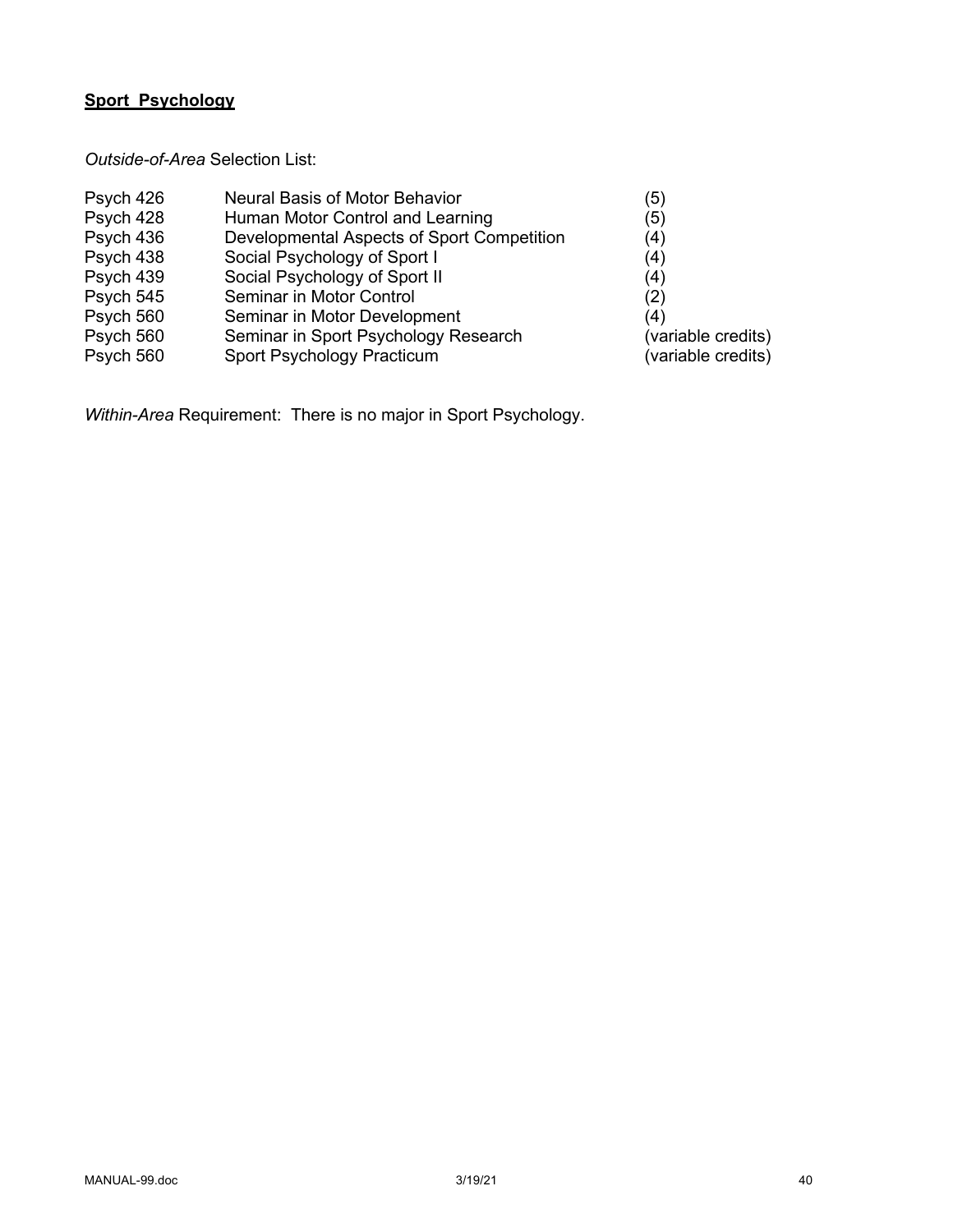# **Sport Psychology**

*Outside-of-Area* Selection List:

| (variable credits) |
|--------------------|
| (variable credits) |
|                    |

*Within-Area* Requirement: There is no major in Sport Psychology.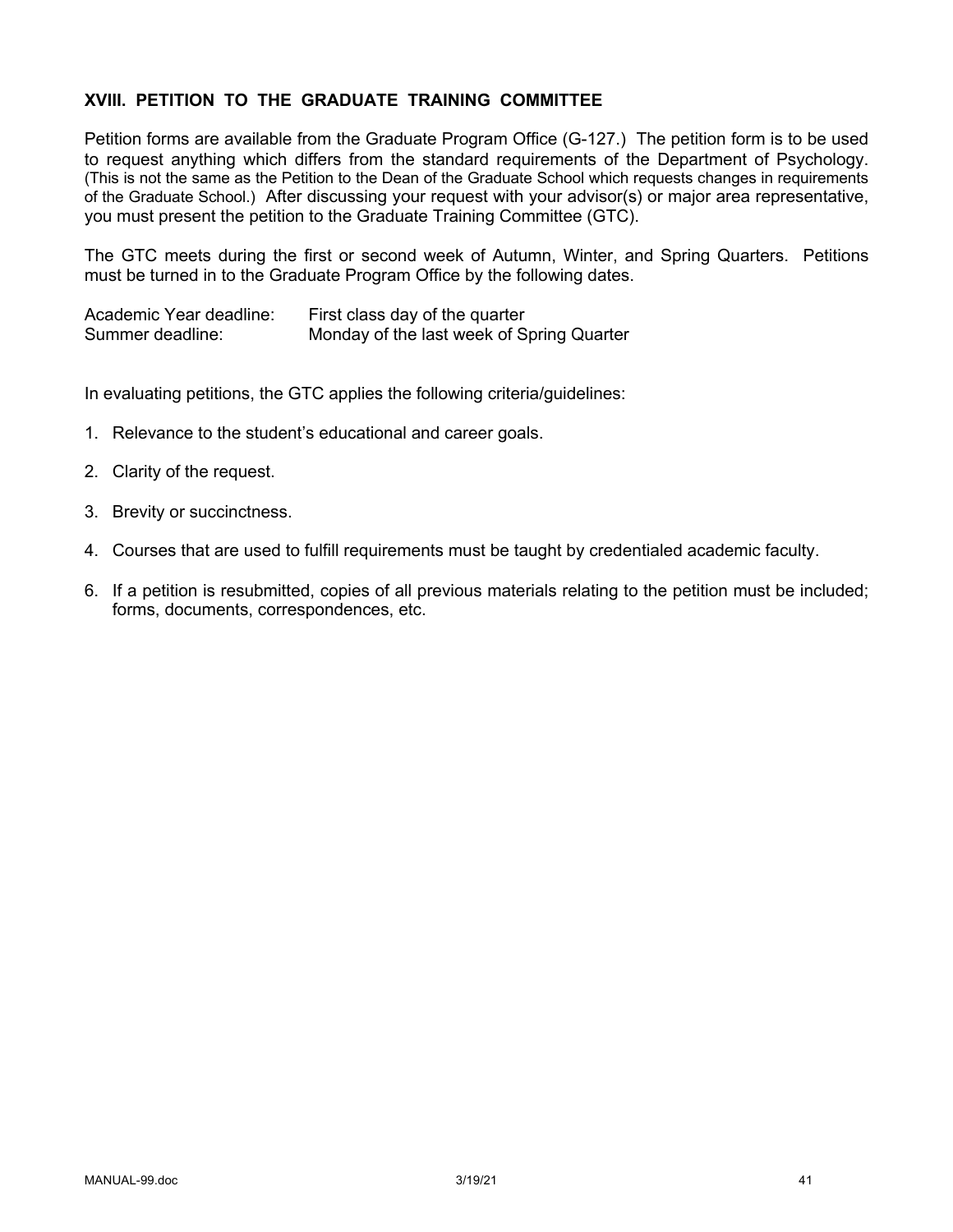## **XVIII. PETITION TO THE GRADUATE TRAINING COMMITTEE**

Petition forms are available from the Graduate Program Office (G-127.) The petition form is to be used to request anything which differs from the standard requirements of the Department of Psychology. (This is not the same as the Petition to the Dean of the Graduate School which requests changes in requirements of the Graduate School.) After discussing your request with your advisor(s) or major area representative, you must present the petition to the Graduate Training Committee (GTC).

The GTC meets during the first or second week of Autumn, Winter, and Spring Quarters. Petitions must be turned in to the Graduate Program Office by the following dates.

| Academic Year deadline: | First class day of the quarter            |
|-------------------------|-------------------------------------------|
| Summer deadline:        | Monday of the last week of Spring Quarter |

In evaluating petitions, the GTC applies the following criteria/guidelines:

- 1. Relevance to the student's educational and career goals.
- 2. Clarity of the request.
- 3. Brevity or succinctness.
- 4. Courses that are used to fulfill requirements must be taught by credentialed academic faculty.
- 6. If a petition is resubmitted, copies of all previous materials relating to the petition must be included; forms, documents, correspondences, etc.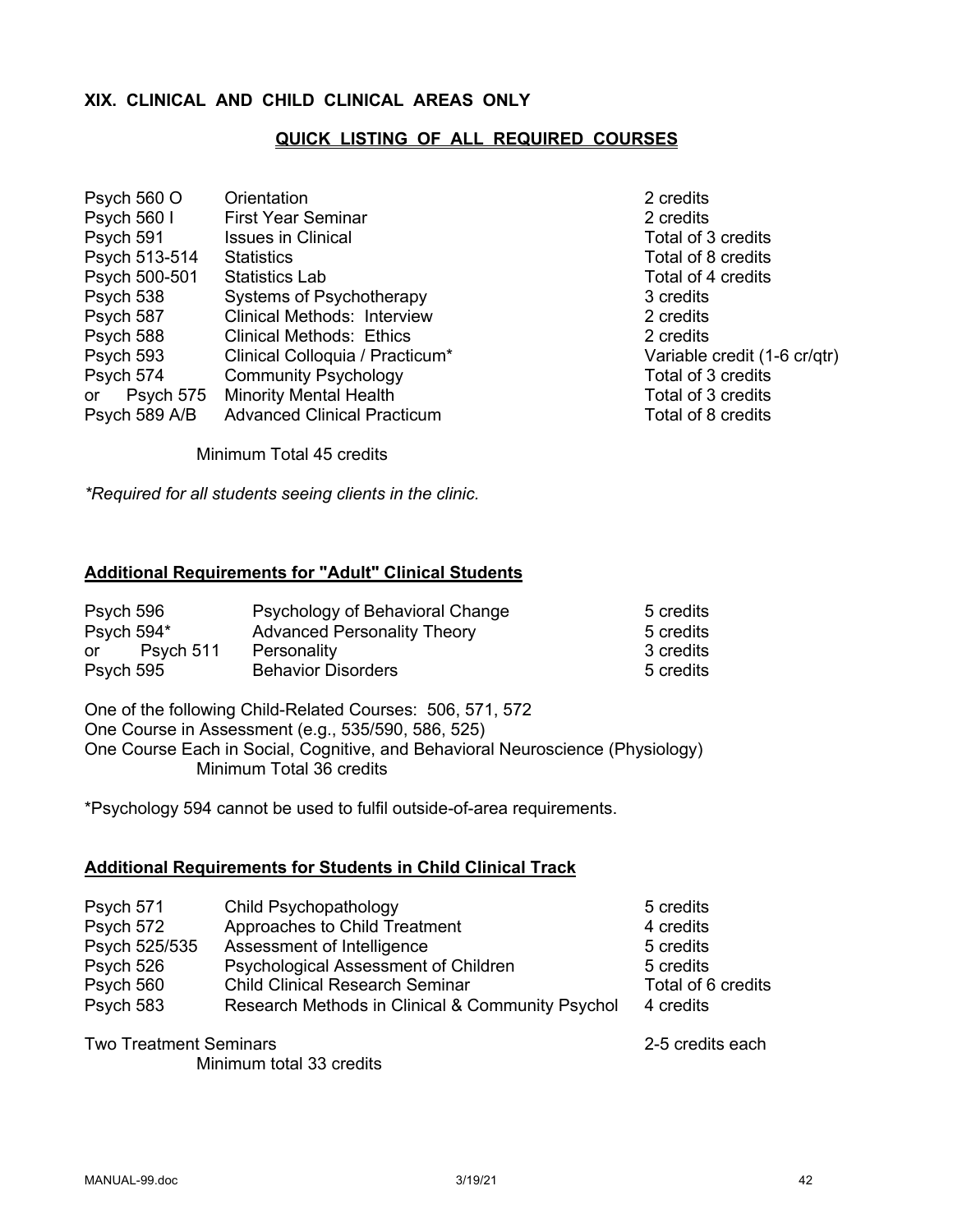#### **XIX. CLINICAL AND CHILD CLINICAL AREAS ONLY**

### **QUICK LISTING OF ALL REQUIRED COURSES**

| Psych 560 O        | Orientation                        | 2 credits  |
|--------------------|------------------------------------|------------|
| <b>Psych 560 I</b> | <b>First Year Seminar</b>          | 2 credits  |
| Psych 591          | <b>Issues in Clinical</b>          | Total of:  |
| Psych 513-514      | <b>Statistics</b>                  | Total of 8 |
| Psych 500-501      | <b>Statistics Lab</b>              | Total of 4 |
| Psych 538          | Systems of Psychotherapy           | 3 credits  |
| Psych 587          | <b>Clinical Methods: Interview</b> | 2 credits  |
| Psych 588          | <b>Clinical Methods: Ethics</b>    | 2 credits  |
| Psych 593          | Clinical Colloquia / Practicum*    | Variable   |
| Psych 574          | <b>Community Psychology</b>        | Total of:  |
| Psych 575<br>or    | <b>Minority Mental Health</b>      | Total of:  |
| Psych 589 A/B      | <b>Advanced Clinical Practicum</b> | Total of 8 |
|                    |                                    |            |

Total of 3 credits Total of 8 credits Total of 4 credits Variable credit (1-6 cr/qtr) Total of 3 credits Total of 3 credits Total of 8 credits

Minimum Total 45 credits

*\*Required for all students seeing clients in the clinic.*

### **Additional Requirements for "Adult" Clinical Students**

| Psych 596    | Psychology of Behavioral Change    | 5 credits |
|--------------|------------------------------------|-----------|
| Psych 594*   | <b>Advanced Personality Theory</b> | 5 credits |
| or Psych 511 | Personality                        | 3 credits |
| Psych 595    | <b>Behavior Disorders</b>          | 5 credits |

One of the following Child-Related Courses: 506, 571, 572 One Course in Assessment (e.g., 535/590, 586, 525) One Course Each in Social, Cognitive, and Behavioral Neuroscience (Physiology) Minimum Total 36 credits

\*Psychology 594 cannot be used to fulfil outside-of-area requirements.

#### **Additional Requirements for Students in Child Clinical Track**

| Psych 571     | Child Psychopathology                            | 5 credits          |
|---------------|--------------------------------------------------|--------------------|
| Psych 572     | Approaches to Child Treatment                    | 4 credits          |
| Psych 525/535 | Assessment of Intelligence                       | 5 credits          |
| Psych 526     | Psychological Assessment of Children             | 5 credits          |
| Psych 560     | <b>Child Clinical Research Seminar</b>           | Total of 6 credits |
| Psych 583     | Research Methods in Clinical & Community Psychol | 4 credits          |
|               |                                                  |                    |

Two Treatment Seminars 2-5 credits each

Minimum total 33 credits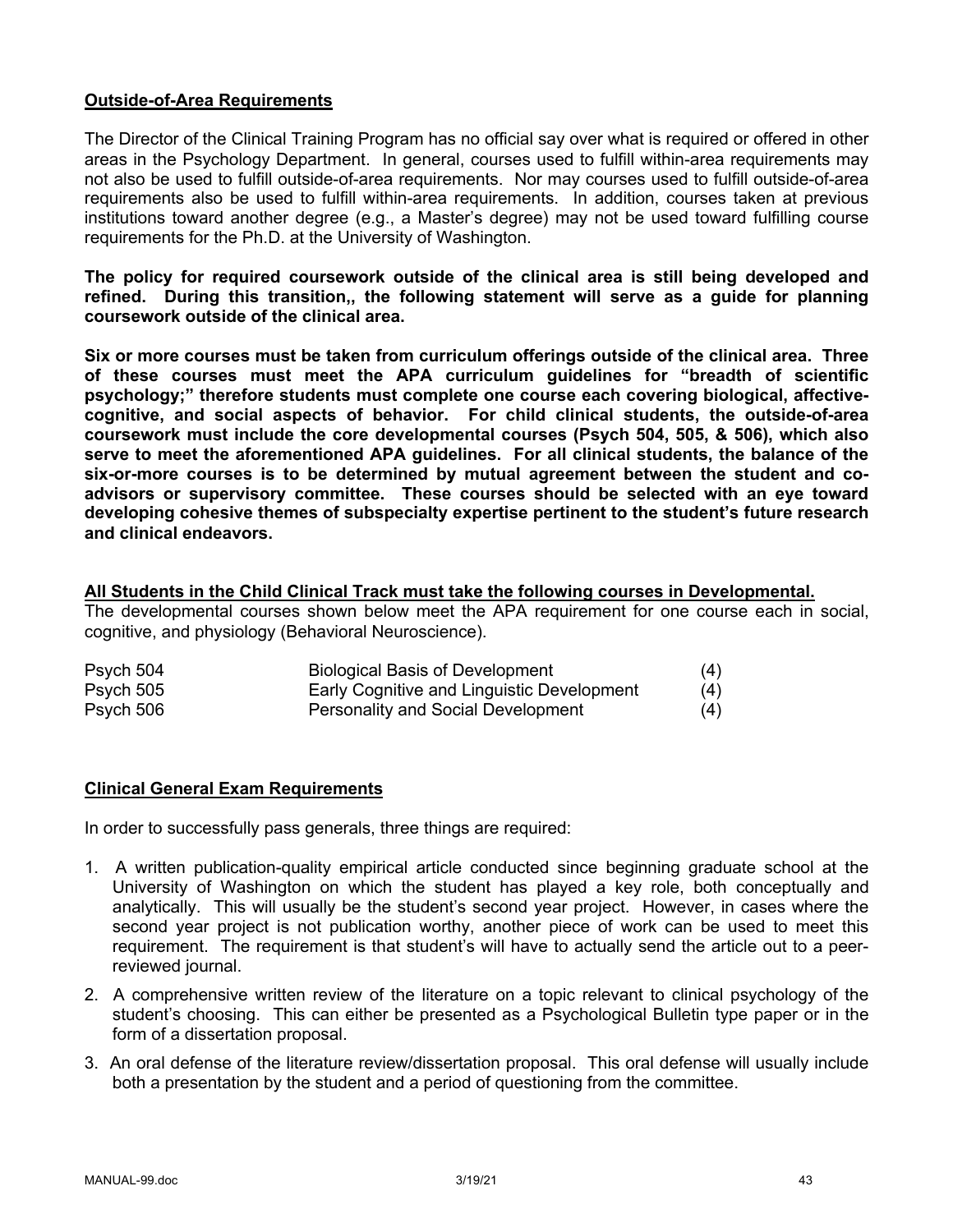## **Outside-of-Area Requirements**

The Director of the Clinical Training Program has no official say over what is required or offered in other areas in the Psychology Department. In general, courses used to fulfill within-area requirements may not also be used to fulfill outside-of-area requirements. Nor may courses used to fulfill outside-of-area requirements also be used to fulfill within-area requirements. In addition, courses taken at previous institutions toward another degree (e.g., a Master's degree) may not be used toward fulfilling course requirements for the Ph.D. at the University of Washington.

**The policy for required coursework outside of the clinical area is still being developed and refined. During this transition,, the following statement will serve as a guide for planning coursework outside of the clinical area.**

**Six or more courses must be taken from curriculum offerings outside of the clinical area. Three of these courses must meet the APA curriculum guidelines for "breadth of scientific psychology;" therefore students must complete one course each covering biological, affectivecognitive, and social aspects of behavior. For child clinical students, the outside-of-area coursework must include the core developmental courses (Psych 504, 505, & 506), which also serve to meet the aforementioned APA guidelines. For all clinical students, the balance of the six-or-more courses is to be determined by mutual agreement between the student and coadvisors or supervisory committee. These courses should be selected with an eye toward developing cohesive themes of subspecialty expertise pertinent to the student's future research and clinical endeavors.**

#### **All Students in the Child Clinical Track must take the following courses in Developmental.**

The developmental courses shown below meet the APA requirement for one course each in social, cognitive, and physiology (Behavioral Neuroscience).

| Psych 504 | <b>Biological Basis of Development</b>     | (4) |
|-----------|--------------------------------------------|-----|
| Psych 505 | Early Cognitive and Linguistic Development | (4) |
| Psych 506 | <b>Personality and Social Development</b>  | (4) |

## **Clinical General Exam Requirements**

In order to successfully pass generals, three things are required:

- 1. A written publication-quality empirical article conducted since beginning graduate school at the University of Washington on which the student has played a key role, both conceptually and analytically. This will usually be the student's second year project. However, in cases where the second year project is not publication worthy, another piece of work can be used to meet this requirement. The requirement is that student's will have to actually send the article out to a peerreviewed journal.
- 2. A comprehensive written review of the literature on a topic relevant to clinical psychology of the student's choosing. This can either be presented as a Psychological Bulletin type paper or in the form of a dissertation proposal.
- 3. An oral defense of the literature review/dissertation proposal. This oral defense will usually include both a presentation by the student and a period of questioning from the committee.